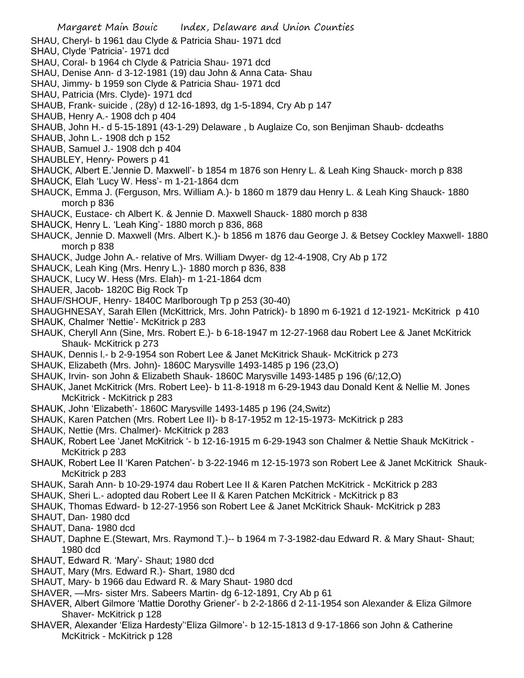- SHAU, Cheryl- b 1961 dau Clyde & Patricia Shau- 1971 dcd
- SHAU, Clyde 'Patricia'- 1971 dcd
- SHAU, Coral- b 1964 ch Clyde & Patricia Shau- 1971 dcd
- SHAU, Denise Ann- d 3-12-1981 (19) dau John & Anna Cata- Shau
- SHAU, Jimmy- b 1959 son Clyde & Patricia Shau- 1971 dcd
- SHAU, Patricia (Mrs. Clyde)- 1971 dcd
- SHAUB, Frank- suicide , (28y) d 12-16-1893, dg 1-5-1894, Cry Ab p 147
- SHAUB, Henry A.- 1908 dch p 404
- SHAUB, John H.- d 5-15-1891 (43-1-29) Delaware , b Auglaize Co, son Benjiman Shaub- dcdeaths
- SHAUB, John L.- 1908 dch p 152
- SHAUB, Samuel J.- 1908 dch p 404
- SHAUBLEY, Henry- Powers p 41
- SHAUCK, Albert E.'Jennie D. Maxwell'- b 1854 m 1876 son Henry L. & Leah King Shauck- morch p 838
- SHAUCK, Elah 'Lucy W. Hess'- m 1-21-1864 dcm
- SHAUCK, Emma J. (Ferguson, Mrs. William A.)- b 1860 m 1879 dau Henry L. & Leah King Shauck- 1880 morch p 836
- SHAUCK, Eustace- ch Albert K. & Jennie D. Maxwell Shauck- 1880 morch p 838
- SHAUCK, Henry L. 'Leah King'- 1880 morch p 836, 868
- SHAUCK, Jennie D. Maxwell (Mrs. Albert K.)- b 1856 m 1876 dau George J. & Betsey Cockley Maxwell- 1880 morch p 838
- SHAUCK, Judge John A.- relative of Mrs. William Dwyer- dg 12-4-1908, Cry Ab p 172
- SHAUCK, Leah King (Mrs. Henry L.)- 1880 morch p 836, 838
- SHAUCK, Lucy W. Hess (Mrs. Elah)- m 1-21-1864 dcm
- SHAUER, Jacob- 1820C Big Rock Tp
- SHAUF/SHOUF, Henry- 1840C Marlborough Tp p 253 (30-40)
- SHAUGHNESAY, Sarah Ellen (McKittrick, Mrs. John Patrick)- b 1890 m 6-1921 d 12-1921- McKitrick p 410 SHAUK, Chalmer 'Nettie'- McKitrick p 283
- SHAUK, Cheryll Ann (Sine, Mrs. Robert E.)- b 6-18-1947 m 12-27-1968 dau Robert Lee & Janet McKitrick Shauk- McKitrick p 273
- SHAUK, Dennis l.- b 2-9-1954 son Robert Lee & Janet McKitrick Shauk- McKitrick p 273
- SHAUK, Elizabeth (Mrs. John)- 1860C Marysville 1493-1485 p 196 (23,O)
- SHAUK, Irvin- son John & Elizabeth Shauk- 1860C Marysville 1493-1485 p 196 (6/;12,O)
- SHAUK, Janet McKitrick (Mrs. Robert Lee)- b 11-8-1918 m 6-29-1943 dau Donald Kent & Nellie M. Jones McKitrick - McKitrick p 283
- SHAUK, John 'Elizabeth'- 1860C Marysville 1493-1485 p 196 (24,Switz)
- SHAUK, Karen Patchen (Mrs. Robert Lee II)- b 8-17-1952 m 12-15-1973- McKitrick p 283
- SHAUK, Nettie (Mrs. Chalmer)- McKitrick p 283
- SHAUK, Robert Lee 'Janet McKitrick '- b 12-16-1915 m 6-29-1943 son Chalmer & Nettie Shauk McKitrick McKitrick p 283
- SHAUK, Robert Lee II 'Karen Patchen'- b 3-22-1946 m 12-15-1973 son Robert Lee & Janet McKitrick Shauk-McKitrick p 283
- SHAUK, Sarah Ann- b 10-29-1974 dau Robert Lee II & Karen Patchen McKitrick McKitrick p 283
- SHAUK, Sheri L.- adopted dau Robert Lee II & Karen Patchen McKitrick McKitrick p 83
- SHAUK, Thomas Edward- b 12-27-1956 son Robert Lee & Janet McKitrick Shauk- McKitrick p 283
- SHAUT, Dan- 1980 dcd
- SHAUT, Dana- 1980 dcd
- SHAUT, Daphne E.(Stewart, Mrs. Raymond T.)-- b 1964 m 7-3-1982-dau Edward R. & Mary Shaut- Shaut; 1980 dcd
- SHAUT, Edward R. 'Mary'- Shaut; 1980 dcd
- SHAUT, Mary (Mrs. Edward R.)- Shart, 1980 dcd
- SHAUT, Mary- b 1966 dau Edward R. & Mary Shaut- 1980 dcd
- SHAVER, —Mrs- sister Mrs. Sabeers Martin- dg 6-12-1891, Cry Ab p 61
- SHAVER, Albert Gilmore 'Mattie Dorothy Griener'- b 2-2-1866 d 2-11-1954 son Alexander & Eliza Gilmore Shaver- McKitrick p 128
- SHAVER, Alexander 'Eliza Hardesty''Eliza Gilmore'- b 12-15-1813 d 9-17-1866 son John & Catherine McKitrick - McKitrick p 128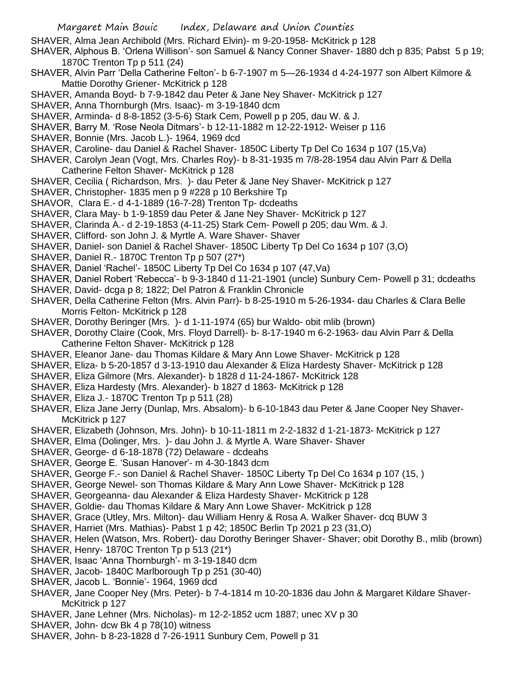- SHAVER, Alma Jean Archibold (Mrs. Richard Elvin)- m 9-20-1958- McKitrick p 128
- SHAVER, Alphous B. 'Orlena Willison'- son Samuel & Nancy Conner Shaver- 1880 dch p 835; Pabst 5 p 19; 1870C Trenton Tp p 511 (24)
- SHAVER, Alvin Parr 'Della Catherine Felton'- b 6-7-1907 m 5—26-1934 d 4-24-1977 son Albert Kilmore & Mattie Dorothy Griener- McKitrick p 128
- SHAVER, Amanda Boyd- b 7-9-1842 dau Peter & Jane Ney Shaver- McKitrick p 127
- SHAVER, Anna Thornburgh (Mrs. Isaac)- m 3-19-1840 dcm
- SHAVER, Arminda- d 8-8-1852 (3-5-6) Stark Cem, Powell p p 205, dau W. & J.
- SHAVER, Barry M. 'Rose Neola Ditmars'- b 12-11-1882 m 12-22-1912- Weiser p 116
- SHAVER, Bonnie (Mrs. Jacob L.)- 1964, 1969 dcd
- SHAVER, Caroline- dau Daniel & Rachel Shaver- 1850C Liberty Tp Del Co 1634 p 107 (15,Va)
- SHAVER, Carolyn Jean (Vogt, Mrs. Charles Roy)- b 8-31-1935 m 7/8-28-1954 dau Alvin Parr & Della Catherine Felton Shaver- McKitrick p 128
- SHAVER, Cecilia ( Richardson, Mrs. )- dau Peter & Jane Ney Shaver- McKitrick p 127
- SHAVER, Christopher- 1835 men p 9 #228 p 10 Berkshire Tp
- SHAVOR, Clara E.- d 4-1-1889 (16-7-28) Trenton Tp- dcdeaths
- SHAVER, Clara May- b 1-9-1859 dau Peter & Jane Ney Shaver- McKitrick p 127
- SHAVER, Clarinda A.- d 2-19-1853 (4-11-25) Stark Cem- Powell p 205; dau Wm. & J.
- SHAVER, Clifford- son John J. & Myrtle A. Ware Shaver- Shaver
- SHAVER, Daniel- son Daniel & Rachel Shaver- 1850C Liberty Tp Del Co 1634 p 107 (3,O)
- SHAVER, Daniel R.- 1870C Trenton Tp p 507 (27\*)
- SHAVER, Daniel 'Rachel'- 1850C Liberty Tp Del Co 1634 p 107 (47,Va)
- SHAVER, Daniel Robert 'Rebecca'- b 9-3-1840 d 11-21-1901 (uncle) Sunbury Cem- Powell p 31; dcdeaths
- SHAVER, David- dcga p 8; 1822; Del Patron & Franklin Chronicle
- SHAVER, Della Catherine Felton (Mrs. Alvin Parr)- b 8-25-1910 m 5-26-1934- dau Charles & Clara Belle Morris Felton- McKitrick p 128
- SHAVER, Dorothy Beringer (Mrs. )- d 1-11-1974 (65) bur Waldo- obit mlib (brown)
- SHAVER, Dorothy Claire (Cook, Mrs. Floyd Darrell)- b- 8-17-1940 m 6-2-1963- dau Alvin Parr & Della Catherine Felton Shaver- McKitrick p 128
- SHAVER, Eleanor Jane- dau Thomas Kildare & Mary Ann Lowe Shaver- McKitrick p 128
- SHAVER, Eliza- b 5-20-1857 d 3-13-1910 dau Alexander & Eliza Hardesty Shaver- McKitrick p 128
- SHAVER, Eliza Gilmore (Mrs. Alexander)- b 1828 d 11-24-1867- McKitrick 128
- SHAVER, Eliza Hardesty (Mrs. Alexander)- b 1827 d 1863- McKitrick p 128
- SHAVER, Eliza J.- 1870C Trenton Tp p 511 (28)
- SHAVER, Eliza Jane Jerry (Dunlap, Mrs. Absalom)- b 6-10-1843 dau Peter & Jane Cooper Ney Shaver-McKitrick p 127
- SHAVER, Elizabeth (Johnson, Mrs. John)- b 10-11-1811 m 2-2-1832 d 1-21-1873- McKitrick p 127
- SHAVER, Elma (Dolinger, Mrs. )- dau John J. & Myrtle A. Ware Shaver- Shaver
- SHAVER, George- d 6-18-1878 (72) Delaware dcdeahs
- SHAVER, George E. 'Susan Hanover'- m 4-30-1843 dcm
- SHAVER, George F.- son Daniel & Rachel Shaver- 1850C Liberty Tp Del Co 1634 p 107 (15, )
- SHAVER, George Newel- son Thomas Kildare & Mary Ann Lowe Shaver- McKitrick p 128
- SHAVER, Georgeanna- dau Alexander & Eliza Hardesty Shaver- McKitrick p 128
- SHAVER, Goldie- dau Thomas Kildare & Mary Ann Lowe Shaver- McKitrick p 128
- SHAVER, Grace (Utley, Mrs. Milton)- dau William Henry & Rosa A. Walker Shaver- dcq BUW 3
- SHAVER, Harriet (Mrs. Mathias)- Pabst 1 p 42; 1850C Berlin Tp 2021 p 23 (31,O)
- SHAVER, Helen (Watson, Mrs. Robert)- dau Dorothy Beringer Shaver- Shaver; obit Dorothy B., mlib (brown)
- SHAVER, Henry- 1870C Trenton Tp p 513 (21\*)
- SHAVER, Isaac 'Anna Thornburgh'- m 3-19-1840 dcm
- SHAVER, Jacob- 1840C Marlborough Tp p 251 (30-40)
- SHAVER, Jacob L. 'Bonnie'- 1964, 1969 dcd
- SHAVER, Jane Cooper Ney (Mrs. Peter)- b 7-4-1814 m 10-20-1836 dau John & Margaret Kildare Shaver-McKitrick p 127
- SHAVER, Jane Lehner (Mrs. Nicholas)- m 12-2-1852 ucm 1887; unec XV p 30
- SHAVER, John- dcw Bk 4 p 78(10) witness
- SHAVER, John- b 8-23-1828 d 7-26-1911 Sunbury Cem, Powell p 31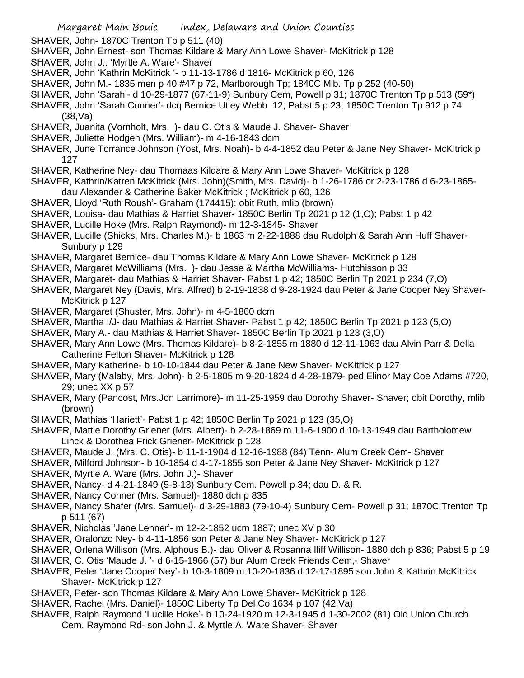- SHAVER, John- 1870C Trenton Tp p 511 (40)
- SHAVER, John Ernest- son Thomas Kildare & Mary Ann Lowe Shaver- McKitrick p 128
- SHAVER, John J.. 'Myrtle A. Ware'- Shaver
- SHAVER, John 'Kathrin McKitrick '- b 11-13-1786 d 1816- McKitrick p 60, 126
- SHAVER, John M.- 1835 men p 40 #47 p 72, Marlborough Tp; 1840C Mlb. Tp p 252 (40-50)
- SHAVER, John 'Sarah'- d 10-29-1877 (67-11-9) Sunbury Cem, Powell p 31; 1870C Trenton Tp p 513 (59\*)
- SHAVER, John 'Sarah Conner'- dcq Bernice Utley Webb 12; Pabst 5 p 23; 1850C Trenton Tp 912 p 74 (38,Va)
- SHAVER, Juanita (Vornholt, Mrs. )- dau C. Otis & Maude J. Shaver- Shaver
- SHAVER, Juliette Hodgen (Mrs. William)- m 4-16-1843 dcm
- SHAVER, June Torrance Johnson (Yost, Mrs. Noah)- b 4-4-1852 dau Peter & Jane Ney Shaver- McKitrick p 127
- SHAVER, Katherine Ney- dau Thomaas Kildare & Mary Ann Lowe Shaver- McKitrick p 128
- SHAVER, Kathrin/Katren McKitrick (Mrs. John)(Smith, Mrs. David)- b 1-26-1786 or 2-23-1786 d 6-23-1865 dau Alexander & Catherine Baker McKitrick ; McKitrick p 60, 126
- SHAVER, Lloyd 'Ruth Roush'- Graham (174415); obit Ruth, mlib (brown)
- SHAVER, Louisa- dau Mathias & Harriet Shaver- 1850C Berlin Tp 2021 p 12 (1,O); Pabst 1 p 42
- SHAVER, Lucille Hoke (Mrs. Ralph Raymond)- m 12-3-1845- Shaver
- SHAVER, Lucille (Shicks, Mrs. Charles M.)- b 1863 m 2-22-1888 dau Rudolph & Sarah Ann Huff Shaver-Sunbury p 129
- SHAVER, Margaret Bernice- dau Thomas Kildare & Mary Ann Lowe Shaver- McKitrick p 128
- SHAVER, Margaret McWilliams (Mrs. )- dau Jesse & Martha McWilliams- Hutchisson p 33
- SHAVER, Margaret- dau Mathias & Harriet Shaver- Pabst 1 p 42; 1850C Berlin Tp 2021 p 234 (7,O)
- SHAVER, Margaret Ney (Davis, Mrs. Alfred) b 2-19-1838 d 9-28-1924 dau Peter & Jane Cooper Ney Shaver-McKitrick p 127
- SHAVER, Margaret (Shuster, Mrs. John)- m 4-5-1860 dcm
- SHAVER, Martha I/J- dau Mathias & Harriet Shaver- Pabst 1 p 42; 1850C Berlin Tp 2021 p 123 (5,O)
- SHAVER, Mary A.- dau Mathias & Harriet Shaver- 1850C Berlin Tp 2021 p 123 (3,O)
- SHAVER, Mary Ann Lowe (Mrs. Thomas Kildare)- b 8-2-1855 m 1880 d 12-11-1963 dau Alvin Parr & Della Catherine Felton Shaver- McKitrick p 128
- SHAVER, Mary Katherine- b 10-10-1844 dau Peter & Jane New Shaver- McKitrick p 127
- SHAVER, Mary (Malaby, Mrs. John)- b 2-5-1805 m 9-20-1824 d 4-28-1879- ped Elinor May Coe Adams #720, 29; unec XX p 57
- SHAVER, Mary (Pancost, Mrs.Jon Larrimore)- m 11-25-1959 dau Dorothy Shaver- Shaver; obit Dorothy, mlib (brown)
- SHAVER, Mathias 'Hariett'- Pabst 1 p 42; 1850C Berlin Tp 2021 p 123 (35,O)
- SHAVER, Mattie Dorothy Griener (Mrs. Albert)- b 2-28-1869 m 11-6-1900 d 10-13-1949 dau Bartholomew Linck & Dorothea Frick Griener- McKitrick p 128
- SHAVER, Maude J. (Mrs. C. Otis)- b 11-1-1904 d 12-16-1988 (84) Tenn- Alum Creek Cem- Shaver
- SHAVER, Milford Johnson- b 10-1854 d 4-17-1855 son Peter & Jane Ney Shaver- McKitrick p 127
- SHAVER, Myrtle A. Ware (Mrs. John J.)- Shaver
- SHAVER, Nancy- d 4-21-1849 (5-8-13) Sunbury Cem. Powell p 34; dau D. & R.
- SHAVER, Nancy Conner (Mrs. Samuel)- 1880 dch p 835
- SHAVER, Nancy Shafer (Mrs. Samuel)- d 3-29-1883 (79-10-4) Sunbury Cem- Powell p 31; 1870C Trenton Tp p 511 (67)
- SHAVER, Nicholas 'Jane Lehner'- m 12-2-1852 ucm 1887; unec XV p 30
- SHAVER, Oralonzo Ney- b 4-11-1856 son Peter & Jane Ney Shaver- McKitrick p 127
- SHAVER, Orlena Willison (Mrs. Alphous B.)- dau Oliver & Rosanna Iliff Willison- 1880 dch p 836; Pabst 5 p 19
- SHAVER, C. Otis 'Maude J. '- d 6-15-1966 (57) bur Alum Creek Friends Cem,- Shaver
- SHAVER, Peter 'Jane Cooper Ney'- b 10-3-1809 m 10-20-1836 d 12-17-1895 son John & Kathrin McKitrick Shaver- McKitrick p 127
- SHAVER, Peter- son Thomas Kildare & Mary Ann Lowe Shaver- McKitrick p 128
- SHAVER, Rachel (Mrs. Daniel)- 1850C Liberty Tp Del Co 1634 p 107 (42,Va)
- SHAVER, Ralph Raymond 'Lucille Hoke'- b 10-24-1920 m 12-3-1945 d 1-30-2002 (81) Old Union Church
	- Cem. Raymond Rd- son John J. & Myrtle A. Ware Shaver- Shaver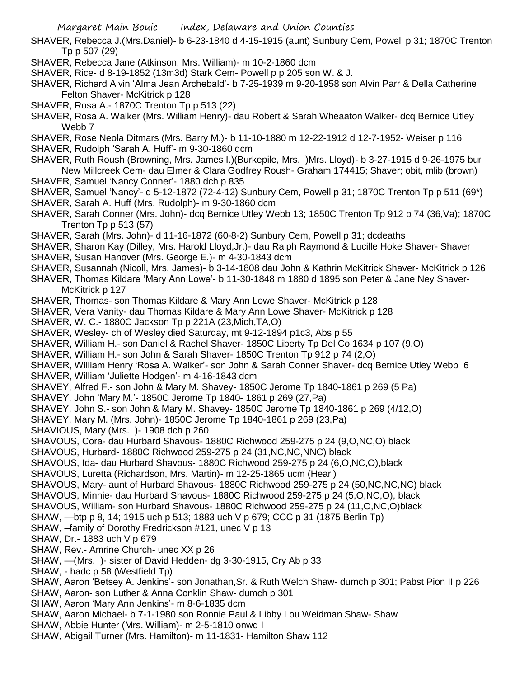- SHAVER, Rebecca J.(Mrs.Daniel)- b 6-23-1840 d 4-15-1915 (aunt) Sunbury Cem, Powell p 31; 1870C Trenton Tp p 507 (29)
- SHAVER, Rebecca Jane (Atkinson, Mrs. William)- m 10-2-1860 dcm
- SHAVER, Rice- d 8-19-1852 (13m3d) Stark Cem- Powell p p 205 son W. & J.
- SHAVER, Richard Alvin 'Alma Jean Archebald'- b 7-25-1939 m 9-20-1958 son Alvin Parr & Della Catherine Felton Shaver- McKitrick p 128
- SHAVER, Rosa A.- 1870C Trenton Tp p 513 (22)
- SHAVER, Rosa A. Walker (Mrs. William Henry)- dau Robert & Sarah Wheaaton Walker- dcq Bernice Utley Webb 7
- SHAVER, Rose Neola Ditmars (Mrs. Barry M.)- b 11-10-1880 m 12-22-1912 d 12-7-1952- Weiser p 116
- SHAVER, Rudolph 'Sarah A. Huff'- m 9-30-1860 dcm
- SHAVER, Ruth Roush (Browning, Mrs. James I.)(Burkepile, Mrs. )Mrs. Lloyd)- b 3-27-1915 d 9-26-1975 bur New Millcreek Cem- dau Elmer & Clara Godfrey Roush- Graham 174415; Shaver; obit, mlib (brown) SHAVER, Samuel 'Nancy Conner'- 1880 dch p 835
- SHAVER, Samuel 'Nancy'- d 5-12-1872 (72-4-12) Sunbury Cem, Powell p 31; 1870C Trenton Tp p 511 (69\*)
- SHAVER, Sarah A. Huff (Mrs. Rudolph)- m 9-30-1860 dcm
- SHAVER, Sarah Conner (Mrs. John)- dcq Bernice Utley Webb 13; 1850C Trenton Tp 912 p 74 (36,Va); 1870C Trenton Tp p 513 (57)
- SHAVER, Sarah (Mrs. John)- d 11-16-1872 (60-8-2) Sunbury Cem, Powell p 31; dcdeaths
- SHAVER, Sharon Kay (Dilley, Mrs. Harold Lloyd,Jr.)- dau Ralph Raymond & Lucille Hoke Shaver- Shaver
- SHAVER, Susan Hanover (Mrs. George E.)- m 4-30-1843 dcm
- SHAVER, Susannah (Nicoll, Mrs. James)- b 3-14-1808 dau John & Kathrin McKitrick Shaver- McKitrick p 126
- SHAVER, Thomas Kildare 'Mary Ann Lowe'- b 11-30-1848 m 1880 d 1895 son Peter & Jane Ney Shaver-McKitrick p 127
- SHAVER, Thomas- son Thomas Kildare & Mary Ann Lowe Shaver- McKitrick p 128
- SHAVER, Vera Vanity- dau Thomas Kildare & Mary Ann Lowe Shaver- McKitrick p 128
- SHAVER, W. C.- 1880C Jackson Tp p 221A (23,Mich,TA,O)
- SHAVER, Wesley- ch of Wesley died Saturday, mt 9-12-1894 p1c3, Abs p 55
- SHAVER, William H.- son Daniel & Rachel Shaver- 1850C Liberty Tp Del Co 1634 p 107 (9,O)
- SHAVER, William H.- son John & Sarah Shaver- 1850C Trenton Tp 912 p 74 (2,O)
- SHAVER, William Henry 'Rosa A. Walker'- son John & Sarah Conner Shaver- dcq Bernice Utley Webb 6
- SHAVER, William 'Juliette Hodgen'- m 4-16-1843 dcm
- SHAVEY, Alfred F.- son John & Mary M. Shavey- 1850C Jerome Tp 1840-1861 p 269 (5 Pa)
- SHAVEY, John 'Mary M.'- 1850C Jerome Tp 1840- 1861 p 269 (27,Pa)
- SHAVEY, John S.- son John & Mary M. Shavey- 1850C Jerome Tp 1840-1861 p 269 (4/12,O)
- SHAVEY, Mary M. (Mrs. John)- 1850C Jerome Tp 1840-1861 p 269 (23,Pa)
- SHAVIOUS, Mary (Mrs. )- 1908 dch p 260
- SHAVOUS, Cora- dau Hurbard Shavous- 1880C Richwood 259-275 p 24 (9,O,NC,O) black
- SHAVOUS, Hurbard- 1880C Richwood 259-275 p 24 (31,NC,NC,NNC) black
- SHAVOUS, Ida- dau Hurbard Shavous- 1880C Richwood 259-275 p 24 (6,O,NC,O),black
- SHAVOUS, Luretta (Richardson, Mrs. Martin)- m 12-25-1865 ucm (Hearl)
- SHAVOUS, Mary- aunt of Hurbard Shavous- 1880C Richwood 259-275 p 24 (50,NC,NC,NC) black
- SHAVOUS, Minnie- dau Hurbard Shavous- 1880C Richwood 259-275 p 24 (5,O,NC,O), black
- SHAVOUS, William- son Hurbard Shavous- 1880C Richwood 259-275 p 24 (11,O,NC,O)black
- SHAW, —btp p 8, 14; 1915 uch p 513; 1883 uch V p 679; CCC p 31 (1875 Berlin Tp)
- SHAW, –family of Dorothy Fredrickson #121, unec V p 13
- SHAW, Dr.- 1883 uch V p 679
- SHAW, Rev.- Amrine Church- unec XX p 26
- SHAW, —(Mrs. )- sister of David Hedden- dg 3-30-1915, Cry Ab p 33
- SHAW, hadc p 58 (Westfield Tp)
- SHAW, Aaron 'Betsey A. Jenkins'- son Jonathan,Sr. & Ruth Welch Shaw- dumch p 301; Pabst Pion II p 226
- SHAW, Aaron- son Luther & Anna Conklin Shaw- dumch p 301
- SHAW, Aaron 'Mary Ann Jenkins'- m 8-6-1835 dcm
- SHAW, Aaron Michael- b 7-1-1980 son Ronnie Paul & Libby Lou Weidman Shaw- Shaw
- SHAW, Abbie Hunter (Mrs. William)- m 2-5-1810 onwq I
- SHAW, Abigail Turner (Mrs. Hamilton)- m 11-1831- Hamilton Shaw 112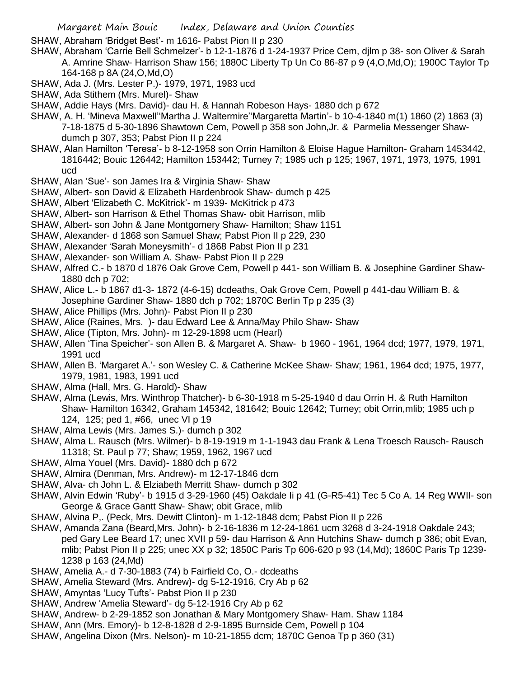SHAW, Abraham 'Bridget Best'- m 1616- Pabst Pion II p 230

- SHAW, Abraham 'Carrie Bell Schmelzer'- b 12-1-1876 d 1-24-1937 Price Cem, djlm p 38- son Oliver & Sarah A. Amrine Shaw- Harrison Shaw 156; 1880C Liberty Tp Un Co 86-87 p 9 (4,O,Md,O); 1900C Taylor Tp 164-168 p 8A (24,O,Md,O)
- SHAW, Ada J. (Mrs. Lester P.)- 1979, 1971, 1983 ucd
- SHAW, Ada Stithem (Mrs. Murel)- Shaw
- SHAW, Addie Hays (Mrs. David)- dau H. & Hannah Robeson Hays- 1880 dch p 672
- SHAW, A. H. 'Mineva Maxwell''Martha J. Waltermire''Margaretta Martin'- b 10-4-1840 m(1) 1860 (2) 1863 (3) 7-18-1875 d 5-30-1896 Shawtown Cem, Powell p 358 son John,Jr. & Parmelia Messenger Shawdumch p 307, 353; Pabst Pion II p 224
- SHAW, Alan Hamilton 'Teresa'- b 8-12-1958 son Orrin Hamilton & Eloise Hague Hamilton- Graham 1453442, 1816442; Bouic 126442; Hamilton 153442; Turney 7; 1985 uch p 125; 1967, 1971, 1973, 1975, 1991 ucd
- SHAW, Alan 'Sue'- son James Ira & Virginia Shaw- Shaw
- SHAW, Albert- son David & Elizabeth Hardenbrook Shaw- dumch p 425
- SHAW, Albert 'Elizabeth C. McKitrick'- m 1939- McKitrick p 473
- SHAW, Albert- son Harrison & Ethel Thomas Shaw- obit Harrison, mlib
- SHAW, Albert- son John & Jane Montgomery Shaw- Hamilton; Shaw 1151
- SHAW, Alexander- d 1868 son Samuel Shaw; Pabst Pion II p 229, 230
- SHAW, Alexander 'Sarah Moneysmith'- d 1868 Pabst Pion II p 231
- SHAW, Alexander- son William A. Shaw- Pabst Pion II p 229
- SHAW, Alfred C.- b 1870 d 1876 Oak Grove Cem, Powell p 441- son William B. & Josephine Gardiner Shaw-1880 dch p 702;
- SHAW, Alice L.- b 1867 d1-3- 1872 (4-6-15) dcdeaths, Oak Grove Cem, Powell p 441-dau William B. & Josephine Gardiner Shaw- 1880 dch p 702; 1870C Berlin Tp p 235 (3)
- SHAW, Alice Phillips (Mrs. John)- Pabst Pion II p 230
- SHAW, Alice (Raines, Mrs. )- dau Edward Lee & Anna/May Philo Shaw- Shaw
- SHAW, Alice (Tipton, Mrs. John)- m 12-29-1898 ucm (Hearl)
- SHAW, Allen 'Tina Speicher'- son Allen B. & Margaret A. Shaw- b 1960 1961, 1964 dcd; 1977, 1979, 1971, 1991 ucd
- SHAW, Allen B. 'Margaret A.'- son Wesley C. & Catherine McKee Shaw- Shaw; 1961, 1964 dcd; 1975, 1977, 1979, 1981, 1983, 1991 ucd
- SHAW, Alma (Hall, Mrs. G. Harold)- Shaw
- SHAW, Alma (Lewis, Mrs. Winthrop Thatcher)- b 6-30-1918 m 5-25-1940 d dau Orrin H. & Ruth Hamilton Shaw- Hamilton 16342, Graham 145342, 181642; Bouic 12642; Turney; obit Orrin,mlib; 1985 uch p 124, 125; ped 1, #66, unec VI p 19
- SHAW, Alma Lewis (Mrs. James S.)- dumch p 302
- SHAW, Alma L. Rausch (Mrs. Wilmer)- b 8-19-1919 m 1-1-1943 dau Frank & Lena Troesch Rausch- Rausch 11318; St. Paul p 77; Shaw; 1959, 1962, 1967 ucd
- SHAW, Alma Youel (Mrs. David)- 1880 dch p 672
- SHAW, Almira (Denman, Mrs. Andrew)- m 12-17-1846 dcm
- SHAW, Alva- ch John L. & Elziabeth Merritt Shaw- dumch p 302
- SHAW, Alvin Edwin 'Ruby'- b 1915 d 3-29-1960 (45) Oakdale Ii p 41 (G-R5-41) Tec 5 Co A. 14 Reg WWII- son George & Grace Gantt Shaw- Shaw; obit Grace, mlib
- SHAW, Alvina P,. (Peck, Mrs. Dewitt Clinton)- m 1-12-1848 dcm; Pabst Pion II p 226
- SHAW, Amanda Zana (Beard,Mrs. John)- b 2-16-1836 m 12-24-1861 ucm 3268 d 3-24-1918 Oakdale 243; ped Gary Lee Beard 17; unec XVII p 59- dau Harrison & Ann Hutchins Shaw- dumch p 386; obit Evan, mlib; Pabst Pion II p 225; unec XX p 32; 1850C Paris Tp 606-620 p 93 (14,Md); 1860C Paris Tp 1239- 1238 p 163 (24,Md)
- SHAW, Amelia A.- d 7-30-1883 (74) b Fairfield Co, O.- dcdeaths
- SHAW, Amelia Steward (Mrs. Andrew)- dg 5-12-1916, Cry Ab p 62
- SHAW, Amyntas 'Lucy Tufts'- Pabst Pion II p 230
- SHAW, Andrew 'Amelia Steward'- dg 5-12-1916 Cry Ab p 62
- SHAW, Andrew- b 2-29-1852 son Jonathan & Mary Montgomery Shaw- Ham. Shaw 1184
- SHAW, Ann (Mrs. Emory)- b 12-8-1828 d 2-9-1895 Burnside Cem, Powell p 104
- SHAW, Angelina Dixon (Mrs. Nelson)- m 10-21-1855 dcm; 1870C Genoa Tp p 360 (31)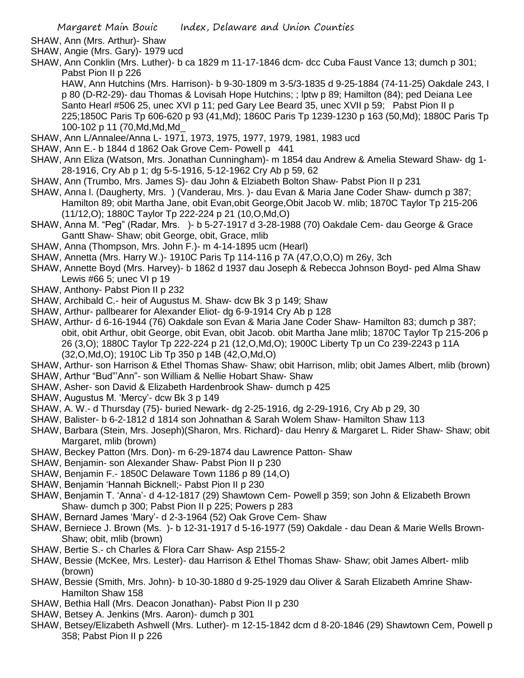- SHAW, Ann (Mrs. Arthur)- Shaw
- SHAW, Angie (Mrs. Gary)- 1979 ucd
- SHAW, Ann Conklin (Mrs. Luther)- b ca 1829 m 11-17-1846 dcm- dcc Cuba Faust Vance 13; dumch p 301; Pabst Pion II p 226

HAW, Ann Hutchins (Mrs. Harrison)- b 9-30-1809 m 3-5/3-1835 d 9-25-1884 (74-11-25) Oakdale 243, I p 80 (D-R2-29)- dau Thomas & Lovisah Hope Hutchins; ; lptw p 89; Hamilton (84); ped Deiana Lee Santo Hearl #506 25, unec XVI p 11; ped Gary Lee Beard 35, unec XVII p 59; Pabst Pion II p 225;1850C Paris Tp 606-620 p 93 (41,Md); 1860C Paris Tp 1239-1230 p 163 (50,Md); 1880C Paris Tp 100-102 p 11 (70,Md,Md,Md\_

- SHAW, Ann L/Annalee/Anna L- 1971, 1973, 1975, 1977, 1979, 1981, 1983 ucd
- SHAW, Ann E.- b 1844 d 1862 Oak Grove Cem- Powell p 441
- SHAW, Ann Eliza (Watson, Mrs. Jonathan Cunningham)- m 1854 dau Andrew & Amelia Steward Shaw- dg 1- 28-1916, Cry Ab p 1; dg 5-5-1916, 5-12-1962 Cry Ab p 59, 62
- SHAW, Ann (Trumbo, Mrs. James S)- dau John & Elziabeth Bolton Shaw- Pabst Pion II p 231
- SHAW, Anna l. (Daugherty, Mrs. ) (Vanderau, Mrs. )- dau Evan & Maria Jane Coder Shaw- dumch p 387; Hamilton 89; obit Martha Jane, obit Evan,obit George,Obit Jacob W. mlib; 1870C Taylor Tp 215-206 (11/12,O); 1880C Taylor Tp 222-224 p 21 (10,O,Md,O)
- SHAW, Anna M. "Peg" (Radar, Mrs. )- b 5-27-1917 d 3-28-1988 (70) Oakdale Cem- dau George & Grace Gantt Shaw- Shaw; obit George, obit, Grace, mlib
- SHAW, Anna (Thompson, Mrs. John F.)- m 4-14-1895 ucm (Hearl)
- SHAW, Annetta (Mrs. Harry W.)- 1910C Paris Tp 114-116 p 7A (47,O,O,O) m 26y, 3ch
- SHAW, Annette Boyd (Mrs. Harvey)- b 1862 d 1937 dau Joseph & Rebecca Johnson Boyd- ped Alma Shaw Lewis #66 5; unec VI p 19
- SHAW, Anthony- Pabst Pion II p 232
- SHAW, Archibald C.- heir of Augustus M. Shaw- dcw Bk 3 p 149; Shaw
- SHAW, Arthur- pallbearer for Alexander Eliot- dg 6-9-1914 Cry Ab p 128
- SHAW, Arthur- d 6-16-1944 (76) Oakdale son Evan & Maria Jane Coder Shaw- Hamilton 83; dumch p 387; obit, obit Arthur, obit George, obit Evan, obit Jacob. obit Martha Jane mlib; 1870C Taylor Tp 215-206 p 26 (3,O); 1880C Taylor Tp 222-224 p 21 (12,O,Md,O); 1900C Liberty Tp un Co 239-2243 p 11A (32,O,Md,O); 1910C Lib Tp 350 p 14B (42,O,Md,O)
- SHAW, Arthur- son Harrison & Ethel Thomas Shaw- Shaw; obit Harrison, mlib; obit James Albert, mlib (brown)
- SHAW, Arthur "Bud"'Ann"- son William & Nellie Hobart Shaw- Shaw
- SHAW, Asher- son David & Elizabeth Hardenbrook Shaw- dumch p 425
- SHAW, Augustus M. 'Mercy'- dcw Bk 3 p 149
- SHAW, A. W.- d Thursday (75)- buried Newark- dg 2-25-1916, dg 2-29-1916, Cry Ab p 29, 30
- SHAW, Balister- b 6-2-1812 d 1814 son Johnathan & Sarah Wolem Shaw- Hamilton Shaw 113
- SHAW, Barbara (Stein, Mrs. Joseph)(Sharon, Mrs. Richard)- dau Henry & Margaret L. Rider Shaw- Shaw; obit Margaret, mlib (brown)
- SHAW, Beckey Patton (Mrs. Don)- m 6-29-1874 dau Lawrence Patton- Shaw
- SHAW, Benjamin- son Alexander Shaw- Pabst Pion II p 230
- SHAW, Benjamin F.- 1850C Delaware Town 1186 p 89 (14,O)
- SHAW, Benjamin 'Hannah Bicknell;- Pabst Pion II p 230
- SHAW, Benjamin T. 'Anna'- d 4-12-1817 (29) Shawtown Cem- Powell p 359; son John & Elizabeth Brown Shaw- dumch p 300; Pabst Pion II p 225; Powers p 283
- SHAW, Bernard James 'Mary'- d 2-3-1964 (52) Oak Grove Cem- Shaw
- SHAW, Berniece J. Brown (Ms. )- b 12-31-1917 d 5-16-1977 (59) Oakdale dau Dean & Marie Wells Brown-Shaw; obit, mlib (brown)
- SHAW, Bertie S.- ch Charles & Flora Carr Shaw- Asp 2155-2
- SHAW, Bessie (McKee, Mrs. Lester)- dau Harrison & Ethel Thomas Shaw- Shaw; obit James Albert- mlib (brown)
- SHAW, Bessie (Smith, Mrs. John)- b 10-30-1880 d 9-25-1929 dau Oliver & Sarah Elizabeth Amrine Shaw-Hamilton Shaw 158
- SHAW, Bethia Hall (Mrs. Deacon Jonathan)- Pabst Pion II p 230
- SHAW, Betsey A. Jenkins (Mrs. Aaron)- dumch p 301
- SHAW, Betsey/Elizabeth Ashwell (Mrs. Luther)- m 12-15-1842 dcm d 8-20-1846 (29) Shawtown Cem, Powell p 358; Pabst Pion II p 226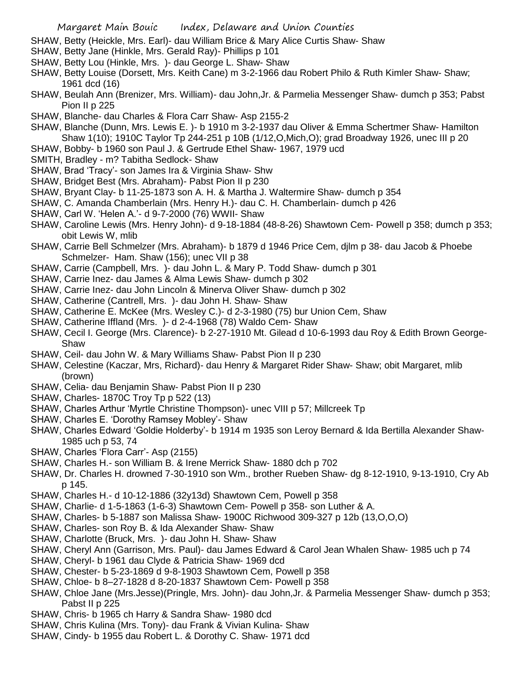SHAW, Betty (Heickle, Mrs. Earl)- dau William Brice & Mary Alice Curtis Shaw- Shaw

- SHAW, Betty Jane (Hinkle, Mrs. Gerald Ray)- Phillips p 101
- SHAW, Betty Lou (Hinkle, Mrs. )- dau George L. Shaw- Shaw
- SHAW, Betty Louise (Dorsett, Mrs. Keith Cane) m 3-2-1966 dau Robert Philo & Ruth Kimler Shaw- Shaw; 1961 dcd (16)
- SHAW, Beulah Ann (Brenizer, Mrs. William)- dau John,Jr. & Parmelia Messenger Shaw- dumch p 353; Pabst Pion II p 225
- SHAW, Blanche- dau Charles & Flora Carr Shaw- Asp 2155-2
- SHAW, Blanche (Dunn, Mrs. Lewis E. )- b 1910 m 3-2-1937 dau Oliver & Emma Schertmer Shaw- Hamilton Shaw 1(10); 1910C Taylor Tp 244-251 p 10B (1/12,O,Mich,O); grad Broadway 1926, unec III p 20
- SHAW, Bobby- b 1960 son Paul J. & Gertrude Ethel Shaw- 1967, 1979 ucd
- SMITH, Bradley m? Tabitha Sedlock- Shaw
- SHAW, Brad 'Tracy'- son James Ira & Virginia Shaw- Shw
- SHAW, Bridget Best (Mrs. Abraham)- Pabst Pion II p 230
- SHAW, Bryant Clay- b 11-25-1873 son A. H. & Martha J. Waltermire Shaw- dumch p 354
- SHAW, C. Amanda Chamberlain (Mrs. Henry H.)- dau C. H. Chamberlain- dumch p 426
- SHAW, Carl W. 'Helen A.'- d 9-7-2000 (76) WWII- Shaw
- SHAW, Caroline Lewis (Mrs. Henry John)- d 9-18-1884 (48-8-26) Shawtown Cem- Powell p 358; dumch p 353; obit Lewis W, mlib
- SHAW, Carrie Bell Schmelzer (Mrs. Abraham)- b 1879 d 1946 Price Cem, djlm p 38- dau Jacob & Phoebe Schmelzer- Ham. Shaw (156); unec VII p 38
- SHAW, Carrie (Campbell, Mrs. )- dau John L. & Mary P. Todd Shaw- dumch p 301
- SHAW, Carrie Inez- dau James & Alma Lewis Shaw- dumch p 302
- SHAW, Carrie Inez- dau John Lincoln & Minerva Oliver Shaw- dumch p 302
- SHAW, Catherine (Cantrell, Mrs. )- dau John H. Shaw- Shaw
- SHAW, Catherine E. McKee (Mrs. Wesley C.)- d 2-3-1980 (75) bur Union Cem, Shaw
- SHAW, Catherine Iffland (Mrs. )- d 2-4-1968 (78) Waldo Cem- Shaw
- SHAW, Cecil I. George (Mrs. Clarence)- b 2-27-1910 Mt. Gilead d 10-6-1993 dau Roy & Edith Brown George-Shaw
- SHAW, Ceil- dau John W. & Mary Williams Shaw- Pabst Pion II p 230
- SHAW, Celestine (Kaczar, Mrs, Richard)- dau Henry & Margaret Rider Shaw- Shaw; obit Margaret, mlib (brown)
- SHAW, Celia- dau Benjamin Shaw- Pabst Pion II p 230
- SHAW, Charles- 1870C Troy Tp p 522 (13)
- SHAW, Charles Arthur 'Myrtle Christine Thompson)- unec VIII p 57; Millcreek Tp
- SHAW, Charles E. 'Dorothy Ramsey Mobley'- Shaw
- SHAW, Charles Edward 'Goldie Holderby'- b 1914 m 1935 son Leroy Bernard & Ida Bertilla Alexander Shaw-1985 uch p 53, 74
- SHAW, Charles 'Flora Carr'- Asp (2155)
- SHAW, Charles H.- son William B. & Irene Merrick Shaw- 1880 dch p 702
- SHAW, Dr. Charles H. drowned 7-30-1910 son Wm., brother Rueben Shaw- dg 8-12-1910, 9-13-1910, Cry Ab p 145.
- SHAW, Charles H.- d 10-12-1886 (32y13d) Shawtown Cem, Powell p 358
- SHAW, Charlie- d 1-5-1863 (1-6-3) Shawtown Cem- Powell p 358- son Luther & A.
- SHAW, Charles- b 5-1887 son Malissa Shaw- 1900C Richwood 309-327 p 12b (13,O,O,O)
- SHAW, Charles- son Roy B. & Ida Alexander Shaw- Shaw
- SHAW, Charlotte (Bruck, Mrs. )- dau John H. Shaw- Shaw
- SHAW, Cheryl Ann (Garrison, Mrs. Paul)- dau James Edward & Carol Jean Whalen Shaw- 1985 uch p 74
- SHAW, Cheryl- b 1961 dau Clyde & Patricia Shaw- 1969 dcd
- SHAW, Chester- b 5-23-1869 d 9-8-1903 Shawtown Cem, Powell p 358
- SHAW, Chloe- b 8–27-1828 d 8-20-1837 Shawtown Cem- Powell p 358
- SHAW, Chloe Jane (Mrs.Jesse)(Pringle, Mrs. John)- dau John,Jr. & Parmelia Messenger Shaw- dumch p 353; Pabst II p 225
- SHAW, Chris- b 1965 ch Harry & Sandra Shaw- 1980 dcd
- SHAW, Chris Kulina (Mrs. Tony)- dau Frank & Vivian Kulina- Shaw
- SHAW, Cindy- b 1955 dau Robert L. & Dorothy C. Shaw- 1971 dcd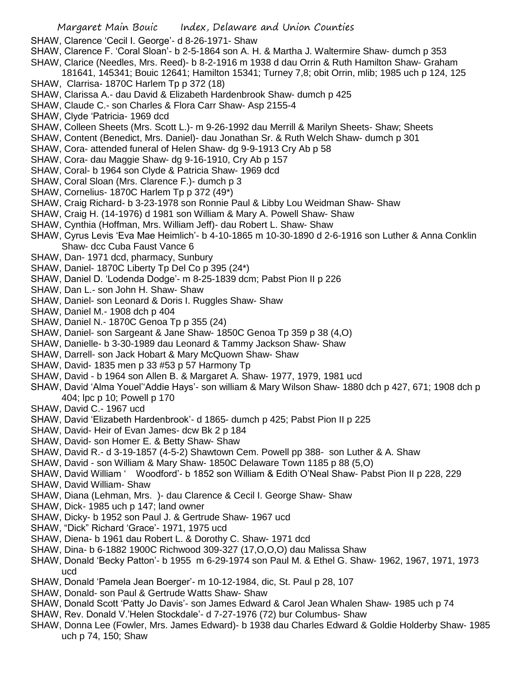SHAW, Clarence 'Cecil I. George'- d 8-26-1971- Shaw

- SHAW, Clarence F. 'Coral Sloan'- b 2-5-1864 son A. H. & Martha J. Waltermire Shaw- dumch p 353
- SHAW, Clarice (Needles, Mrs. Reed)- b 8-2-1916 m 1938 d dau Orrin & Ruth Hamilton Shaw- Graham
- 181641, 145341; Bouic 12641; Hamilton 15341; Turney 7,8; obit Orrin, mlib; 1985 uch p 124, 125 SHAW, Clarrisa- 1870C Harlem Tp p 372 (18)
- SHAW, Clarissa A.- dau David & Elizabeth Hardenbrook Shaw- dumch p 425
- SHAW, Claude C.- son Charles & Flora Carr Shaw- Asp 2155-4
- SHAW, Clyde 'Patricia- 1969 dcd
- SHAW, Colleen Sheets (Mrs. Scott L.)- m 9-26-1992 dau Merrill & Marilyn Sheets- Shaw; Sheets
- SHAW, Content (Benedict, Mrs. Daniel)- dau Jonathan Sr. & Ruth Welch Shaw- dumch p 301
- SHAW, Cora- attended funeral of Helen Shaw- dg 9-9-1913 Cry Ab p 58
- SHAW, Cora- dau Maggie Shaw- dg 9-16-1910, Cry Ab p 157
- SHAW, Coral- b 1964 son Clyde & Patricia Shaw- 1969 dcd
- SHAW, Coral Sloan (Mrs. Clarence F.)- dumch p 3
- SHAW, Cornelius- 1870C Harlem Tp p 372 (49\*)
- SHAW, Craig Richard- b 3-23-1978 son Ronnie Paul & Libby Lou Weidman Shaw- Shaw
- SHAW, Craig H. (14-1976) d 1981 son William & Mary A. Powell Shaw- Shaw
- SHAW, Cynthia (Hoffman, Mrs. William Jeff)- dau Robert L. Shaw- Shaw
- SHAW, Cyrus Levis 'Eva Mae Heimlich'- b 4-10-1865 m 10-30-1890 d 2-6-1916 son Luther & Anna Conklin Shaw- dcc Cuba Faust Vance 6
- SHAW, Dan- 1971 dcd, pharmacy, Sunbury
- SHAW, Daniel- 1870C Liberty Tp Del Co p 395 (24\*)
- SHAW, Daniel D. 'Lodenda Dodge'- m 8-25-1839 dcm; Pabst Pion II p 226
- SHAW, Dan L.- son John H. Shaw- Shaw
- SHAW, Daniel- son Leonard & Doris I. Ruggles Shaw- Shaw
- SHAW, Daniel M.- 1908 dch p 404
- SHAW, Daniel N.- 1870C Genoa Tp p 355 (24)
- SHAW, Daniel- son Sargeant & Jane Shaw- 1850C Genoa Tp 359 p 38 (4,O)
- SHAW, Danielle- b 3-30-1989 dau Leonard & Tammy Jackson Shaw- Shaw
- SHAW, Darrell- son Jack Hobart & Mary McQuown Shaw- Shaw
- SHAW, David- 1835 men p 33 #53 p 57 Harmony Tp
- SHAW, David b 1964 son Allen B. & Margaret A. Shaw- 1977, 1979, 1981 ucd
- SHAW, David 'Alma Youel''Addie Hays'- son william & Mary Wilson Shaw- 1880 dch p 427, 671; 1908 dch p 404; lpc p 10; Powell p 170
- SHAW, David C.- 1967 ucd
- SHAW, David 'Elizabeth Hardenbrook'- d 1865- dumch p 425; Pabst Pion II p 225
- SHAW, David- Heir of Evan James- dcw Bk 2 p 184
- SHAW, David- son Homer E. & Betty Shaw- Shaw
- SHAW, David R.- d 3-19-1857 (4-5-2) Shawtown Cem. Powell pp 388- son Luther & A. Shaw
- SHAW, David son William & Mary Shaw- 1850C Delaware Town 1185 p 88 (5,O)
- SHAW, David William ' Woodford'- b 1852 son William & Edith O'Neal Shaw- Pabst Pion II p 228, 229
- SHAW, David William- Shaw
- SHAW, Diana (Lehman, Mrs. )- dau Clarence & Cecil I. George Shaw- Shaw
- SHAW, Dick- 1985 uch p 147; land owner
- SHAW, Dicky- b 1952 son Paul J. & Gertrude Shaw- 1967 ucd
- SHAW, "Dick" Richard 'Grace'- 1971, 1975 ucd
- SHAW, Diena- b 1961 dau Robert L. & Dorothy C. Shaw- 1971 dcd
- SHAW, Dina- b 6-1882 1900C Richwood 309-327 (17,O,O,O) dau Malissa Shaw
- SHAW, Donald 'Becky Patton'- b 1955 m 6-29-1974 son Paul M. & Ethel G. Shaw- 1962, 1967, 1971, 1973 ucd
- SHAW, Donald 'Pamela Jean Boerger'- m 10-12-1984, dic, St. Paul p 28, 107
- SHAW, Donald- son Paul & Gertrude Watts Shaw- Shaw
- SHAW, Donald Scott 'Patty Jo Davis'- son James Edward & Carol Jean Whalen Shaw- 1985 uch p 74
- SHAW, Rev. Donald V.'Helen Stockdale'- d 7-27-1976 (72) bur Columbus- Shaw
- SHAW, Donna Lee (Fowler, Mrs. James Edward)- b 1938 dau Charles Edward & Goldie Holderby Shaw- 1985 uch p 74, 150; Shaw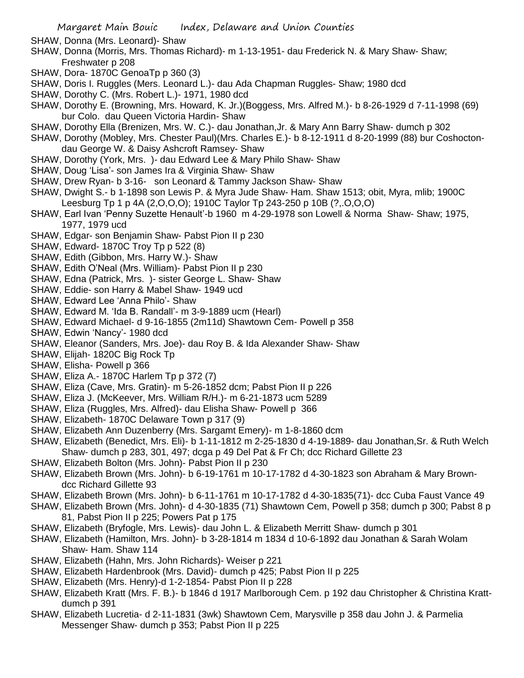- SHAW, Donna (Mrs. Leonard)- Shaw
- SHAW, Donna (Morris, Mrs. Thomas Richard)- m 1-13-1951- dau Frederick N. & Mary Shaw- Shaw; Freshwater p 208
- SHAW, Dora- 1870C GenoaTp p 360 (3)
- SHAW, Doris I. Ruggles (Mers. Leonard L.)- dau Ada Chapman Ruggles- Shaw; 1980 dcd
- SHAW, Dorothy C. (Mrs. Robert L.)- 1971, 1980 dcd
- SHAW, Dorothy E. (Browning, Mrs. Howard, K. Jr.)(Boggess, Mrs. Alfred M.)- b 8-26-1929 d 7-11-1998 (69) bur Colo. dau Queen Victoria Hardin- Shaw
- SHAW, Dorothy Ella (Brenizen, Mrs. W. C.)- dau Jonathan,Jr. & Mary Ann Barry Shaw- dumch p 302
- SHAW, Dorothy (Mobley, Mrs. Chester Paul)(Mrs. Charles E.)- b 8-12-1911 d 8-20-1999 (88) bur Coshoctondau George W. & Daisy Ashcroft Ramsey- Shaw
- SHAW, Dorothy (York, Mrs. )- dau Edward Lee & Mary Philo Shaw- Shaw
- SHAW, Doug 'Lisa'- son James Ira & Virginia Shaw- Shaw
- SHAW, Drew Ryan- b 3-16- son Leonard & Tammy Jackson Shaw- Shaw
- SHAW, Dwight S.- b 1-1898 son Lewis P. & Myra Jude Shaw- Ham. Shaw 1513; obit, Myra, mlib; 1900C Leesburg Tp 1 p 4A (2,O,O,O); 1910C Taylor Tp 243-250 p 10B (?,.O,O,O)
- SHAW, Earl Ivan 'Penny Suzette Henault'-b 1960 m 4-29-1978 son Lowell & Norma Shaw- Shaw; 1975, 1977, 1979 ucd
- SHAW, Edgar- son Benjamin Shaw- Pabst Pion II p 230
- SHAW, Edward- 1870C Troy Tp p 522 (8)
- SHAW, Edith (Gibbon, Mrs. Harry W.)- Shaw
- SHAW, Edith O'Neal (Mrs. William)- Pabst Pion II p 230
- SHAW, Edna (Patrick, Mrs. )- sister George L. Shaw- Shaw
- SHAW, Eddie- son Harry & Mabel Shaw- 1949 ucd
- SHAW, Edward Lee 'Anna Philo'- Shaw
- SHAW, Edward M. 'Ida B. Randall'- m 3-9-1889 ucm (Hearl)
- SHAW, Edward Michael- d 9-16-1855 (2m11d) Shawtown Cem- Powell p 358
- SHAW, Edwin 'Nancy'- 1980 dcd
- SHAW, Eleanor (Sanders, Mrs. Joe)- dau Roy B. & Ida Alexander Shaw- Shaw
- SHAW, Elijah- 1820C Big Rock Tp
- SHAW, Elisha- Powell p 366
- SHAW, Eliza A.- 1870C Harlem Tp p 372 (7)
- SHAW, Eliza (Cave, Mrs. Gratin)- m 5-26-1852 dcm; Pabst Pion II p 226
- SHAW, Eliza J. (McKeever, Mrs. William R/H.)- m 6-21-1873 ucm 5289
- SHAW, Eliza (Ruggles, Mrs. Alfred)- dau Elisha Shaw- Powell p 366
- SHAW, Elizabeth- 1870C Delaware Town p 317 (9)
- SHAW, Elizabeth Ann Duzenberry (Mrs. Sargamt Emery)- m 1-8-1860 dcm
- SHAW, Elizabeth (Benedict, Mrs. Eli)- b 1-11-1812 m 2-25-1830 d 4-19-1889- dau Jonathan,Sr. & Ruth Welch Shaw- dumch p 283, 301, 497; dcga p 49 Del Pat & Fr Ch; dcc Richard Gillette 23
- SHAW, Elizabeth Bolton (Mrs. John)- Pabst Pion II p 230
- SHAW, Elizabeth Brown (Mrs. John)- b 6-19-1761 m 10-17-1782 d 4-30-1823 son Abraham & Mary Browndcc Richard Gillette 93
- SHAW, Elizabeth Brown (Mrs. John)- b 6-11-1761 m 10-17-1782 d 4-30-1835(71)- dcc Cuba Faust Vance 49
- SHAW, Elizabeth Brown (Mrs. John)- d 4-30-1835 (71) Shawtown Cem, Powell p 358; dumch p 300; Pabst 8 p 81, Pabst Pion II p 225; Powers Pat p 175
- SHAW, Elizabeth (Bryfogle, Mrs. Lewis)- dau John L. & Elizabeth Merritt Shaw- dumch p 301
- SHAW, Elizabeth (Hamilton, Mrs. John)- b 3-28-1814 m 1834 d 10-6-1892 dau Jonathan & Sarah Wolam Shaw- Ham. Shaw 114
- SHAW, Elizabeth (Hahn, Mrs. John Richards)- Weiser p 221
- SHAW, Elizabeth Hardenbrook (Mrs. David)- dumch p 425; Pabst Pion II p 225
- SHAW, Elizabeth (Mrs. Henry)-d 1-2-1854- Pabst Pion II p 228
- SHAW, Elizabeth Kratt (Mrs. F. B.)- b 1846 d 1917 Marlborough Cem. p 192 dau Christopher & Christina Krattdumch p 391
- SHAW, Elizabeth Lucretia- d 2-11-1831 (3wk) Shawtown Cem, Marysville p 358 dau John J. & Parmelia Messenger Shaw- dumch p 353; Pabst Pion II p 225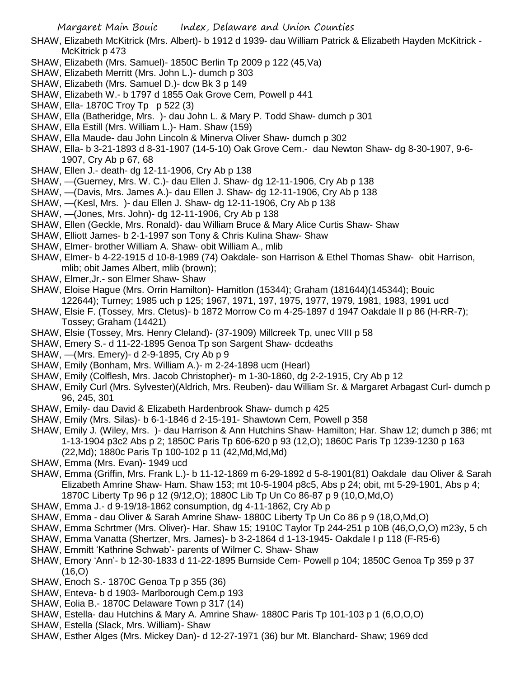- SHAW, Elizabeth McKitrick (Mrs. Albert)- b 1912 d 1939- dau William Patrick & Elizabeth Hayden McKitrick McKitrick p 473
- SHAW, Elizabeth (Mrs. Samuel)- 1850C Berlin Tp 2009 p 122 (45,Va)
- SHAW, Elizabeth Merritt (Mrs. John L.)- dumch p 303
- SHAW, Elizabeth (Mrs. Samuel D.)- dcw Bk 3 p 149
- SHAW, Elizabeth W.- b 1797 d 1855 Oak Grove Cem, Powell p 441
- SHAW, Ella- 1870C Troy Tp p 522 (3)
- SHAW, Ella (Batheridge, Mrs. )- dau John L. & Mary P. Todd Shaw- dumch p 301
- SHAW, Ella Estill (Mrs. William L.)- Ham. Shaw (159)
- SHAW, Ella Maude- dau John Lincoln & Minerva Oliver Shaw- dumch p 302
- SHAW, Ella- b 3-21-1893 d 8-31-1907 (14-5-10) Oak Grove Cem.- dau Newton Shaw- dg 8-30-1907, 9-6- 1907, Cry Ab p 67, 68
- SHAW, Ellen J.- death- dg 12-11-1906, Cry Ab p 138
- SHAW, —(Guerney, Mrs. W. C.)- dau Ellen J. Shaw- dg 12-11-1906, Cry Ab p 138
- SHAW, —(Davis, Mrs. James A.)- dau Ellen J. Shaw- dg 12-11-1906, Cry Ab p 138
- SHAW, —(Kesl, Mrs. )- dau Ellen J. Shaw- dg 12-11-1906, Cry Ab p 138
- SHAW, —(Jones, Mrs. John)- dg 12-11-1906, Cry Ab p 138
- SHAW, Ellen (Geckle, Mrs. Ronald)- dau William Bruce & Mary Alice Curtis Shaw- Shaw
- SHAW, Elliott James- b 2-1-1997 son Tony & Chris Kulina Shaw- Shaw
- SHAW, Elmer- brother William A. Shaw- obit William A., mlib
- SHAW, Elmer- b 4-22-1915 d 10-8-1989 (74) Oakdale- son Harrison & Ethel Thomas Shaw- obit Harrison, mlib; obit James Albert, mlib (brown);
- SHAW, Elmer,Jr.- son Elmer Shaw- Shaw
- SHAW, Eloise Hague (Mrs. Orrin Hamilton)- Hamitlon (15344); Graham (181644)(145344); Bouic 122644); Turney; 1985 uch p 125; 1967, 1971, 197, 1975, 1977, 1979, 1981, 1983, 1991 ucd
- SHAW, Elsie F. (Tossey, Mrs. Cletus)- b 1872 Morrow Co m 4-25-1897 d 1947 Oakdale II p 86 (H-RR-7); Tossey; Graham (14421)
- SHAW, Elsie (Tossey, Mrs. Henry Cleland)- (37-1909) Millcreek Tp, unec VIII p 58
- SHAW, Emery S.- d 11-22-1895 Genoa Tp son Sargent Shaw- dcdeaths
- SHAW, —(Mrs. Emery)- d 2-9-1895, Cry Ab p 9
- SHAW, Emily (Bonham, Mrs. William A.)- m 2-24-1898 ucm (Hearl)
- SHAW, Emily (Colflesh, Mrs. Jacob Christopher)- m 1-30-1860, dg 2-2-1915, Cry Ab p 12
- SHAW, Emily Curl (Mrs. Sylvester)(Aldrich, Mrs. Reuben)- dau William Sr. & Margaret Arbagast Curl- dumch p 96, 245, 301
- SHAW, Emily- dau David & Elizabeth Hardenbrook Shaw- dumch p 425
- SHAW, Emily (Mrs. Silas)- b 6-1-1846 d 2-15-191- Shawtown Cem, Powell p 358
- SHAW, Emily J. (Wiley, Mrs. )- dau Harrison & Ann Hutchins Shaw- Hamilton; Har. Shaw 12; dumch p 386; mt 1-13-1904 p3c2 Abs p 2; 1850C Paris Tp 606-620 p 93 (12,O); 1860C Paris Tp 1239-1230 p 163 (22,Md); 1880c Paris Tp 100-102 p 11 (42,Md,Md,Md)
- SHAW, Emma (Mrs. Evan)- 1949 ucd
- SHAW, Emma (Griffin, Mrs. Frank L.)- b 11-12-1869 m 6-29-1892 d 5-8-1901(81) Oakdale dau Oliver & Sarah Elizabeth Amrine Shaw- Ham. Shaw 153; mt 10-5-1904 p8c5, Abs p 24; obit, mt 5-29-1901, Abs p 4; 1870C Liberty Tp 96 p 12 (9/12,O); 1880C Lib Tp Un Co 86-87 p 9 (10,O,Md,O)
- SHAW, Emma J.- d 9-19/18-1862 consumption, dg 4-11-1862, Cry Ab p
- SHAW, Emma dau Oliver & Sarah Amrine Shaw- 1880C Liberty Tp Un Co 86 p 9 (18,O,Md,O)
- SHAW, Emma Schrtmer (Mrs. Oliver)- Har. Shaw 15; 1910C Taylor Tp 244-251 p 10B (46,O,O,O) m23y, 5 ch
- SHAW, Emma Vanatta (Shertzer, Mrs. James)- b 3-2-1864 d 1-13-1945- Oakdale I p 118 (F-R5-6)
- SHAW, Emmitt 'Kathrine Schwab'- parents of Wilmer C. Shaw- Shaw
- SHAW, Emory 'Ann'- b 12-30-1833 d 11-22-1895 Burnside Cem- Powell p 104; 1850C Genoa Tp 359 p 37  $(16, O)$
- SHAW, Enoch S.- 1870C Genoa Tp p 355 (36)
- SHAW, Enteva- b d 1903- Marlborough Cem.p 193
- SHAW, Eolia B.- 1870C Delaware Town p 317 (14)
- SHAW, Estella- dau Hutchins & Mary A. Amrine Shaw- 1880C Paris Tp 101-103 p 1 (6,O,O,O)
- SHAW, Estella (Slack, Mrs. William)- Shaw
- SHAW, Esther Alges (Mrs. Mickey Dan)- d 12-27-1971 (36) bur Mt. Blanchard- Shaw; 1969 dcd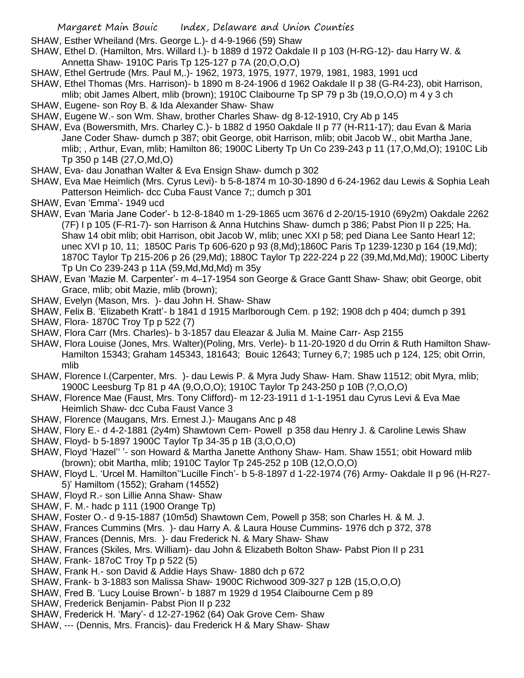- SHAW, Esther Wheiland (Mrs. George L.)- d 4-9-1966 (59) Shaw
- SHAW, Ethel D. (Hamilton, Mrs. Willard I.)- b 1889 d 1972 Oakdale II p 103 (H-RG-12)- dau Harry W. & Annetta Shaw- 1910C Paris Tp 125-127 p 7A (20,O,O,O)
- SHAW, Ethel Gertrude (Mrs. Paul M,.)- 1962, 1973, 1975, 1977, 1979, 1981, 1983, 1991 ucd
- SHAW, Ethel Thomas (Mrs. Harrison)- b 1890 m 8-24-1906 d 1962 Oakdale II p 38 (G-R4-23), obit Harrison, mlib; obit James Albert, mlib (brown); 1910C Claibourne Tp SP 79 p 3b (19,O,O,O) m 4 y 3 ch
- SHAW, Eugene- son Roy B. & Ida Alexander Shaw- Shaw
- SHAW, Eugene W.- son Wm. Shaw, brother Charles Shaw- dg 8-12-1910, Cry Ab p 145
- SHAW, Eva (Bowersmith, Mrs. Charley C.)- b 1882 d 1950 Oakdale II p 77 (H-R11-17); dau Evan & Maria Jane Coder Shaw- dumch p 387; obit George, obit Harrison, mlib; obit Jacob W., obit Martha Jane, mlib; , Arthur, Evan, mlib; Hamilton 86; 1900C Liberty Tp Un Co 239-243 p 11 (17,O,Md,O); 1910C Lib Tp 350 p 14B (27,O,Md,O)
- SHAW, Eva- dau Jonathan Walter & Eva Ensign Shaw- dumch p 302
- SHAW, Eva Mae Heimlich (Mrs. Cyrus Levi)- b 5-8-1874 m 10-30-1890 d 6-24-1962 dau Lewis & Sophia Leah Patterson Heimlich- dcc Cuba Faust Vance 7;; dumch p 301
- SHAW, Evan 'Emma'- 1949 ucd
- SHAW, Evan 'Maria Jane Coder'- b 12-8-1840 m 1-29-1865 ucm 3676 d 2-20/15-1910 (69y2m) Oakdale 2262 (7F) I p 105 (F-R1-7)- son Harrison & Anna Hutchins Shaw- dumch p 386; Pabst Pion II p 225; Ha. Shaw 14 obit mlib; obit Harrison, obit Jacob W, mlib; unec XXI p 58; ped Diana Lee Santo Hearl 12; unec XVI p 10, 11; 1850C Paris Tp 606-620 p 93 (8,Md);1860C Paris Tp 1239-1230 p 164 (19,Md); 1870C Taylor Tp 215-206 p 26 (29,Md); 1880C Taylor Tp 222-224 p 22 (39,Md,Md,Md); 1900C Liberty Tp Un Co 239-243 p 11A (59,Md,Md,Md) m 35y
- SHAW, Evan 'Mazie M. Carpenter'- m 4–17-1954 son George & Grace Gantt Shaw- Shaw; obit George, obit Grace, mlib; obit Mazie, mlib (brown);
- SHAW, Evelyn (Mason, Mrs. )- dau John H. Shaw- Shaw
- SHAW, Felix B. 'Elizabeth Kratt'- b 1841 d 1915 Marlborough Cem. p 192; 1908 dch p 404; dumch p 391
- SHAW, Flora- 1870C Troy Tp p 522 (7)
- SHAW, Flora Carr (Mrs. Charles)- b 3-1857 dau Eleazar & Julia M. Maine Carr- Asp 2155
- SHAW, Flora Louise (Jones, Mrs. Walter)(Poling, Mrs. Verle)- b 11-20-1920 d du Orrin & Ruth Hamilton Shaw-Hamilton 15343; Graham 145343, 181643; Bouic 12643; Turney 6,7; 1985 uch p 124, 125; obit Orrin, mlib
- SHAW, Florence I.(Carpenter, Mrs. )- dau Lewis P. & Myra Judy Shaw- Ham. Shaw 11512; obit Myra, mlib; 1900C Leesburg Tp 81 p 4A (9,O,O,O); 1910C Taylor Tp 243-250 p 10B (?,O,O,O)
- SHAW, Florence Mae (Faust, Mrs. Tony Clifford)- m 12-23-1911 d 1-1-1951 dau Cyrus Levi & Eva Mae Heimlich Shaw- dcc Cuba Faust Vance 3
- SHAW, Florence (Maugans, Mrs. Ernest J.)- Maugans Anc p 48
- SHAW, Flory E.- d 4-2-1881 (2y4m) Shawtown Cem- Powell p 358 dau Henry J. & Caroline Lewis Shaw
- SHAW, Floyd- b 5-1897 1900C Taylor Tp 34-35 p 1B (3,O,O,O)
- SHAW, Floyd 'Hazel'' '- son Howard & Martha Janette Anthony Shaw- Ham. Shaw 1551; obit Howard mlib (brown); obit Martha, mlib; 1910C Taylor Tp 245-252 p 10B (12,O,O,O)
- SHAW, Floyd L. 'Urcel M. Hamilton''Lucille Finch'- b 5-8-1897 d 1-22-1974 (76) Army- Oakdale II p 96 (H-R27- 5)' Hamiltom (1552); Graham (14552)
- SHAW, Floyd R.- son Lillie Anna Shaw- Shaw
- SHAW, F. M.- hadc p 111 (1900 Orange Tp)
- SHAW, Foster O.- d 9-15-1887 (10m5d) Shawtown Cem, Powell p 358; son Charles H. & M. J.
- SHAW, Frances Cummins (Mrs. )- dau Harry A. & Laura House Cummins- 1976 dch p 372, 378
- SHAW, Frances (Dennis, Mrs. )- dau Frederick N. & Mary Shaw- Shaw
- SHAW, Frances (Skiles, Mrs. William)- dau John & Elizabeth Bolton Shaw- Pabst Pion II p 231
- SHAW, Frank- 187oC Troy Tp p 522 (5)
- SHAW, Frank H.- son David & Addie Hays Shaw- 1880 dch p 672
- SHAW, Frank- b 3-1883 son Malissa Shaw- 1900C Richwood 309-327 p 12B (15,O,O,O)
- SHAW, Fred B. 'Lucy Louise Brown'- b 1887 m 1929 d 1954 Claibourne Cem p 89
- SHAW, Frederick Benjamin- Pabst Pion II p 232
- SHAW, Frederick H. 'Mary'- d 12-27-1962 (64) Oak Grove Cem- Shaw
- SHAW, --- (Dennis, Mrs. Francis)- dau Frederick H & Mary Shaw- Shaw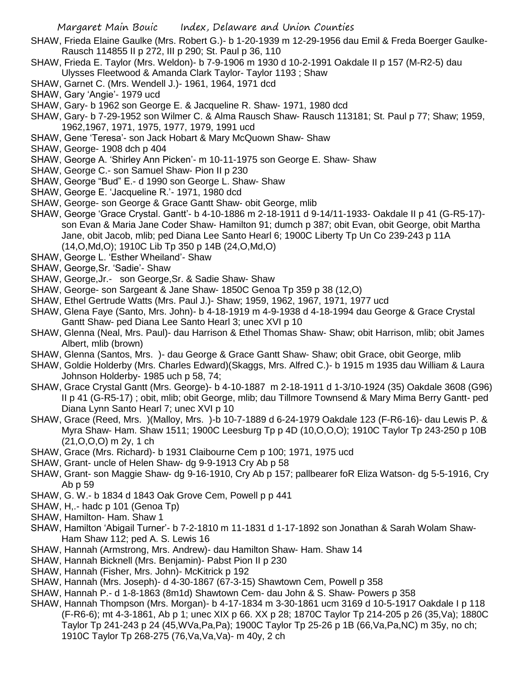- SHAW, Frieda Elaine Gaulke (Mrs. Robert G.)- b 1-20-1939 m 12-29-1956 dau Emil & Freda Boerger Gaulke-Rausch 114855 II p 272, III p 290; St. Paul p 36, 110
- SHAW, Frieda E. Taylor (Mrs. Weldon)- b 7-9-1906 m 1930 d 10-2-1991 Oakdale II p 157 (M-R2-5) dau Ulysses Fleetwood & Amanda Clark Taylor- Taylor 1193 ; Shaw
- SHAW, Garnet C. (Mrs. Wendell J.)- 1961, 1964, 1971 dcd
- SHAW, Gary 'Angie'- 1979 ucd
- SHAW, Gary- b 1962 son George E. & Jacqueline R. Shaw- 1971, 1980 dcd
- SHAW, Gary- b 7-29-1952 son Wilmer C. & Alma Rausch Shaw- Rausch 113181; St. Paul p 77; Shaw; 1959, 1962,1967, 1971, 1975, 1977, 1979, 1991 ucd
- SHAW, Gene 'Teresa'- son Jack Hobart & Mary McQuown Shaw- Shaw
- SHAW, George- 1908 dch p 404
- SHAW, George A. 'Shirley Ann Picken'- m 10-11-1975 son George E. Shaw- Shaw
- SHAW, George C.- son Samuel Shaw- Pion II p 230
- SHAW, George "Bud" E.- d 1990 son George L. Shaw- Shaw
- SHAW, George E. 'Jacqueline R.'- 1971, 1980 dcd
- SHAW, George- son George & Grace Gantt Shaw- obit George, mlib
- SHAW, George 'Grace Crystal. Gantt'- b 4-10-1886 m 2-18-1911 d 9-14/11-1933- Oakdale II p 41 (G-R5-17) son Evan & Maria Jane Coder Shaw- Hamilton 91; dumch p 387; obit Evan, obit George, obit Martha Jane, obit Jacob, mlib; ped Diana Lee Santo Hearl 6; 1900C Liberty Tp Un Co 239-243 p 11A (14,O,Md,O); 1910C Lib Tp 350 p 14B (24,O,Md,O)
- SHAW, George L. 'Esther Wheiland'- Shaw
- SHAW, George,Sr. 'Sadie'- Shaw
- SHAW, George,Jr.- son George,Sr. & Sadie Shaw- Shaw
- SHAW, George- son Sargeant & Jane Shaw- 1850C Genoa Tp 359 p 38 (12,O)
- SHAW, Ethel Gertrude Watts (Mrs. Paul J.)- Shaw; 1959, 1962, 1967, 1971, 1977 ucd
- SHAW, Glena Faye (Santo, Mrs. John)- b 4-18-1919 m 4-9-1938 d 4-18-1994 dau George & Grace Crystal Gantt Shaw- ped Diana Lee Santo Hearl 3; unec XVI p 10
- SHAW, Glenna (Neal, Mrs. Paul)- dau Harrison & Ethel Thomas Shaw- Shaw; obit Harrison, mlib; obit James Albert, mlib (brown)
- SHAW, Glenna (Santos, Mrs. )- dau George & Grace Gantt Shaw- Shaw; obit Grace, obit George, mlib
- SHAW, Goldie Holderby (Mrs. Charles Edward)(Skaggs, Mrs. Alfred C.)- b 1915 m 1935 dau William & Laura Johnson Holderby- 1985 uch p 58, 74;
- SHAW, Grace Crystal Gantt (Mrs. George)- b 4-10-1887 m 2-18-1911 d 1-3/10-1924 (35) Oakdale 3608 (G96) II p 41 (G-R5-17) ; obit, mlib; obit George, mlib; dau Tillmore Townsend & Mary Mima Berry Gantt- ped Diana Lynn Santo Hearl 7; unec XVI p 10
- SHAW, Grace (Reed, Mrs. )(Malloy, Mrs. )-b 10-7-1889 d 6-24-1979 Oakdale 123 (F-R6-16)- dau Lewis P. & Myra Shaw- Ham. Shaw 1511; 1900C Leesburg Tp p 4D (10,O,O,O); 1910C Taylor Tp 243-250 p 10B (21,O,O,O) m 2y, 1 ch
- SHAW, Grace (Mrs. Richard)- b 1931 Claibourne Cem p 100; 1971, 1975 ucd
- SHAW, Grant- uncle of Helen Shaw- dg 9-9-1913 Cry Ab p 58
- SHAW, Grant- son Maggie Shaw- dg 9-16-1910, Cry Ab p 157; pallbearer foR Eliza Watson- dg 5-5-1916, Cry Ab p 59
- SHAW, G. W.- b 1834 d 1843 Oak Grove Cem, Powell p p 441
- SHAW, H,.- hadc p 101 (Genoa Tp)
- SHAW, Hamilton- Ham. Shaw 1
- SHAW, Hamilton 'Abigail Turner'- b 7-2-1810 m 11-1831 d 1-17-1892 son Jonathan & Sarah Wolam Shaw-Ham Shaw 112; ped A. S. Lewis 16
- SHAW, Hannah (Armstrong, Mrs. Andrew)- dau Hamilton Shaw- Ham. Shaw 14
- SHAW, Hannah Bicknell (Mrs. Benjamin)- Pabst Pion II p 230
- SHAW, Hannah (Fisher, Mrs. John)- McKitrick p 192
- SHAW, Hannah (Mrs. Joseph)- d 4-30-1867 (67-3-15) Shawtown Cem, Powell p 358
- SHAW, Hannah P.- d 1-8-1863 (8m1d) Shawtown Cem- dau John & S. Shaw- Powers p 358
- SHAW, Hannah Thompson (Mrs. Morgan)- b 4-17-1834 m 3-30-1861 ucm 3169 d 10-5-1917 Oakdale I p 118 (F-R6-6); mt 4-3-1861, Ab p 1; unec XIX p 66. XX p 28; 1870C Taylor Tp 214-205 p 26 (35,Va); 1880C Taylor Tp 241-243 p 24 (45,WVa,Pa,Pa); 1900C Taylor Tp 25-26 p 1B (66,Va,Pa,NC) m 35y, no ch; 1910C Taylor Tp 268-275 (76,Va,Va,Va)- m 40y, 2 ch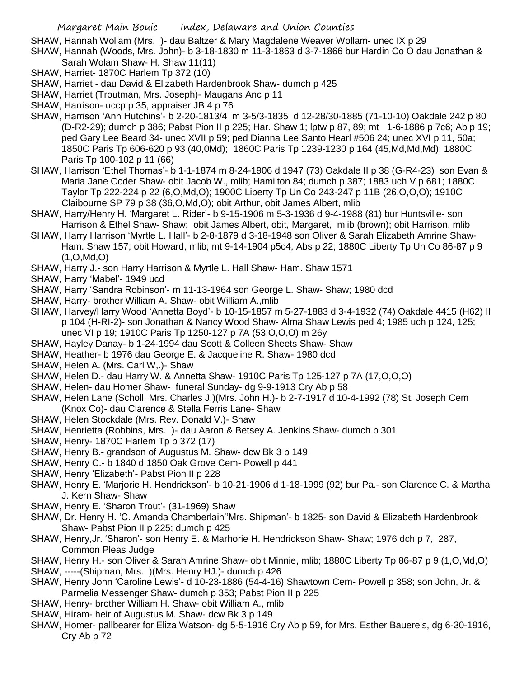SHAW, Hannah Wollam (Mrs. )- dau Baltzer & Mary Magdalene Weaver Wollam- unec IX p 29

- SHAW, Hannah (Woods, Mrs. John)- b 3-18-1830 m 11-3-1863 d 3-7-1866 bur Hardin Co O dau Jonathan & Sarah Wolam Shaw- H. Shaw 11(11)
- SHAW, Harriet- 1870C Harlem Tp 372 (10)
- SHAW, Harriet dau David & Elizabeth Hardenbrook Shaw- dumch p 425
- SHAW, Harriet (Troutman, Mrs. Joseph)- Maugans Anc p 11
- SHAW, Harrison- uccp p 35, appraiser JB 4 p 76
- SHAW, Harrison 'Ann Hutchins'- b 2-20-1813/4 m 3-5/3-1835 d 12-28/30-1885 (71-10-10) Oakdale 242 p 80 (D-R2-29); dumch p 386; Pabst Pion II p 225; Har. Shaw 1; lptw p 87, 89; mt 1-6-1886 p 7c6; Ab p 19; ped Gary Lee Beard 34- unec XVII p 59; ped Dianna Lee Santo Hearl #506 24; unec XVI p 11, 50a; 1850C Paris Tp 606-620 p 93 (40,0Md); 1860C Paris Tp 1239-1230 p 164 (45,Md,Md,Md); 1880C Paris Tp 100-102 p 11 (66)
- SHAW, Harrison 'Ethel Thomas'- b 1-1-1874 m 8-24-1906 d 1947 (73) Oakdale II p 38 (G-R4-23) son Evan & Maria Jane Coder Shaw- obit Jacob W., mlib; Hamilton 84; dumch p 387; 1883 uch V p 681; 1880C Taylor Tp 222-224 p 22 (6,O,Md,O); 1900C Liberty Tp Un Co 243-247 p 11B (26,O,O,O); 1910C Claibourne SP 79 p 38 (36,O,Md,O); obit Arthur, obit James Albert, mlib
- SHAW, Harry/Henry H. 'Margaret L. Rider'- b 9-15-1906 m 5-3-1936 d 9-4-1988 (81) bur Huntsville- son Harrison & Ethel Shaw- Shaw; obit James Albert, obit, Margaret, mlib (brown); obit Harrison, mlib
- SHAW, Harry Harrison 'Myrtle L. Hall'- b 2-8-1879 d 3-18-1948 son Oliver & Sarah Elizabeth Amrine Shaw-Ham. Shaw 157; obit Howard, mlib; mt 9-14-1904 p5c4, Abs p 22; 1880C Liberty Tp Un Co 86-87 p 9 (1,O,Md,O)
- SHAW, Harry J.- son Harry Harrison & Myrtle L. Hall Shaw- Ham. Shaw 1571
- SHAW, Harry 'Mabel'- 1949 ucd
- SHAW, Harry 'Sandra Robinson'- m 11-13-1964 son George L. Shaw- Shaw; 1980 dcd
- SHAW, Harry- brother William A. Shaw- obit William A.,mlib
- SHAW, Harvey/Harry Wood 'Annetta Boyd'- b 10-15-1857 m 5-27-1883 d 3-4-1932 (74) Oakdale 4415 (H62) II p 104 (H-RI-2)- son Jonathan & Nancy Wood Shaw- Alma Shaw Lewis ped 4; 1985 uch p 124, 125; unec VI p 19; 1910C Paris Tp 1250-127 p 7A (53,O,O,O) m 26y
- SHAW, Hayley Danay- b 1-24-1994 dau Scott & Colleen Sheets Shaw- Shaw
- SHAW, Heather- b 1976 dau George E. & Jacqueline R. Shaw- 1980 dcd
- SHAW, Helen A. (Mrs. Carl W,.)- Shaw
- SHAW, Helen D.- dau Harry W. & Annetta Shaw- 1910C Paris Tp 125-127 p 7A (17,O,O,O)
- SHAW, Helen- dau Homer Shaw- funeral Sunday- dg 9-9-1913 Cry Ab p 58
- SHAW, Helen Lane (Scholl, Mrs. Charles J.)(Mrs. John H.)- b 2-7-1917 d 10-4-1992 (78) St. Joseph Cem (Knox Co)- dau Clarence & Stella Ferris Lane- Shaw
- SHAW, Helen Stockdale (Mrs. Rev. Donald V.)- Shaw
- SHAW, Henrietta (Robbins, Mrs. )- dau Aaron & Betsey A. Jenkins Shaw- dumch p 301
- SHAW, Henry- 1870C Harlem Tp p 372 (17)
- SHAW, Henry B.- grandson of Augustus M. Shaw- dcw Bk 3 p 149
- SHAW, Henry C.- b 1840 d 1850 Oak Grove Cem- Powell p 441
- SHAW, Henry 'Elizabeth'- Pabst Pion II p 228
- SHAW, Henry E. 'Marjorie H. Hendrickson'- b 10-21-1906 d 1-18-1999 (92) bur Pa.- son Clarence C. & Martha J. Kern Shaw- Shaw
- SHAW, Henry E. 'Sharon Trout'- (31-1969) Shaw
- SHAW, Dr. Henry H. 'C. Amanda Chamberlain''Mrs. Shipman'- b 1825- son David & Elizabeth Hardenbrook Shaw- Pabst Pion II p 225; dumch p 425
- SHAW, Henry,Jr. 'Sharon'- son Henry E. & Marhorie H. Hendrickson Shaw- Shaw; 1976 dch p 7, 287, Common Pleas Judge
- SHAW, Henry H.- son Oliver & Sarah Amrine Shaw- obit Minnie, mlib; 1880C Liberty Tp 86-87 p 9 (1,O,Md,O)
- SHAW, -----(Shipman, Mrs. )(Mrs. Henry HJ.)- dumch p 426
- SHAW, Henry John 'Caroline Lewis'- d 10-23-1886 (54-4-16) Shawtown Cem- Powell p 358; son John, Jr. & Parmelia Messenger Shaw- dumch p 353; Pabst Pion II p 225
- SHAW, Henry- brother William H. Shaw- obit William A., mlib
- SHAW, Hiram- heir of Augustus M. Shaw- dcw Bk 3 p 149
- SHAW, Homer- pallbearer for Eliza Watson- dg 5-5-1916 Cry Ab p 59, for Mrs. Esther Bauereis, dg 6-30-1916, Cry Ab p 72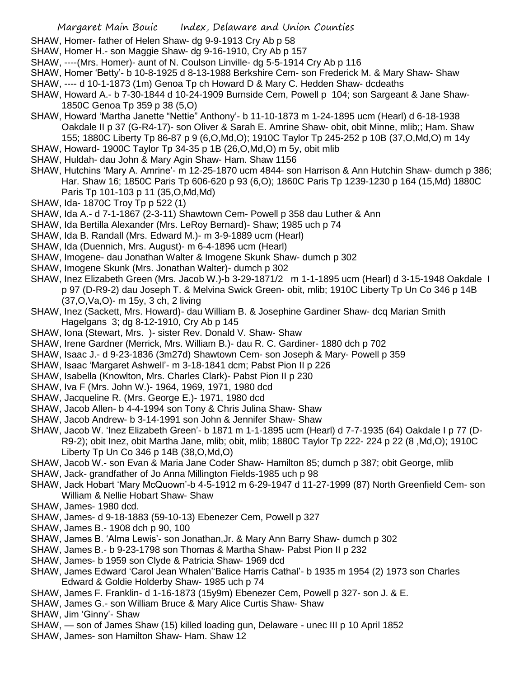- SHAW, Homer- father of Helen Shaw- dg 9-9-1913 Cry Ab p 58
- SHAW, Homer H.- son Maggie Shaw- dg 9-16-1910, Cry Ab p 157
- SHAW, ----(Mrs. Homer)- aunt of N. Coulson Linville- dg 5-5-1914 Cry Ab p 116
- SHAW, Homer 'Betty'- b 10-8-1925 d 8-13-1988 Berkshire Cem- son Frederick M. & Mary Shaw- Shaw
- SHAW, ---- d 10-1-1873 (1m) Genoa Tp ch Howard D & Mary C. Hedden Shaw- dcdeaths
- SHAW, Howard A.- b 7-30-1844 d 10-24-1909 Burnside Cem, Powell p 104; son Sargeant & Jane Shaw-1850C Genoa Tp 359 p 38 (5,O)
- SHAW, Howard 'Martha Janette "Nettie" Anthony'- b 11-10-1873 m 1-24-1895 ucm (Hearl) d 6-18-1938 Oakdale II p 37 (G-R4-17)- son Oliver & Sarah E. Amrine Shaw- obit, obit Minne, mlib;; Ham. Shaw 155; 1880C Liberty Tp 86-87 p 9 (6,O,Md,O); 1910C Taylor Tp 245-252 p 10B (37,O,Md,O) m 14y
- SHAW, Howard- 1900C Taylor Tp 34-35 p 1B (26,O,Md,O) m 5y, obit mlib
- SHAW, Huldah- dau John & Mary Agin Shaw- Ham. Shaw 1156
- SHAW, Hutchins 'Mary A. Amrine'- m 12-25-1870 ucm 4844- son Harrison & Ann Hutchin Shaw- dumch p 386; Har. Shaw 16; 1850C Paris Tp 606-620 p 93 (6,O); 1860C Paris Tp 1239-1230 p 164 (15,Md) 1880C Paris Tp 101-103 p 11 (35,O,Md,Md)
- SHAW, Ida- 1870C Troy Tp p 522 (1)
- SHAW, Ida A.- d 7-1-1867 (2-3-11) Shawtown Cem- Powell p 358 dau Luther & Ann
- SHAW, Ida Bertilla Alexander (Mrs. LeRoy Bernard)- Shaw; 1985 uch p 74
- SHAW, Ida B. Randall (Mrs. Edward M.)- m 3-9-1889 ucm (Hearl)
- SHAW, Ida (Duennich, Mrs. August)- m 6-4-1896 ucm (Hearl)
- SHAW, Imogene- dau Jonathan Walter & Imogene Skunk Shaw- dumch p 302
- SHAW, Imogene Skunk (Mrs. Jonathan Walter)- dumch p 302
- SHAW, Inez Elizabeth Green (Mrs. Jacob W.)-b 3-29-1871/2 m 1-1-1895 ucm (Hearl) d 3-15-1948 Oakdale I p 97 (D-R9-2) dau Joseph T. & Melvina Swick Green- obit, mlib; 1910C Liberty Tp Un Co 346 p 14B (37,O,Va,O)- m 15y, 3 ch, 2 living
- SHAW, Inez (Sackett, Mrs. Howard)- dau William B. & Josephine Gardiner Shaw- dcq Marian Smith Hagelgans 3; dg 8-12-1910, Cry Ab p 145
- SHAW, Iona (Stewart, Mrs. )- sister Rev. Donald V. Shaw- Shaw
- SHAW, Irene Gardner (Merrick, Mrs. William B.)- dau R. C. Gardiner- 1880 dch p 702
- SHAW, Isaac J.- d 9-23-1836 (3m27d) Shawtown Cem- son Joseph & Mary- Powell p 359
- SHAW, Isaac 'Margaret Ashwell'- m 3-18-1841 dcm; Pabst Pion II p 226
- SHAW, Isabella (Knowlton, Mrs. Charles Clark)- Pabst Pion II p 230
- SHAW, Iva F (Mrs. John W.)- 1964, 1969, 1971, 1980 dcd
- SHAW, Jacqueline R. (Mrs. George E.)- 1971, 1980 dcd
- SHAW, Jacob Allen- b 4-4-1994 son Tony & Chris Julina Shaw- Shaw
- SHAW, Jacob Andrew- b 3-14-1991 son John & Jennifer Shaw- Shaw
- SHAW, Jacob W. 'Inez Elizabeth Green'- b 1871 m 1-1-1895 ucm (Hearl) d 7-7-1935 (64) Oakdale I p 77 (D-R9-2); obit Inez, obit Martha Jane, mlib; obit, mlib; 1880C Taylor Tp 222- 224 p 22 (8 ,Md,O); 1910C Liberty Tp Un Co 346 p 14B (38,O,Md,O)
- SHAW, Jacob W.- son Evan & Maria Jane Coder Shaw- Hamilton 85; dumch p 387; obit George, mlib
- SHAW, Jack- grandfather of Jo Anna Millington Fields-1985 uch p 98
- SHAW, Jack Hobart 'Mary McQuown'-b 4-5-1912 m 6-29-1947 d 11-27-1999 (87) North Greenfield Cem- son William & Nellie Hobart Shaw- Shaw
- SHAW, James- 1980 dcd.
- SHAW, James- d 9-18-1883 (59-10-13) Ebenezer Cem, Powell p 327
- SHAW, James B.- 1908 dch p 90, 100
- SHAW, James B. 'Alma Lewis'- son Jonathan,Jr. & Mary Ann Barry Shaw- dumch p 302
- SHAW, James B.- b 9-23-1798 son Thomas & Martha Shaw- Pabst Pion II p 232
- SHAW, James- b 1959 son Clyde & Patricia Shaw- 1969 dcd
- SHAW, James Edward 'Carol Jean Whalen''Balice Harris Cathal'- b 1935 m 1954 (2) 1973 son Charles Edward & Goldie Holderby Shaw- 1985 uch p 74
- SHAW, James F. Franklin- d 1-16-1873 (15y9m) Ebenezer Cem, Powell p 327- son J. & E.
- SHAW, James G.- son William Bruce & Mary Alice Curtis Shaw- Shaw
- SHAW, Jim 'Ginny'- Shaw
- SHAW, son of James Shaw (15) killed loading gun, Delaware unec III p 10 April 1852
- SHAW, James- son Hamilton Shaw- Ham. Shaw 12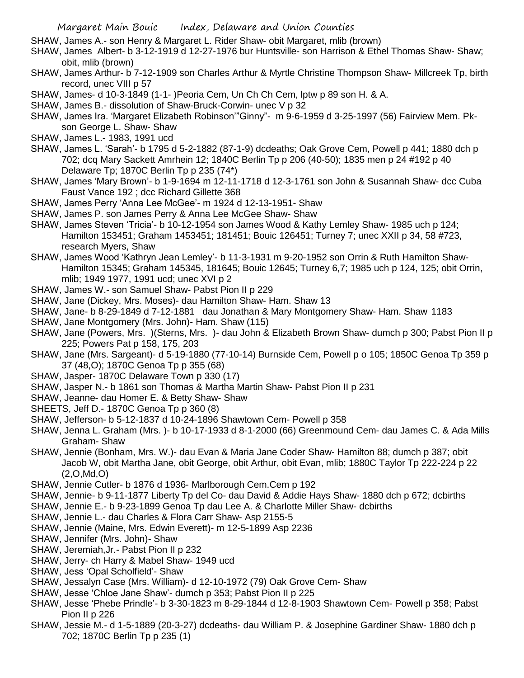- SHAW, James A.- son Henry & Margaret L. Rider Shaw- obit Margaret, mlib (brown)
- SHAW, James Albert- b 3-12-1919 d 12-27-1976 bur Huntsville- son Harrison & Ethel Thomas Shaw- Shaw; obit, mlib (brown)
- SHAW, James Arthur- b 7-12-1909 son Charles Arthur & Myrtle Christine Thompson Shaw- Millcreek Tp, birth record, unec VIII p 57
- SHAW, James- d 10-3-1849 (1-1- )Peoria Cem, Un Ch Ch Cem, lptw p 89 son H. & A.
- SHAW, James B.- dissolution of Shaw-Bruck-Corwin- unec V p 32
- SHAW, James Ira. 'Margaret Elizabeth Robinson'"Ginny"- m 9-6-1959 d 3-25-1997 (56) Fairview Mem. Pkson George L. Shaw- Shaw
- SHAW, James L.- 1983, 1991 ucd
- SHAW, James L. 'Sarah'- b 1795 d 5-2-1882 (87-1-9) dcdeaths; Oak Grove Cem, Powell p 441; 1880 dch p 702; dcq Mary Sackett Amrhein 12; 1840C Berlin Tp p 206 (40-50); 1835 men p 24 #192 p 40 Delaware Tp; 1870C Berlin Tp p 235 (74\*)
- SHAW, James 'Mary Brown'- b 1-9-1694 m 12-11-1718 d 12-3-1761 son John & Susannah Shaw- dcc Cuba Faust Vance 192 ; dcc Richard Gillette 368
- SHAW, James Perry 'Anna Lee McGee'- m 1924 d 12-13-1951- Shaw
- SHAW, James P. son James Perry & Anna Lee McGee Shaw- Shaw
- SHAW, James Steven 'Tricia'- b 10-12-1954 son James Wood & Kathy Lemley Shaw- 1985 uch p 124; Hamilton 153451; Graham 1453451; 181451; Bouic 126451; Turney 7; unec XXII p 34, 58 #723, research Myers, Shaw
- SHAW, James Wood 'Kathryn Jean Lemley'- b 11-3-1931 m 9-20-1952 son Orrin & Ruth Hamilton Shaw-Hamilton 15345; Graham 145345, 181645; Bouic 12645; Turney 6,7; 1985 uch p 124, 125; obit Orrin, mlib; 1949 1977, 1991 ucd; unec XVI p 2
- SHAW, James W.- son Samuel Shaw- Pabst Pion II p 229
- SHAW, Jane (Dickey, Mrs. Moses)- dau Hamilton Shaw- Ham. Shaw 13
- SHAW, Jane- b 8-29-1849 d 7-12-1881 dau Jonathan & Mary Montgomery Shaw- Ham. Shaw 1183
- SHAW, Jane Montgomery (Mrs. John)- Ham. Shaw (115)
- SHAW, Jane (Powers, Mrs. )(Sterns, Mrs. )- dau John & Elizabeth Brown Shaw- dumch p 300; Pabst Pion II p 225; Powers Pat p 158, 175, 203
- SHAW, Jane (Mrs. Sargeant)- d 5-19-1880 (77-10-14) Burnside Cem, Powell p o 105; 1850C Genoa Tp 359 p 37 (48,O); 1870C Genoa Tp p 355 (68)
- SHAW, Jasper- 1870C Delaware Town p 330 (17)
- SHAW, Jasper N.- b 1861 son Thomas & Martha Martin Shaw- Pabst Pion II p 231
- SHAW, Jeanne- dau Homer E. & Betty Shaw- Shaw
- SHEETS, Jeff D.- 1870C Genoa Tp p 360 (8)
- SHAW, Jefferson- b 5-12-1837 d 10-24-1896 Shawtown Cem- Powell p 358
- SHAW, Jenna L. Graham (Mrs. )- b 10-17-1933 d 8-1-2000 (66) Greenmound Cem- dau James C. & Ada Mills Graham- Shaw
- SHAW, Jennie (Bonham, Mrs. W.)- dau Evan & Maria Jane Coder Shaw- Hamilton 88; dumch p 387; obit Jacob W, obit Martha Jane, obit George, obit Arthur, obit Evan, mlib; 1880C Taylor Tp 222-224 p 22 (2,O,Md,O)
- SHAW, Jennie Cutler- b 1876 d 1936- Marlborough Cem.Cem p 192
- SHAW, Jennie- b 9-11-1877 Liberty Tp del Co- dau David & Addie Hays Shaw- 1880 dch p 672; dcbirths
- SHAW, Jennie E.- b 9-23-1899 Genoa Tp dau Lee A. & Charlotte Miller Shaw- dcbirths
- SHAW, Jennie L.- dau Charles & Flora Carr Shaw- Asp 2155-5
- SHAW, Jennie (Maine, Mrs. Edwin Everett)- m 12-5-1899 Asp 2236
- SHAW, Jennifer (Mrs. John)- Shaw
- SHAW, Jeremiah,Jr.- Pabst Pion II p 232
- SHAW, Jerry- ch Harry & Mabel Shaw- 1949 ucd
- SHAW, Jess 'Opal Scholfield'- Shaw
- SHAW, Jessalyn Case (Mrs. William)- d 12-10-1972 (79) Oak Grove Cem- Shaw
- SHAW, Jesse 'Chloe Jane Shaw'- dumch p 353; Pabst Pion II p 225
- SHAW, Jesse 'Phebe Prindle'- b 3-30-1823 m 8-29-1844 d 12-8-1903 Shawtown Cem- Powell p 358; Pabst Pion II p 226
- SHAW, Jessie M.- d 1-5-1889 (20-3-27) dcdeaths- dau William P. & Josephine Gardiner Shaw- 1880 dch p 702; 1870C Berlin Tp p 235 (1)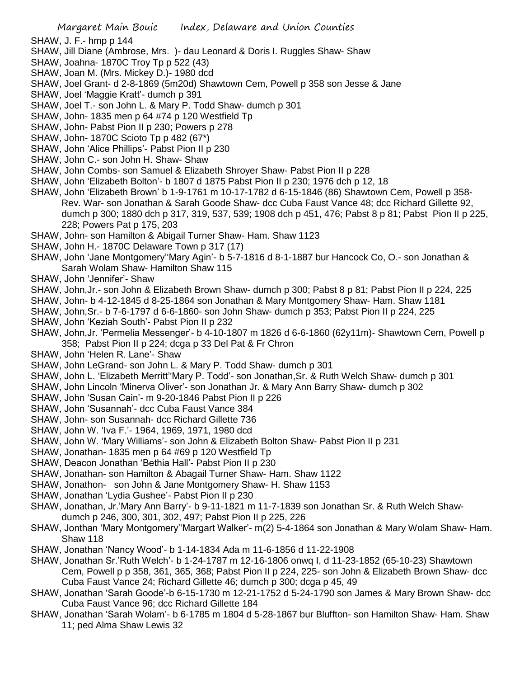- SHAW, J. F.- hmp p 144
- SHAW, Jill Diane (Ambrose, Mrs. )- dau Leonard & Doris I. Ruggles Shaw- Shaw
- SHAW, Joahna- 1870C Troy Tp p 522 (43)
- SHAW, Joan M. (Mrs. Mickey D.)- 1980 dcd
- SHAW, Joel Grant- d 2-8-1869 (5m20d) Shawtown Cem, Powell p 358 son Jesse & Jane
- SHAW, Joel 'Maggie Kratt'- dumch p 391
- SHAW, Joel T.- son John L. & Mary P. Todd Shaw- dumch p 301
- SHAW, John- 1835 men p 64 #74 p 120 Westfield Tp
- SHAW, John- Pabst Pion II p 230; Powers p 278
- SHAW, John- 1870C Scioto Tp p 482 (67\*)
- SHAW, John 'Alice Phillips'- Pabst Pion II p 230
- SHAW, John C.- son John H. Shaw- Shaw
- SHAW, John Combs- son Samuel & Elizabeth Shroyer Shaw- Pabst Pion II p 228
- SHAW, John 'Elizabeth Bolton'- b 1807 d 1875 Pabst Pion II p 230; 1976 dch p 12, 18
- SHAW, John 'Elizabeth Brown' b 1-9-1761 m 10-17-1782 d 6-15-1846 (86) Shawtown Cem, Powell p 358- Rev. War- son Jonathan & Sarah Goode Shaw- dcc Cuba Faust Vance 48; dcc Richard Gillette 92, dumch p 300; 1880 dch p 317, 319, 537, 539; 1908 dch p 451, 476; Pabst 8 p 81; Pabst Pion II p 225, 228; Powers Pat p 175, 203
- SHAW, John- son Hamilton & Abigail Turner Shaw- Ham. Shaw 1123
- SHAW, John H.- 1870C Delaware Town p 317 (17)
- SHAW, John 'Jane Montgomery''Mary Agin'- b 5-7-1816 d 8-1-1887 bur Hancock Co, O.- son Jonathan & Sarah Wolam Shaw- Hamilton Shaw 115
- SHAW, John 'Jennifer'- Shaw
- SHAW, John,Jr.- son John & Elizabeth Brown Shaw- dumch p 300; Pabst 8 p 81; Pabst Pion II p 224, 225
- SHAW, John- b 4-12-1845 d 8-25-1864 son Jonathan & Mary Montgomery Shaw- Ham. Shaw 1181
- SHAW, John,Sr.- b 7-6-1797 d 6-6-1860- son John Shaw- dumch p 353; Pabst Pion II p 224, 225
- SHAW, John 'Keziah South'- Pabst Pion II p 232
- SHAW, John,Jr. 'Permelia Messenger'- b 4-10-1807 m 1826 d 6-6-1860 (62y11m)- Shawtown Cem, Powell p 358; Pabst Pion II p 224; dcga p 33 Del Pat & Fr Chron
- SHAW, John 'Helen R. Lane'- Shaw
- SHAW, John LeGrand- son John L. & Mary P. Todd Shaw- dumch p 301
- SHAW, John L. 'Elizabeth Merritt''Mary P. Todd'- son Jonathan,Sr. & Ruth Welch Shaw- dumch p 301
- SHAW, John Lincoln 'Minerva Oliver'- son Jonathan Jr. & Mary Ann Barry Shaw- dumch p 302
- SHAW, John 'Susan Cain'- m 9-20-1846 Pabst Pion II p 226
- SHAW, John 'Susannah'- dcc Cuba Faust Vance 384
- SHAW, John- son Susannah- dcc Richard Gillette 736
- SHAW, John W. 'Iva F.'- 1964, 1969, 1971, 1980 dcd
- SHAW, John W. 'Mary Williams'- son John & Elizabeth Bolton Shaw- Pabst Pion II p 231
- SHAW, Jonathan- 1835 men p 64 #69 p 120 Westfield Tp
- SHAW, Deacon Jonathan 'Bethia Hall'- Pabst Pion II p 230
- SHAW, Jonathan- son Hamilton & Abagail Turner Shaw- Ham. Shaw 1122
- SHAW, Jonathon- son John & Jane Montgomery Shaw- H. Shaw 1153
- SHAW, Jonathan 'Lydia Gushee'- Pabst Pion II p 230
- SHAW, Jonathan, Jr.'Mary Ann Barry'- b 9-11-1821 m 11-7-1839 son Jonathan Sr. & Ruth Welch Shawdumch p 246, 300, 301, 302, 497; Pabst Pion II p 225, 226
- SHAW, Jonthan 'Mary Montgomery''Margart Walker'- m(2) 5-4-1864 son Jonathan & Mary Wolam Shaw- Ham. Shaw 118
- SHAW, Jonathan 'Nancy Wood'- b 1-14-1834 Ada m 11-6-1856 d 11-22-1908
- SHAW, Jonathan Sr.'Ruth Welch'- b 1-24-1787 m 12-16-1806 onwq I, d 11-23-1852 (65-10-23) Shawtown Cem, Powell p p 358, 361, 365, 368; Pabst Pion II p 224, 225- son John & Elizabeth Brown Shaw- dcc Cuba Faust Vance 24; Richard Gillette 46; dumch p 300; dcga p 45, 49
- SHAW, Jonathan 'Sarah Goode'-b 6-15-1730 m 12-21-1752 d 5-24-1790 son James & Mary Brown Shaw- dcc Cuba Faust Vance 96; dcc Richard Gillette 184
- SHAW, Jonathan 'Sarah Wolam'- b 6-1785 m 1804 d 5-28-1867 bur Bluffton- son Hamilton Shaw- Ham. Shaw 11; ped Alma Shaw Lewis 32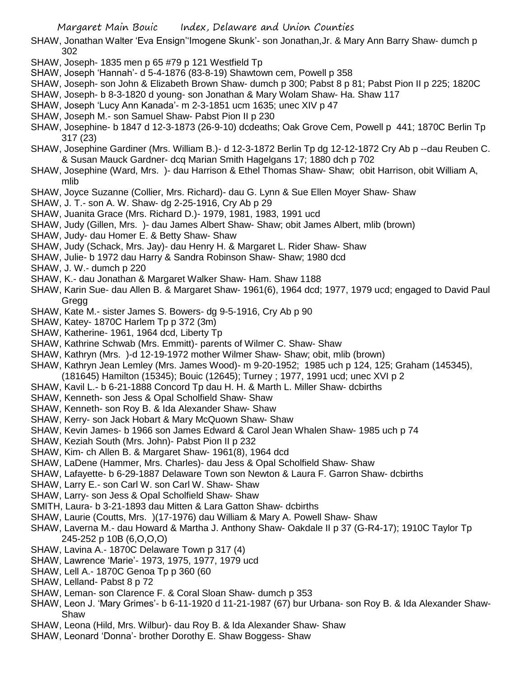- SHAW, Jonathan Walter 'Eva Ensign''Imogene Skunk'- son Jonathan,Jr. & Mary Ann Barry Shaw- dumch p 302
- SHAW, Joseph- 1835 men p 65 #79 p 121 Westfield Tp
- SHAW, Joseph 'Hannah'- d 5-4-1876 (83-8-19) Shawtown cem, Powell p 358
- SHAW, Joseph- son John & Elizabeth Brown Shaw- dumch p 300; Pabst 8 p 81; Pabst Pion II p 225; 1820C
- SHAW, Joseph- b 8-3-1820 d young- son Jonathan & Mary Wolam Shaw- Ha. Shaw 117
- SHAW, Joseph 'Lucy Ann Kanada'- m 2-3-1851 ucm 1635; unec XIV p 47
- SHAW, Joseph M.- son Samuel Shaw- Pabst Pion II p 230
- SHAW, Josephine- b 1847 d 12-3-1873 (26-9-10) dcdeaths; Oak Grove Cem, Powell p 441; 1870C Berlin Tp 317 (23)
- SHAW, Josephine Gardiner (Mrs. William B.)- d 12-3-1872 Berlin Tp dg 12-12-1872 Cry Ab p --dau Reuben C. & Susan Mauck Gardner- dcq Marian Smith Hagelgans 17; 1880 dch p 702
- SHAW, Josephine (Ward, Mrs. )- dau Harrison & Ethel Thomas Shaw- Shaw; obit Harrison, obit William A, mlib
- SHAW, Joyce Suzanne (Collier, Mrs. Richard)- dau G. Lynn & Sue Ellen Moyer Shaw- Shaw
- SHAW, J. T.- son A. W. Shaw- dg 2-25-1916, Cry Ab p 29
- SHAW, Juanita Grace (Mrs. Richard D.)- 1979, 1981, 1983, 1991 ucd
- SHAW, Judy (Gillen, Mrs. )- dau James Albert Shaw- Shaw; obit James Albert, mlib (brown)
- SHAW, Judy- dau Homer E. & Betty Shaw- Shaw
- SHAW, Judy (Schack, Mrs. Jay)- dau Henry H. & Margaret L. Rider Shaw- Shaw
- SHAW, Julie- b 1972 dau Harry & Sandra Robinson Shaw- Shaw; 1980 dcd
- SHAW, J. W.- dumch p 220
- SHAW, K.- dau Jonathan & Margaret Walker Shaw- Ham. Shaw 1188
- SHAW, Karin Sue- dau Allen B. & Margaret Shaw- 1961(6), 1964 dcd; 1977, 1979 ucd; engaged to David Paul **Gregg**
- SHAW, Kate M.- sister James S. Bowers- dg 9-5-1916, Cry Ab p 90
- SHAW, Katey- 1870C Harlem Tp p 372 (3m)
- SHAW, Katherine- 1961, 1964 dcd, Liberty Tp
- SHAW, Kathrine Schwab (Mrs. Emmitt)- parents of Wilmer C. Shaw- Shaw
- SHAW, Kathryn (Mrs. )-d 12-19-1972 mother Wilmer Shaw- Shaw; obit, mlib (brown)
- SHAW, Kathryn Jean Lemley (Mrs. James Wood)- m 9-20-1952; 1985 uch p 124, 125; Graham (145345),
- (181645) Hamilton (15345); Bouic (12645); Turney ; 1977, 1991 ucd; unec XVI p 2
- SHAW, Kavil L.- b 6-21-1888 Concord Tp dau H. H. & Marth L. Miller Shaw- dcbirths
- SHAW, Kenneth- son Jess & Opal Scholfield Shaw- Shaw
- SHAW, Kenneth- son Roy B. & Ida Alexander Shaw- Shaw
- SHAW, Kerry- son Jack Hobart & Mary McQuown Shaw- Shaw
- SHAW, Kevin James- b 1966 son James Edward & Carol Jean Whalen Shaw- 1985 uch p 74
- SHAW, Keziah South (Mrs. John)- Pabst Pion II p 232
- SHAW, Kim- ch Allen B. & Margaret Shaw- 1961(8), 1964 dcd
- SHAW, LaDene (Hammer, Mrs. Charles)- dau Jess & Opal Scholfield Shaw- Shaw
- SHAW, Lafayette- b 6-29-1887 Delaware Town son Newton & Laura F. Garron Shaw- dcbirths
- SHAW, Larry E.- son Carl W. son Carl W. Shaw- Shaw
- SHAW, Larry- son Jess & Opal Scholfield Shaw- Shaw
- SMITH, Laura- b 3-21-1893 dau Mitten & Lara Gatton Shaw- dcbirths
- SHAW, Laurie (Coutts, Mrs. )(17-1976) dau William & Mary A. Powell Shaw- Shaw
- SHAW, Laverna M.- dau Howard & Martha J. Anthony Shaw- Oakdale II p 37 (G-R4-17); 1910C Taylor Tp 245-252 p 10B (6,O,O,O)
- SHAW, Lavina A.- 1870C Delaware Town p 317 (4)
- SHAW, Lawrence 'Marie'- 1973, 1975, 1977, 1979 ucd
- SHAW, Lell A.- 1870C Genoa Tp p 360 (60
- SHAW, Lelland- Pabst 8 p 72
- SHAW, Leman- son Clarence F. & Coral Sloan Shaw- dumch p 353
- SHAW, Leon J. 'Mary Grimes'- b 6-11-1920 d 11-21-1987 (67) bur Urbana- son Roy B. & Ida Alexander Shaw-Shaw
- SHAW, Leona (Hild, Mrs. Wilbur)- dau Roy B. & Ida Alexander Shaw- Shaw
- SHAW, Leonard 'Donna'- brother Dorothy E. Shaw Boggess- Shaw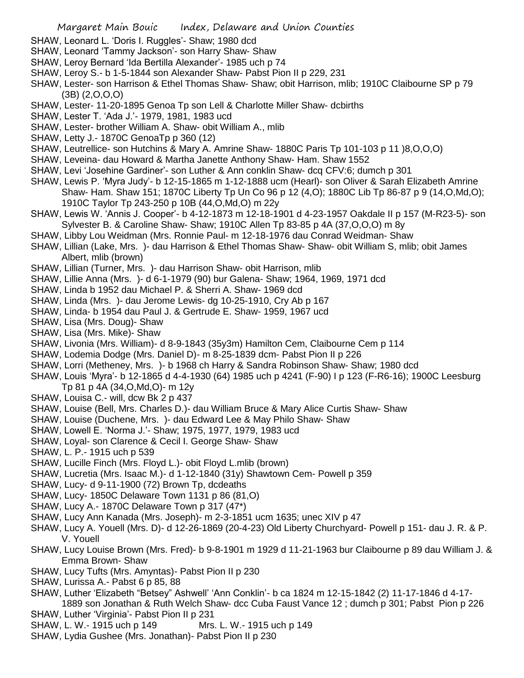- SHAW, Leonard L. 'Doris I. Ruggles'- Shaw; 1980 dcd
- SHAW, Leonard 'Tammy Jackson'- son Harry Shaw- Shaw
- SHAW, Leroy Bernard 'Ida Bertilla Alexander'- 1985 uch p 74
- SHAW, Leroy S.- b 1-5-1844 son Alexander Shaw- Pabst Pion II p 229, 231
- SHAW, Lester- son Harrison & Ethel Thomas Shaw- Shaw; obit Harrison, mlib; 1910C Claibourne SP p 79 (3B) (2,O,O,O)
- SHAW, Lester- 11-20-1895 Genoa Tp son Lell & Charlotte Miller Shaw- dcbirths
- SHAW, Lester T. 'Ada J.'- 1979, 1981, 1983 ucd
- SHAW, Lester- brother William A. Shaw- obit William A., mlib
- SHAW, Letty J.- 1870C GenoaTp p 360 (12)
- SHAW, Leutrellice- son Hutchins & Mary A. Amrine Shaw- 1880C Paris Tp 101-103 p 11 )8,O,O,O)
- SHAW, Leveina- dau Howard & Martha Janette Anthony Shaw- Ham. Shaw 1552
- SHAW, Levi 'Josehine Gardiner'- son Luther & Ann conklin Shaw- dcq CFV:6; dumch p 301
- SHAW, Lewis P. 'Myra Judy'- b 12-15-1865 m 1-12-1888 ucm (Hearl)- son Oliver & Sarah Elizabeth Amrine Shaw- Ham. Shaw 151; 1870C Liberty Tp Un Co 96 p 12 (4,O); 1880C Lib Tp 86-87 p 9 (14,O,Md,O); 1910C Taylor Tp 243-250 p 10B (44,O,Md,O) m 22y
- SHAW, Lewis W. 'Annis J. Cooper'- b 4-12-1873 m 12-18-1901 d 4-23-1957 Oakdale II p 157 (M-R23-5)- son Sylvester B. & Caroline Shaw- Shaw; 1910C Allen Tp 83-85 p 4A (37,O,O,O) m 8y
- SHAW, Libby Lou Weidman (Mrs. Ronnie Paul- m 12-18-1976 dau Conrad Weidman- Shaw
- SHAW, Lillian (Lake, Mrs. )- dau Harrison & Ethel Thomas Shaw- Shaw- obit William S, mlib; obit James Albert, mlib (brown)
- SHAW, Lillian (Turner, Mrs. )- dau Harrison Shaw- obit Harrison, mlib
- SHAW, Lillie Anna (Mrs. )- d 6-1-1979 (90) bur Galena- Shaw; 1964, 1969, 1971 dcd
- SHAW, Linda b 1952 dau Michael P. & Sherri A. Shaw- 1969 dcd
- SHAW, Linda (Mrs. )- dau Jerome Lewis- dg 10-25-1910, Cry Ab p 167
- SHAW, Linda- b 1954 dau Paul J. & Gertrude E. Shaw- 1959, 1967 ucd
- SHAW, Lisa (Mrs. Doug)- Shaw
- SHAW, Lisa (Mrs. Mike)- Shaw
- SHAW, Livonia (Mrs. William)- d 8-9-1843 (35y3m) Hamilton Cem, Claibourne Cem p 114
- SHAW, Lodemia Dodge (Mrs. Daniel D)- m 8-25-1839 dcm- Pabst Pion II p 226
- SHAW, Lorri (Metheney, Mrs. )- b 1968 ch Harry & Sandra Robinson Shaw- Shaw; 1980 dcd
- SHAW, Louis 'Myra'- b 12-1865 d 4-4-1930 (64) 1985 uch p 4241 (F-90) I p 123 (F-R6-16); 1900C Leesburg Tp 81 p 4A (34,O,Md,O)- m 12y
- SHAW, Louisa C.- will, dcw Bk 2 p 437
- SHAW, Louise (Bell, Mrs. Charles D.)- dau William Bruce & Mary Alice Curtis Shaw- Shaw
- SHAW, Louise (Duchene, Mrs. )- dau Edward Lee & May Philo Shaw- Shaw
- SHAW, Lowell E. 'Norma J.'- Shaw; 1975, 1977, 1979, 1983 ucd
- SHAW, Loyal- son Clarence & Cecil I. George Shaw- Shaw
- SHAW, L. P.- 1915 uch p 539
- SHAW, Lucille Finch (Mrs. Floyd L.)- obit Floyd L.mlib (brown)
- SHAW, Lucretia (Mrs. Isaac M.)- d 1-12-1840 (31y) Shawtown Cem- Powell p 359
- SHAW, Lucy- d 9-11-1900 (72) Brown Tp, dcdeaths
- SHAW, Lucy- 1850C Delaware Town 1131 p 86 (81,O)
- SHAW, Lucy A.- 1870C Delaware Town p 317 (47\*)
- SHAW, Lucy Ann Kanada (Mrs. Joseph)- m 2-3-1851 ucm 1635; unec XIV p 47
- SHAW, Lucy A. Youell (Mrs. D)- d 12-26-1869 (20-4-23) Old Liberty Churchyard- Powell p 151- dau J. R. & P. V. Youell
- SHAW, Lucy Louise Brown (Mrs. Fred)- b 9-8-1901 m 1929 d 11-21-1963 bur Claibourne p 89 dau William J. & Emma Brown- Shaw
- SHAW, Lucy Tufts (Mrs. Amyntas)- Pabst Pion II p 230
- SHAW, Lurissa A.- Pabst 6 p 85, 88
- SHAW, Luther 'Elizabeth "Betsey" Ashwell' 'Ann Conklin'- b ca 1824 m 12-15-1842 (2) 11-17-1846 d 4-17- 1889 son Jonathan & Ruth Welch Shaw- dcc Cuba Faust Vance 12 ; dumch p 301; Pabst Pion p 226
- SHAW, Luther 'Virginia'- Pabst Pion II p 231
- SHAW, L. W.- 1915 uch p 149 Mrs. L. W.- 1915 uch p 149
- SHAW, Lydia Gushee (Mrs. Jonathan)- Pabst Pion II p 230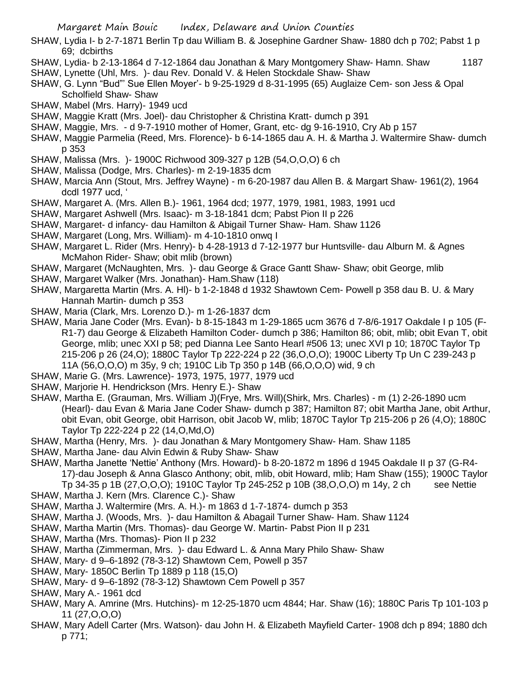- SHAW, Lydia I- b 2-7-1871 Berlin Tp dau William B. & Josephine Gardner Shaw- 1880 dch p 702; Pabst 1 p 69; dcbirths
- SHAW, Lydia- b 2-13-1864 d 7-12-1864 dau Jonathan & Mary Montgomery Shaw- Hamn. Shaw 1187
- SHAW, Lynette (Uhl, Mrs. )- dau Rev. Donald V. & Helen Stockdale Shaw- Shaw
- SHAW, G. Lynn "Bud"' Sue Ellen Moyer'- b 9-25-1929 d 8-31-1995 (65) Auglaize Cem- son Jess & Opal Scholfield Shaw- Shaw
- SHAW, Mabel (Mrs. Harry)- 1949 ucd
- SHAW, Maggie Kratt (Mrs. Joel)- dau Christopher & Christina Kratt- dumch p 391
- SHAW, Maggie, Mrs. d 9-7-1910 mother of Homer, Grant, etc- dg 9-16-1910, Cry Ab p 157
- SHAW, Maggie Parmelia (Reed, Mrs. Florence)- b 6-14-1865 dau A. H. & Martha J. Waltermire Shaw- dumch p 353
- SHAW, Malissa (Mrs. )- 1900C Richwood 309-327 p 12B (54,O,O,O) 6 ch
- SHAW, Malissa (Dodge, Mrs. Charles)- m 2-19-1835 dcm
- SHAW, Marcia Ann (Stout, Mrs. Jeffrey Wayne) m 6-20-1987 dau Allen B. & Margart Shaw- 1961(2), 1964 dcdl 1977 ucd, '
- SHAW, Margaret A. (Mrs. Allen B.)- 1961, 1964 dcd; 1977, 1979, 1981, 1983, 1991 ucd
- SHAW, Margaret Ashwell (Mrs. Isaac)- m 3-18-1841 dcm; Pabst Pion II p 226
- SHAW, Margaret- d infancy- dau Hamilton & Abigail Turner Shaw- Ham. Shaw 1126
- SHAW, Margaret (Long, Mrs. William)- m 4-10-1810 onwq I
- SHAW, Margaret L. Rider (Mrs. Henry)- b 4-28-1913 d 7-12-1977 bur Huntsville- dau Alburn M. & Agnes McMahon Rider- Shaw; obit mlib (brown)
- SHAW, Margaret (McNaughten, Mrs. )- dau George & Grace Gantt Shaw- Shaw; obit George, mlib
- SHAW, Margaret Walker (Mrs. Jonathan)- Ham.Shaw (118)
- SHAW, Margaretta Martin (Mrs. A. Hl)- b 1-2-1848 d 1932 Shawtown Cem- Powell p 358 dau B. U. & Mary Hannah Martin- dumch p 353
- SHAW, Maria (Clark, Mrs. Lorenzo D.)- m 1-26-1837 dcm
- SHAW, Maria Jane Coder (Mrs. Evan)- b 8-15-1843 m 1-29-1865 ucm 3676 d 7-8/6-1917 Oakdale I p 105 (F-R1-7) dau George & Elizabeth Hamilton Coder- dumch p 386; Hamilton 86; obit, mlib; obit Evan T, obit George, mlib; unec XXI p 58; ped Dianna Lee Santo Hearl #506 13; unec XVI p 10; 1870C Taylor Tp 215-206 p 26 (24,O); 1880C Taylor Tp 222-224 p 22 (36,O,O,O); 1900C Liberty Tp Un C 239-243 p 11A (56,O,O,O) m 35y, 9 ch; 1910C Lib Tp 350 p 14B (66,O,O,O) wid, 9 ch
- SHAW, Marie G. (Mrs. Lawrence)- 1973, 1975, 1977, 1979 ucd
- SHAW, Marjorie H. Hendrickson (Mrs. Henry E.)- Shaw
- SHAW, Martha E. (Grauman, Mrs. William J)(Frye, Mrs. Will)(Shirk, Mrs. Charles) m (1) 2-26-1890 ucm (Hearl)- dau Evan & Maria Jane Coder Shaw- dumch p 387; Hamilton 87; obit Martha Jane, obit Arthur, obit Evan, obit George, obit Harrison, obit Jacob W, mlib; 1870C Taylor Tp 215-206 p 26 (4,O); 1880C Taylor Tp 222-224 p 22 (14,O,Md,O)
- SHAW, Martha (Henry, Mrs. )- dau Jonathan & Mary Montgomery Shaw- Ham. Shaw 1185
- SHAW, Martha Jane- dau Alvin Edwin & Ruby Shaw- Shaw
- SHAW, Martha Janette 'Nettie' Anthony (Mrs. Howard)- b 8-20-1872 m 1896 d 1945 Oakdale II p 37 (G-R4- 17)-dau Joseph & Anna Glasco Anthony; obit, mlib, obit Howard, mlib; Ham Shaw (155); 1900C Taylor Tp 34-35 p 1B (27,O,O,O); 1910C Taylor Tp 245-252 p 10B (38,O,O,O) m 14y, 2 ch see Nettie
- SHAW, Martha J. Kern (Mrs. Clarence C.)- Shaw
- SHAW, Martha J. Waltermire (Mrs. A. H.)- m 1863 d 1-7-1874- dumch p 353
- SHAW, Martha J. (Woods, Mrs. )- dau Hamilton & Abagail Turner Shaw- Ham. Shaw 1124
- SHAW, Martha Martin (Mrs. Thomas)- dau George W. Martin- Pabst Pion II p 231
- SHAW, Martha (Mrs. Thomas)- Pion II p 232
- SHAW, Martha (Zimmerman, Mrs. )- dau Edward L. & Anna Mary Philo Shaw- Shaw
- SHAW, Mary- d 9–6-1892 (78-3-12) Shawtown Cem, Powell p 357
- SHAW, Mary- 1850C Berlin Tp 1889 p 118 (15,O)
- SHAW, Mary- d 9–6-1892 (78-3-12) Shawtown Cem Powell p 357
- SHAW, Mary A.- 1961 dcd
- SHAW, Mary A. Amrine (Mrs. Hutchins)- m 12-25-1870 ucm 4844; Har. Shaw (16); 1880C Paris Tp 101-103 p 11 (27,O,O,O)
- SHAW, Mary Adell Carter (Mrs. Watson)- dau John H. & Elizabeth Mayfield Carter- 1908 dch p 894; 1880 dch p 771;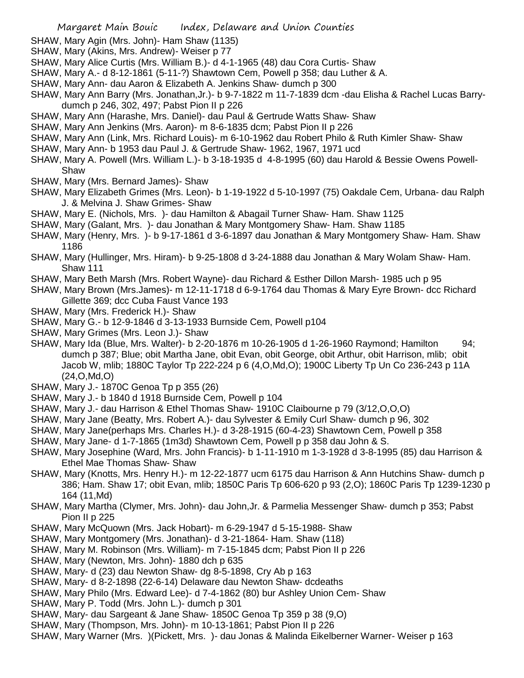- SHAW, Mary Agin (Mrs. John)- Ham Shaw (1135)
- SHAW, Mary (Akins, Mrs. Andrew)- Weiser p 77
- SHAW, Mary Alice Curtis (Mrs. William B.)- d 4-1-1965 (48) dau Cora Curtis- Shaw
- SHAW, Mary A.- d 8-12-1861 (5-11-?) Shawtown Cem, Powell p 358; dau Luther & A.
- SHAW, Mary Ann- dau Aaron & Elizabeth A. Jenkins Shaw- dumch p 300
- SHAW, Mary Ann Barry (Mrs. Jonathan, Jr.)- b 9-7-1822 m 11-7-1839 dcm -dau Elisha & Rachel Lucas Barrydumch p 246, 302, 497; Pabst Pion II p 226
- SHAW, Mary Ann (Harashe, Mrs. Daniel)- dau Paul & Gertrude Watts Shaw- Shaw
- SHAW, Mary Ann Jenkins (Mrs. Aaron)- m 8-6-1835 dcm; Pabst Pion II p 226
- SHAW, Mary Ann (Link, Mrs. Richard Louis)- m 6-10-1962 dau Robert Philo & Ruth Kimler Shaw- Shaw
- SHAW, Mary Ann- b 1953 dau Paul J. & Gertrude Shaw- 1962, 1967, 1971 ucd
- SHAW, Mary A. Powell (Mrs. William L.)- b 3-18-1935 d 4-8-1995 (60) dau Harold & Bessie Owens Powell-Shaw
- SHAW, Mary (Mrs. Bernard James)- Shaw
- SHAW, Mary Elizabeth Grimes (Mrs. Leon)- b 1-19-1922 d 5-10-1997 (75) Oakdale Cem, Urbana- dau Ralph J. & Melvina J. Shaw Grimes- Shaw
- SHAW, Mary E. (Nichols, Mrs. )- dau Hamilton & Abagail Turner Shaw- Ham. Shaw 1125
- SHAW, Mary (Galant, Mrs. )- dau Jonathan & Mary Montgomery Shaw- Ham. Shaw 1185
- SHAW, Mary (Henry, Mrs. )- b 9-17-1861 d 3-6-1897 dau Jonathan & Mary Montgomery Shaw- Ham. Shaw 1186
- SHAW, Mary (Hullinger, Mrs. Hiram)- b 9-25-1808 d 3-24-1888 dau Jonathan & Mary Wolam Shaw- Ham. Shaw 111
- SHAW, Mary Beth Marsh (Mrs. Robert Wayne)- dau Richard & Esther Dillon Marsh- 1985 uch p 95
- SHAW, Mary Brown (Mrs.James)- m 12-11-1718 d 6-9-1764 dau Thomas & Mary Eyre Brown- dcc Richard Gillette 369; dcc Cuba Faust Vance 193
- SHAW, Mary (Mrs. Frederick H.)- Shaw
- SHAW, Mary G.- b 12-9-1846 d 3-13-1933 Burnside Cem, Powell p104
- SHAW, Mary Grimes (Mrs. Leon J.)- Shaw
- SHAW, Mary Ida (Blue, Mrs. Walter)- b 2-20-1876 m 10-26-1905 d 1-26-1960 Raymond; Hamilton 94; dumch p 387; Blue; obit Martha Jane, obit Evan, obit George, obit Arthur, obit Harrison, mlib; obit Jacob W, mlib; 1880C Taylor Tp 222-224 p 6 (4,O,Md,O); 1900C Liberty Tp Un Co 236-243 p 11A (24,O,Md,O)
- SHAW, Mary J.- 1870C Genoa Tp p 355 (26)
- SHAW, Mary J.- b 1840 d 1918 Burnside Cem, Powell p 104
- SHAW, Mary J.- dau Harrison & Ethel Thomas Shaw- 1910C Claibourne p 79 (3/12,O,O,O)
- SHAW, Mary Jane (Beatty, Mrs. Robert A.)- dau Sylvester & Emily Curl Shaw- dumch p 96, 302
- SHAW, Mary Jane(perhaps Mrs. Charles H.)- d 3-28-1915 (60-4-23) Shawtown Cem, Powell p 358
- SHAW, Mary Jane- d 1-7-1865 (1m3d) Shawtown Cem, Powell p p 358 dau John & S.
- SHAW, Mary Josephine (Ward, Mrs. John Francis)- b 1-11-1910 m 1-3-1928 d 3-8-1995 (85) dau Harrison & Ethel Mae Thomas Shaw- Shaw
- SHAW, Mary (Knotts, Mrs. Henry H.)- m 12-22-1877 ucm 6175 dau Harrison & Ann Hutchins Shaw- dumch p 386; Ham. Shaw 17; obit Evan, mlib; 1850C Paris Tp 606-620 p 93 (2,O); 1860C Paris Tp 1239-1230 p 164 (11,Md)
- SHAW, Mary Martha (Clymer, Mrs. John)- dau John,Jr. & Parmelia Messenger Shaw- dumch p 353; Pabst Pion II p 225
- SHAW, Mary McQuown (Mrs. Jack Hobart)- m 6-29-1947 d 5-15-1988- Shaw
- SHAW, Mary Montgomery (Mrs. Jonathan)- d 3-21-1864- Ham. Shaw (118)
- SHAW, Mary M. Robinson (Mrs. William)- m 7-15-1845 dcm; Pabst Pion II p 226
- SHAW, Mary (Newton, Mrs. John)- 1880 dch p 635
- SHAW, Mary- d (23) dau Newton Shaw- dg 8-5-1898, Cry Ab p 163
- SHAW, Mary- d 8-2-1898 (22-6-14) Delaware dau Newton Shaw- dcdeaths
- SHAW, Mary Philo (Mrs. Edward Lee)- d 7-4-1862 (80) bur Ashley Union Cem- Shaw
- SHAW, Mary P. Todd (Mrs. John L.)- dumch p 301
- SHAW, Mary- dau Sargeant & Jane Shaw- 1850C Genoa Tp 359 p 38 (9,O)
- SHAW, Mary (Thompson, Mrs. John)- m 10-13-1861; Pabst Pion II p 226
- SHAW, Mary Warner (Mrs. )(Pickett, Mrs. )- dau Jonas & Malinda Eikelberner Warner- Weiser p 163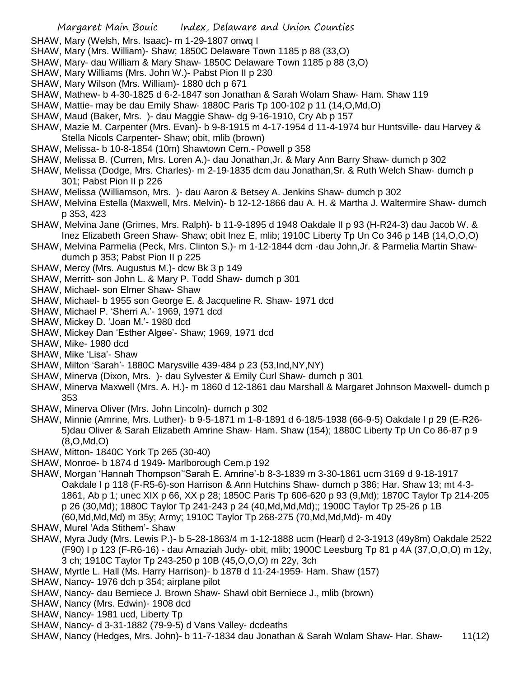- SHAW, Mary (Welsh, Mrs. Isaac)- m 1-29-1807 onwq I
- SHAW, Mary (Mrs. William)- Shaw; 1850C Delaware Town 1185 p 88 (33,O)
- SHAW, Mary- dau William & Mary Shaw- 1850C Delaware Town 1185 p 88 (3,O)
- SHAW, Mary Williams (Mrs. John W.)- Pabst Pion II p 230
- SHAW, Mary Wilson (Mrs. William)- 1880 dch p 671
- SHAW, Mathew- b 4-30-1825 d 6-2-1847 son Jonathan & Sarah Wolam Shaw- Ham. Shaw 119
- SHAW, Mattie- may be dau Emily Shaw- 1880C Paris Tp 100-102 p 11 (14,O,Md,O)
- SHAW, Maud (Baker, Mrs. )- dau Maggie Shaw- dg 9-16-1910, Cry Ab p 157
- SHAW, Mazie M. Carpenter (Mrs. Evan)- b 9-8-1915 m 4-17-1954 d 11-4-1974 bur Huntsville- dau Harvey & Stella Nicols Carpenter- Shaw; obit, mlib (brown)
- SHAW, Melissa- b 10-8-1854 (10m) Shawtown Cem.- Powell p 358
- SHAW, Melissa B. (Curren, Mrs. Loren A.)- dau Jonathan,Jr. & Mary Ann Barry Shaw- dumch p 302
- SHAW, Melissa (Dodge, Mrs. Charles)- m 2-19-1835 dcm dau Jonathan,Sr. & Ruth Welch Shaw- dumch p 301; Pabst Pion II p 226
- SHAW, Melissa (Williamson, Mrs. )- dau Aaron & Betsey A. Jenkins Shaw- dumch p 302
- SHAW, Melvina Estella (Maxwell, Mrs. Melvin)- b 12-12-1866 dau A. H. & Martha J. Waltermire Shaw- dumch p 353, 423
- SHAW, Melvina Jane (Grimes, Mrs. Ralph)- b 11-9-1895 d 1948 Oakdale II p 93 (H-R24-3) dau Jacob W. & Inez Elizabeth Green Shaw- Shaw; obit Inez E, mlib; 1910C Liberty Tp Un Co 346 p 14B (14,O,O,O)
- SHAW, Melvina Parmelia (Peck, Mrs. Clinton S.)- m 1-12-1844 dcm -dau John,Jr. & Parmelia Martin Shawdumch p 353; Pabst Pion II p 225
- SHAW, Mercy (Mrs. Augustus M.)- dcw Bk 3 p 149
- SHAW, Merritt- son John L. & Mary P. Todd Shaw- dumch p 301
- SHAW, Michael- son Elmer Shaw- Shaw
- SHAW, Michael- b 1955 son George E. & Jacqueline R. Shaw- 1971 dcd
- SHAW, Michael P. 'Sherri A.'- 1969, 1971 dcd
- SHAW, Mickey D. 'Joan M.'- 1980 dcd
- SHAW, Mickey Dan 'Esther Algee'- Shaw; 1969, 1971 dcd
- SHAW, Mike- 1980 dcd
- SHAW, Mike 'Lisa'- Shaw
- SHAW, Milton 'Sarah'- 1880C Marysville 439-484 p 23 (53,Ind,NY,NY)
- SHAW, Minerva (Dixon, Mrs. )- dau Sylvester & Emily Curl Shaw- dumch p 301
- SHAW, Minerva Maxwell (Mrs. A. H.)- m 1860 d 12-1861 dau Marshall & Margaret Johnson Maxwell- dumch p 353
- SHAW, Minerva Oliver (Mrs. John Lincoln)- dumch p 302
- SHAW, Minnie (Amrine, Mrs. Luther)- b 9-5-1871 m 1-8-1891 d 6-18/5-1938 (66-9-5) Oakdale I p 29 (E-R26- 5)dau Oliver & Sarah Elizabeth Amrine Shaw- Ham. Shaw (154); 1880C Liberty Tp Un Co 86-87 p 9 (8,O,Md,O)
- SHAW, Mitton- 1840C York Tp 265 (30-40)
- SHAW, Monroe- b 1874 d 1949- Marlborough Cem.p 192
- SHAW, Morgan 'Hannah Thompson''Sarah E. Amrine'-b 8-3-1839 m 3-30-1861 ucm 3169 d 9-18-1917 Oakdale I p 118 (F-R5-6)-son Harrison & Ann Hutchins Shaw- dumch p 386; Har. Shaw 13; mt 4-3- 1861, Ab p 1; unec XIX p 66, XX p 28; 1850C Paris Tp 606-620 p 93 (9,Md); 1870C Taylor Tp 214-205 p 26 (30,Md); 1880C Taylor Tp 241-243 p 24 (40,Md,Md,Md);; 1900C Taylor Tp 25-26 p 1B (60,Md,Md,Md) m 35y; Army; 1910C Taylor Tp 268-275 (70,Md,Md,Md)- m 40y
- SHAW, Murel 'Ada Stithem'- Shaw
- SHAW, Myra Judy (Mrs. Lewis P.)- b 5-28-1863/4 m 1-12-1888 ucm (Hearl) d 2-3-1913 (49y8m) Oakdale 2522 (F90) I p 123 (F-R6-16) - dau Amaziah Judy- obit, mlib; 1900C Leesburg Tp 81 p 4A (37,O,O,O) m 12y, 3 ch; 1910C Taylor Tp 243-250 p 10B (45,O,O,O) m 22y, 3ch
- SHAW, Myrtle L. Hall (Ms. Harry Harrison)- b 1878 d 11-24-1959- Ham. Shaw (157)
- SHAW, Nancy- 1976 dch p 354; airplane pilot
- SHAW, Nancy- dau Berniece J. Brown Shaw- Shawl obit Berniece J., mlib (brown)
- SHAW, Nancy (Mrs. Edwin)- 1908 dcd
- SHAW, Nancy- 1981 ucd, Liberty Tp
- SHAW, Nancy- d 3-31-1882 (79-9-5) d Vans Valley- dcdeaths
- SHAW, Nancy (Hedges, Mrs. John)- b 11-7-1834 dau Jonathan & Sarah Wolam Shaw- Har. Shaw- 11(12)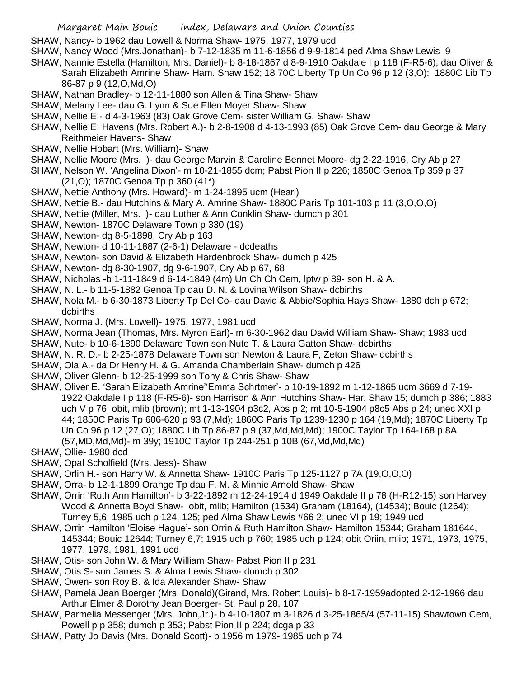- SHAW, Nancy- b 1962 dau Lowell & Norma Shaw- 1975, 1977, 1979 ucd
- SHAW, Nancy Wood (Mrs.Jonathan)- b 7-12-1835 m 11-6-1856 d 9-9-1814 ped Alma Shaw Lewis 9
- SHAW, Nannie Estella (Hamilton, Mrs. Daniel)- b 8-18-1867 d 8-9-1910 Oakdale I p 118 (F-R5-6); dau Oliver & Sarah Elizabeth Amrine Shaw- Ham. Shaw 152; 18 70C Liberty Tp Un Co 96 p 12 (3,O); 1880C Lib Tp 86-87 p 9 (12,O,Md,O)
- SHAW, Nathan Bradley- b 12-11-1880 son Allen & Tina Shaw- Shaw
- SHAW, Melany Lee- dau G. Lynn & Sue Ellen Moyer Shaw- Shaw
- SHAW, Nellie E.- d 4-3-1963 (83) Oak Grove Cem- sister William G. Shaw- Shaw
- SHAW, Nellie E. Havens (Mrs. Robert A.)- b 2-8-1908 d 4-13-1993 (85) Oak Grove Cem- dau George & Mary Reithmeier Havens- Shaw
- SHAW, Nellie Hobart (Mrs. William)- Shaw
- SHAW, Nellie Moore (Mrs. )- dau George Marvin & Caroline Bennet Moore- dg 2-22-1916, Cry Ab p 27
- SHAW, Nelson W. 'Angelina Dixon'- m 10-21-1855 dcm; Pabst Pion II p 226; 1850C Genoa Tp 359 p 37 (21,O); 1870C Genoa Tp p 360 (41\*)
- SHAW, Nettie Anthony (Mrs. Howard)- m 1-24-1895 ucm (Hearl)
- SHAW, Nettie B.- dau Hutchins & Mary A. Amrine Shaw- 1880C Paris Tp 101-103 p 11 (3,O,O,O)
- SHAW, Nettie (Miller, Mrs. )- dau Luther & Ann Conklin Shaw- dumch p 301
- SHAW, Newton- 1870C Delaware Town p 330 (19)
- SHAW, Newton- dg 8-5-1898, Cry Ab p 163
- SHAW, Newton- d 10-11-1887 (2-6-1) Delaware dcdeaths
- SHAW, Newton- son David & Elizabeth Hardenbrock Shaw- dumch p 425
- SHAW, Newton- dg 8-30-1907, dg 9-6-1907, Cry Ab p 67, 68
- SHAW, Nicholas -b 1-11-1849 d 6-14-1849 (4m) Un Ch Ch Cem, lptw p 89- son H. & A.
- SHAW, N. L.- b 11-5-1882 Genoa Tp dau D. N. & Lovina Wilson Shaw- dcbirths
- SHAW, Nola M.- b 6-30-1873 Liberty Tp Del Co- dau David & Abbie/Sophia Hays Shaw- 1880 dch p 672; dcbirths
- SHAW, Norma J. (Mrs. Lowell)- 1975, 1977, 1981 ucd
- SHAW, Norma Jean (Thomas, Mrs. Myron Earl)- m 6-30-1962 dau David William Shaw- Shaw; 1983 ucd
- SHAW, Nute- b 10-6-1890 Delaware Town son Nute T. & Laura Gatton Shaw- dcbirths
- SHAW, N. R. D.- b 2-25-1878 Delaware Town son Newton & Laura F, Zeton Shaw- dcbirths
- SHAW, Ola A.- da Dr Henry H. & G. Amanda Chamberlain Shaw- dumch p 426
- SHAW, Oliver Glenn- b 12-25-1999 son Tony & Chris Shaw- Shaw
- SHAW, Oliver E. 'Sarah Elizabeth Amrine''Emma Schrtmer'- b 10-19-1892 m 1-12-1865 ucm 3669 d 7-19- 1922 Oakdale I p 118 (F-R5-6)- son Harrison & Ann Hutchins Shaw- Har. Shaw 15; dumch p 386; 1883 uch V p 76; obit, mlib (brown); mt 1-13-1904 p3c2, Abs p 2; mt 10-5-1904 p8c5 Abs p 24; unec XXI p 44; 1850C Paris Tp 606-620 p 93 (7,Md); 1860C Paris Tp 1239-1230 p 164 (19,Md); 1870C Liberty Tp Un Co 96 p 12 (27,O); 1880C Lib Tp 86-87 p 9 (37,Md,Md,Md); 1900C Taylor Tp 164-168 p 8A (57,MD,Md,Md)- m 39y; 1910C Taylor Tp 244-251 p 10B (67,Md,Md,Md)
- SHAW, Ollie- 1980 dcd
- SHAW, Opal Scholfield (Mrs. Jess)- Shaw
- SHAW, Orlin H.- son Harry W. & Annetta Shaw- 1910C Paris Tp 125-1127 p 7A (19,O,O,O)
- SHAW, Orra- b 12-1-1899 Orange Tp dau F. M. & Minnie Arnold Shaw- Shaw
- SHAW, Orrin 'Ruth Ann Hamilton'- b 3-22-1892 m 12-24-1914 d 1949 Oakdale II p 78 (H-R12-15) son Harvey Wood & Annetta Boyd Shaw- obit, mlib; Hamilton (1534) Graham (18164), (14534); Bouic (1264); Turney 5,6; 1985 uch p 124, 125; ped Alma Shaw Lewis #66 2; unec VI p 19; 1949 ucd
- SHAW, Orrin Hamilton 'Eloise Hague'- son Orrin & Ruth Hamilton Shaw- Hamilton 15344; Graham 181644, 145344; Bouic 12644; Turney 6,7; 1915 uch p 760; 1985 uch p 124; obit Oriin, mlib; 1971, 1973, 1975, 1977, 1979, 1981, 1991 ucd
- SHAW, Otis- son John W. & Mary William Shaw- Pabst Pion II p 231
- SHAW, Otis S- son James S. & Alma Lewis Shaw- dumch p 302
- SHAW, Owen- son Roy B. & Ida Alexander Shaw- Shaw
- SHAW, Pamela Jean Boerger (Mrs. Donald)(Girand, Mrs. Robert Louis)- b 8-17-1959adopted 2-12-1966 dau Arthur Elmer & Dorothy Jean Boerger- St. Paul p 28, 107
- SHAW, Parmelia Messenger (Mrs. John,Jr.)- b 4-10-1807 m 3-1826 d 3-25-1865/4 (57-11-15) Shawtown Cem, Powell p p 358; dumch p 353; Pabst Pion II p 224; dcga p 33
- SHAW, Patty Jo Davis (Mrs. Donald Scott)- b 1956 m 1979- 1985 uch p 74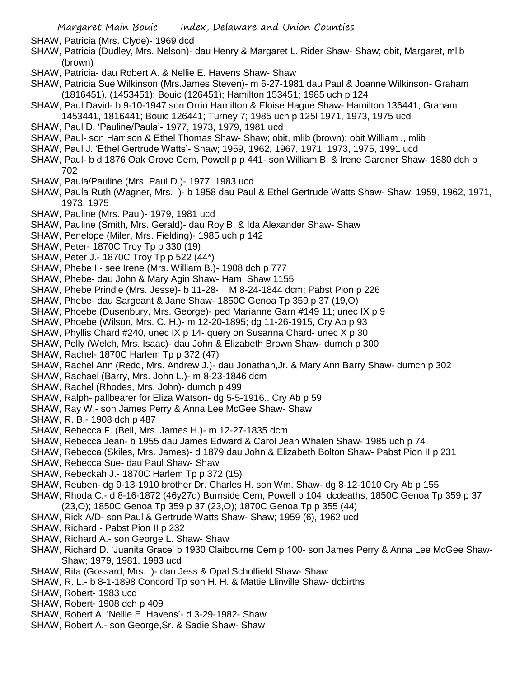SHAW, Patricia (Mrs. Clyde)- 1969 dcd

- SHAW, Patricia (Dudley, Mrs. Nelson)- dau Henry & Margaret L. Rider Shaw- Shaw; obit, Margaret, mlib (brown)
- SHAW, Patricia- dau Robert A. & Nellie E. Havens Shaw- Shaw
- SHAW, Patricia Sue Wilkinson (Mrs.James Steven)- m 6-27-1981 dau Paul & Joanne Wilkinson- Graham (1816451), (1453451); Bouic (126451); Hamilton 153451; 1985 uch p 124
- SHAW, Paul David- b 9-10-1947 son Orrin Hamilton & Eloise Hague Shaw- Hamilton 136441; Graham 1453441, 1816441; Bouic 126441; Turney 7; 1985 uch p 125l 1971, 1973, 1975 ucd
- SHAW, Paul D. 'Pauline/Paula'- 1977, 1973, 1979, 1981 ucd
- SHAW, Paul- son Harrison & Ethel Thomas Shaw- Shaw; obit, mlib (brown); obit William ., mlib
- SHAW, Paul J. 'Ethel Gertrude Watts'- Shaw; 1959, 1962, 1967, 1971. 1973, 1975, 1991 ucd
- SHAW, Paul- b d 1876 Oak Grove Cem, Powell p p 441- son William B. & Irene Gardner Shaw- 1880 dch p 702
- SHAW, Paula/Pauline (Mrs. Paul D.)- 1977, 1983 ucd
- SHAW, Paula Ruth (Wagner, Mrs. )- b 1958 dau Paul & Ethel Gertrude Watts Shaw- Shaw; 1959, 1962, 1971, 1973, 1975
- SHAW, Pauline (Mrs. Paul)- 1979, 1981 ucd
- SHAW, Pauline (Smith, Mrs. Gerald)- dau Roy B. & Ida Alexander Shaw- Shaw
- SHAW, Penelope (Miler, Mrs. Fielding)- 1985 uch p 142
- SHAW, Peter- 1870C Troy Tp p 330 (19)
- SHAW, Peter J.- 1870C Troy Tp p 522 (44\*)
- SHAW, Phebe I.- see Irene (Mrs. William B.)- 1908 dch p 777
- SHAW, Phebe- dau John & Mary Agin Shaw- Ham. Shaw 1155
- SHAW, Phebe Prindle (Mrs. Jesse)- b 11-28- M 8-24-1844 dcm; Pabst Pion p 226
- SHAW, Phebe- dau Sargeant & Jane Shaw- 1850C Genoa Tp 359 p 37 (19,O)
- SHAW, Phoebe (Dusenbury, Mrs. George)- ped Marianne Garn #149 11; unec IX p 9
- SHAW, Phoebe (Wilson, Mrs. C. H.)- m 12-20-1895; dg 11-26-1915, Cry Ab p 93
- SHAW, Phyllis Chard #240, unec IX p 14- query on Susanna Chard- unec X p 30
- SHAW, Polly (Welch, Mrs. Isaac)- dau John & Elizabeth Brown Shaw- dumch p 300
- SHAW, Rachel- 1870C Harlem Tp p 372 (47)
- SHAW, Rachel Ann (Redd, Mrs. Andrew J.)- dau Jonathan,Jr. & Mary Ann Barry Shaw- dumch p 302
- SHAW, Rachael (Barry, Mrs. John L.)- m 8-23-1846 dcm
- SHAW, Rachel (Rhodes, Mrs. John)- dumch p 499
- SHAW, Ralph- pallbearer for Eliza Watson- dg 5-5-1916., Cry Ab p 59
- SHAW, Ray W.- son James Perry & Anna Lee McGee Shaw- Shaw
- SHAW, R. B.- 1908 dch p 487
- SHAW, Rebecca F. (Bell, Mrs. James H.)- m 12-27-1835 dcm
- SHAW, Rebecca Jean- b 1955 dau James Edward & Carol Jean Whalen Shaw- 1985 uch p 74
- SHAW, Rebecca (Skiles, Mrs. James)- d 1879 dau John & Elizabeth Bolton Shaw- Pabst Pion II p 231
- SHAW, Rebecca Sue- dau Paul Shaw- Shaw
- SHAW, Rebeckah J.- 1870C Harlem Tp p 372 (15)
- SHAW, Reuben- dg 9-13-1910 brother Dr. Charles H. son Wm. Shaw- dg 8-12-1010 Cry Ab p 155
- SHAW, Rhoda C.- d 8-16-1872 (46y27d) Burnside Cem, Powell p 104; dcdeaths; 1850C Genoa Tp 359 p 37 (23,O); 1850C Genoa Tp 359 p 37 (23,O); 1870C Genoa Tp p 355 (44)
- SHAW, Rick A/D- son Paul & Gertrude Watts Shaw- Shaw; 1959 (6), 1962 ucd
- SHAW, Richard Pabst Pion II p 232
- SHAW, Richard A.- son George L. Shaw- Shaw
- SHAW, Richard D. 'Juanita Grace' b 1930 Claibourne Cem p 100- son James Perry & Anna Lee McGee Shaw-Shaw; 1979, 1981, 1983 ucd
- SHAW, Rita (Gossard, Mrs. )- dau Jess & Opal Scholfield Shaw- Shaw
- SHAW, R. L.- b 8-1-1898 Concord Tp son H. H. & Mattie Llinville Shaw- dcbirths
- SHAW, Robert- 1983 ucd
- SHAW, Robert- 1908 dch p 409
- SHAW, Robert A. 'Nellie E. Havens'- d 3-29-1982- Shaw
- SHAW, Robert A.- son George,Sr. & Sadie Shaw- Shaw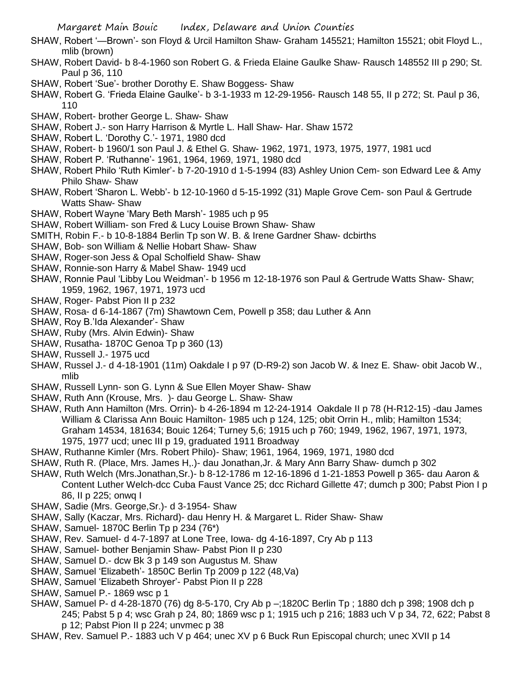- SHAW, Robert '—Brown'- son Floyd & Urcil Hamilton Shaw- Graham 145521; Hamilton 15521; obit Floyd L., mlib (brown)
- SHAW, Robert David- b 8-4-1960 son Robert G. & Frieda Elaine Gaulke Shaw- Rausch 148552 III p 290; St. Paul p 36, 110
- SHAW, Robert 'Sue'- brother Dorothy E. Shaw Boggess- Shaw
- SHAW, Robert G. 'Frieda Elaine Gaulke'- b 3-1-1933 m 12-29-1956- Rausch 148 55, II p 272; St. Paul p 36, 110
- SHAW, Robert- brother George L. Shaw- Shaw
- SHAW, Robert J.- son Harry Harrison & Myrtle L. Hall Shaw- Har. Shaw 1572
- SHAW, Robert L. 'Dorothy C.'- 1971, 1980 dcd
- SHAW, Robert- b 1960/1 son Paul J. & Ethel G. Shaw- 1962, 1971, 1973, 1975, 1977, 1981 ucd
- SHAW, Robert P. 'Ruthanne'- 1961, 1964, 1969, 1971, 1980 dcd
- SHAW, Robert Philo 'Ruth Kimler'- b 7-20-1910 d 1-5-1994 (83) Ashley Union Cem- son Edward Lee & Amy Philo Shaw- Shaw
- SHAW, Robert 'Sharon L. Webb'- b 12-10-1960 d 5-15-1992 (31) Maple Grove Cem- son Paul & Gertrude Watts Shaw- Shaw
- SHAW, Robert Wayne 'Mary Beth Marsh'- 1985 uch p 95
- SHAW, Robert William- son Fred & Lucy Louise Brown Shaw- Shaw
- SMITH, Robin F.- b 10-8-1884 Berlin Tp son W. B. & Irene Gardner Shaw- dcbirths
- SHAW, Bob- son William & Nellie Hobart Shaw- Shaw
- SHAW, Roger-son Jess & Opal Scholfield Shaw- Shaw
- SHAW, Ronnie-son Harry & Mabel Shaw- 1949 ucd
- SHAW, Ronnie Paul 'Libby Lou Weidman'- b 1956 m 12-18-1976 son Paul & Gertrude Watts Shaw- Shaw; 1959, 1962, 1967, 1971, 1973 ucd
- SHAW, Roger- Pabst Pion II p 232
- SHAW, Rosa- d 6-14-1867 (7m) Shawtown Cem, Powell p 358; dau Luther & Ann
- SHAW, Roy B.'Ida Alexander'- Shaw
- SHAW, Ruby (Mrs. Alvin Edwin)- Shaw
- SHAW, Rusatha- 1870C Genoa Tp p 360 (13)
- SHAW, Russell J.- 1975 ucd
- SHAW, Russel J.- d 4-18-1901 (11m) Oakdale I p 97 (D-R9-2) son Jacob W. & Inez E. Shaw- obit Jacob W., mlib
- SHAW, Russell Lynn- son G. Lynn & Sue Ellen Moyer Shaw- Shaw
- SHAW, Ruth Ann (Krouse, Mrs. )- dau George L. Shaw- Shaw
- SHAW, Ruth Ann Hamilton (Mrs. Orrin)- b 4-26-1894 m 12-24-1914 Oakdale II p 78 (H-R12-15) -dau James William & Clarissa Ann Bouic Hamilton- 1985 uch p 124, 125; obit Orrin H., mlib; Hamilton 1534; Graham 14534, 181634; Bouic 1264; Turney 5,6; 1915 uch p 760; 1949, 1962, 1967, 1971, 1973, 1975, 1977 ucd; unec III p 19, graduated 1911 Broadway
- SHAW, Ruthanne Kimler (Mrs. Robert Philo)- Shaw; 1961, 1964, 1969, 1971, 1980 dcd
- SHAW, Ruth R. (Place, Mrs. James H,.)- dau Jonathan,Jr. & Mary Ann Barry Shaw- dumch p 302
- SHAW, Ruth Welch (Mrs.Jonathan,Sr.)- b 8-12-1786 m 12-16-1896 d 1-21-1853 Powell p 365- dau Aaron & Content Luther Welch-dcc Cuba Faust Vance 25; dcc Richard Gillette 47; dumch p 300; Pabst Pion I p 86, II p 225; onwq I
- SHAW, Sadie (Mrs. George,Sr.)- d 3-1954- Shaw
- SHAW, Sally (Kaczar, Mrs. Richard)- dau Henry H. & Margaret L. Rider Shaw- Shaw
- SHAW, Samuel- 1870C Berlin Tp p 234 (76\*)
- SHAW, Rev. Samuel- d 4-7-1897 at Lone Tree, Iowa- dg 4-16-1897, Cry Ab p 113
- SHAW, Samuel- bother Benjamin Shaw- Pabst Pion II p 230
- SHAW, Samuel D.- dcw Bk 3 p 149 son Augustus M. Shaw
- SHAW, Samuel 'Elizabeth'- 1850C Berlin Tp 2009 p 122 (48,Va)
- SHAW, Samuel 'Elizabeth Shroyer'- Pabst Pion II p 228
- SHAW, Samuel P.- 1869 wsc p 1
- SHAW, Samuel P- d 4-28-1870 (76) dg 8-5-170, Cry Ab p –;1820C Berlin Tp ; 1880 dch p 398; 1908 dch p 245; Pabst 5 p 4; wsc Grah p 24, 80; 1869 wsc p 1; 1915 uch p 216; 1883 uch V p 34, 72, 622; Pabst 8 p 12; Pabst Pion II p 224; unvmec p 38
- SHAW, Rev. Samuel P.- 1883 uch V p 464; unec XV p 6 Buck Run Episcopal church; unec XVII p 14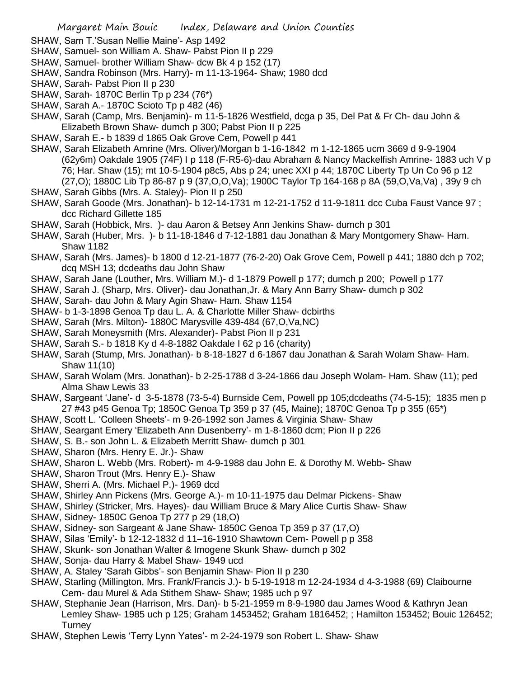- SHAW, Sam T.'Susan Nellie Maine'- Asp 1492
- SHAW, Samuel- son William A. Shaw- Pabst Pion II p 229
- SHAW, Samuel- brother William Shaw- dcw Bk 4 p 152 (17)
- SHAW, Sandra Robinson (Mrs. Harry)- m 11-13-1964- Shaw; 1980 dcd
- SHAW, Sarah- Pabst Pion II p 230
- SHAW, Sarah- 1870C Berlin Tp p 234 (76\*)
- SHAW, Sarah A.- 1870C Scioto Tp p 482 (46)
- SHAW, Sarah (Camp, Mrs. Benjamin)- m 11-5-1826 Westfield, dcga p 35, Del Pat & Fr Ch- dau John & Elizabeth Brown Shaw- dumch p 300; Pabst Pion II p 225
- SHAW, Sarah E.- b 1839 d 1865 Oak Grove Cem, Powell p 441
- SHAW, Sarah Elizabeth Amrine (Mrs. Oliver)/Morgan b 1-16-1842 m 1-12-1865 ucm 3669 d 9-9-1904 (62y6m) Oakdale 1905 (74F) I p 118 (F-R5-6)-dau Abraham & Nancy Mackelfish Amrine- 1883 uch V p 76; Har. Shaw (15); mt 10-5-1904 p8c5, Abs p 24; unec XXI p 44; 1870C Liberty Tp Un Co 96 p 12 (27,O); 1880C Lib Tp 86-87 p 9 (37,O,O,Va); 1900C Taylor Tp 164-168 p 8A (59,O,Va,Va) , 39y 9 ch
- SHAW, Sarah Gibbs (Mrs. A. Staley)- Pion II p 250
- SHAW, Sarah Goode (Mrs. Jonathan)- b 12-14-1731 m 12-21-1752 d 11-9-1811 dcc Cuba Faust Vance 97 ; dcc Richard Gillette 185
- SHAW, Sarah (Hobbick, Mrs. )- dau Aaron & Betsey Ann Jenkins Shaw- dumch p 301
- SHAW, Sarah (Huber, Mrs. )- b 11-18-1846 d 7-12-1881 dau Jonathan & Mary Montgomery Shaw- Ham. Shaw 1182
- SHAW, Sarah (Mrs. James)- b 1800 d 12-21-1877 (76-2-20) Oak Grove Cem, Powell p 441; 1880 dch p 702; dcq MSH 13; dcdeaths dau John Shaw
- SHAW, Sarah Jane (Louther, Mrs. William M.)- d 1-1879 Powell p 177; dumch p 200; Powell p 177
- SHAW, Sarah J. (Sharp, Mrs. Oliver)- dau Jonathan,Jr. & Mary Ann Barry Shaw- dumch p 302
- SHAW, Sarah- dau John & Mary Agin Shaw- Ham. Shaw 1154
- SHAW- b 1-3-1898 Genoa Tp dau L. A. & Charlotte Miller Shaw- dcbirths
- SHAW, Sarah (Mrs. Milton)- 1880C Marysville 439-484 (67,O,Va,NC)
- SHAW, Sarah Moneysmith (Mrs. Alexander)- Pabst Pion II p 231
- SHAW, Sarah S.- b 1818 Ky d 4-8-1882 Oakdale I 62 p 16 (charity)
- SHAW, Sarah (Stump, Mrs. Jonathan)- b 8-18-1827 d 6-1867 dau Jonathan & Sarah Wolam Shaw- Ham. Shaw 11(10)
- SHAW, Sarah Wolam (Mrs. Jonathan)- b 2-25-1788 d 3-24-1866 dau Joseph Wolam- Ham. Shaw (11); ped Alma Shaw Lewis 33
- SHAW, Sargeant 'Jane'- d 3-5-1878 (73-5-4) Burnside Cem, Powell pp 105;dcdeaths (74-5-15); 1835 men p 27 #43 p45 Genoa Tp; 1850C Genoa Tp 359 p 37 (45, Maine); 1870C Genoa Tp p 355 (65\*)
- SHAW, Scott L. 'Colleen Sheets'- m 9-26-1992 son James & Virginia Shaw- Shaw
- SHAW, Seargant Emery 'Elizabeth Ann Dusenberry'- m 1-8-1860 dcm; Pion II p 226
- SHAW, S. B.- son John L. & Elizabeth Merritt Shaw- dumch p 301
- SHAW, Sharon (Mrs. Henry E. Jr.)- Shaw
- SHAW, Sharon L. Webb (Mrs. Robert)- m 4-9-1988 dau John E. & Dorothy M. Webb- Shaw
- SHAW, Sharon Trout (Mrs. Henry E.)- Shaw
- SHAW, Sherri A. (Mrs. Michael P.)- 1969 dcd
- SHAW, Shirley Ann Pickens (Mrs. George A.)- m 10-11-1975 dau Delmar Pickens- Shaw
- SHAW, Shirley (Stricker, Mrs. Hayes)- dau William Bruce & Mary Alice Curtis Shaw- Shaw
- SHAW, Sidney- 1850C Genoa Tp 277 p 29 (18,O)
- SHAW, Sidney- son Sargeant & Jane Shaw- 1850C Genoa Tp 359 p 37 (17,O)
- SHAW, Silas 'Emily'- b 12-12-1832 d 11–16-1910 Shawtown Cem- Powell p p 358
- SHAW, Skunk- son Jonathan Walter & Imogene Skunk Shaw- dumch p 302
- SHAW, Sonja- dau Harry & Mabel Shaw- 1949 ucd
- SHAW, A. Staley 'Sarah Gibbs'- son Benjamin Shaw- Pion II p 230
- SHAW, Starling (Millington, Mrs. Frank/Francis J.)- b 5-19-1918 m 12-24-1934 d 4-3-1988 (69) Claibourne Cem- dau Murel & Ada Stithem Shaw- Shaw; 1985 uch p 97
- SHAW, Stephanie Jean (Harrison, Mrs. Dan)- b 5-21-1959 m 8-9-1980 dau James Wood & Kathryn Jean Lemley Shaw- 1985 uch p 125; Graham 1453452; Graham 1816452; ; Hamilton 153452; Bouic 126452; **Turney**
- SHAW, Stephen Lewis 'Terry Lynn Yates'- m 2-24-1979 son Robert L. Shaw- Shaw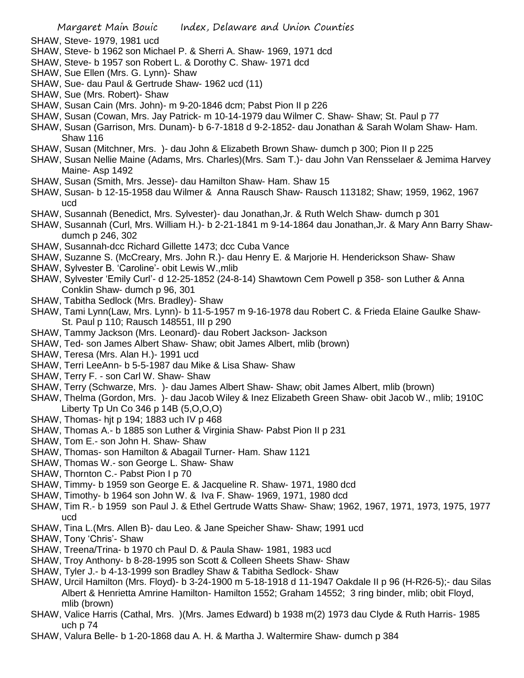- SHAW, Steve- 1979, 1981 ucd
- SHAW, Steve- b 1962 son Michael P. & Sherri A. Shaw- 1969, 1971 dcd
- SHAW, Steve- b 1957 son Robert L. & Dorothy C. Shaw- 1971 dcd
- SHAW, Sue Ellen (Mrs. G. Lynn)- Shaw
- SHAW, Sue- dau Paul & Gertrude Shaw- 1962 ucd (11)
- SHAW, Sue (Mrs. Robert)- Shaw
- SHAW, Susan Cain (Mrs. John)- m 9-20-1846 dcm; Pabst Pion II p 226
- SHAW, Susan (Cowan, Mrs. Jay Patrick- m 10-14-1979 dau Wilmer C. Shaw- Shaw; St. Paul p 77
- SHAW, Susan (Garrison, Mrs. Dunam)- b 6-7-1818 d 9-2-1852- dau Jonathan & Sarah Wolam Shaw- Ham. Shaw 116
- SHAW, Susan (Mitchner, Mrs. )- dau John & Elizabeth Brown Shaw- dumch p 300; Pion II p 225
- SHAW, Susan Nellie Maine (Adams, Mrs. Charles)(Mrs. Sam T.)- dau John Van Rensselaer & Jemima Harvey Maine- Asp 1492
- SHAW, Susan (Smith, Mrs. Jesse)- dau Hamilton Shaw- Ham. Shaw 15
- SHAW, Susan- b 12-15-1958 dau Wilmer & Anna Rausch Shaw- Rausch 113182; Shaw; 1959, 1962, 1967 ucd
- SHAW, Susannah (Benedict, Mrs. Sylvester)- dau Jonathan,Jr. & Ruth Welch Shaw- dumch p 301
- SHAW, Susannah (Curl, Mrs. William H.)- b 2-21-1841 m 9-14-1864 dau Jonathan,Jr. & Mary Ann Barry Shawdumch p 246, 302
- SHAW, Susannah-dcc Richard Gillette 1473; dcc Cuba Vance
- SHAW, Suzanne S. (McCreary, Mrs. John R.)- dau Henry E. & Marjorie H. Henderickson Shaw- Shaw
- SHAW, Sylvester B. 'Caroline'- obit Lewis W.,mlib
- SHAW, Sylvester 'Emily Curl'- d 12-25-1852 (24-8-14) Shawtown Cem Powell p 358- son Luther & Anna Conklin Shaw- dumch p 96, 301
- SHAW, Tabitha Sedlock (Mrs. Bradley)- Shaw
- SHAW, Tami Lynn(Law, Mrs. Lynn)- b 11-5-1957 m 9-16-1978 dau Robert C. & Frieda Elaine Gaulke Shaw-St. Paul p 110; Rausch 148551, III p 290
- SHAW, Tammy Jackson (Mrs. Leonard)- dau Robert Jackson- Jackson
- SHAW, Ted- son James Albert Shaw- Shaw; obit James Albert, mlib (brown)
- SHAW, Teresa (Mrs. Alan H.)- 1991 ucd
- SHAW, Terri LeeAnn- b 5-5-1987 dau Mike & Lisa Shaw- Shaw
- SHAW, Terry F. son Carl W. Shaw- Shaw
- SHAW, Terry (Schwarze, Mrs. )- dau James Albert Shaw- Shaw; obit James Albert, mlib (brown)
- SHAW, Thelma (Gordon, Mrs. )- dau Jacob Wiley & Inez Elizabeth Green Shaw- obit Jacob W., mlib; 1910C Liberty Tp Un Co 346 p 14B (5,O,O,O)
- SHAW, Thomas- hjt p 194; 1883 uch IV p 468
- SHAW, Thomas A.- b 1885 son Luther & Virginia Shaw- Pabst Pion II p 231
- SHAW, Tom E.- son John H. Shaw- Shaw
- SHAW, Thomas- son Hamilton & Abagail Turner- Ham. Shaw 1121
- SHAW, Thomas W.- son George L. Shaw- Shaw
- SHAW, Thornton C.- Pabst Pion I p 70
- SHAW, Timmy- b 1959 son George E. & Jacqueline R. Shaw- 1971, 1980 dcd
- SHAW, Timothy- b 1964 son John W. & Iva F. Shaw- 1969, 1971, 1980 dcd
- SHAW, Tim R.- b 1959 son Paul J. & Ethel Gertrude Watts Shaw- Shaw; 1962, 1967, 1971, 1973, 1975, 1977 ucd
- SHAW, Tina L.(Mrs. Allen B)- dau Leo. & Jane Speicher Shaw- Shaw; 1991 ucd
- SHAW, Tony 'Chris'- Shaw
- SHAW, Treena/Trina- b 1970 ch Paul D. & Paula Shaw- 1981, 1983 ucd
- SHAW, Troy Anthony- b 8-28-1995 son Scott & Colleen Sheets Shaw- Shaw
- SHAW, Tyler J.- b 4-13-1999 son Bradley Shaw & Tabitha Sedlock- Shaw
- SHAW, Urcil Hamilton (Mrs. Floyd)- b 3-24-1900 m 5-18-1918 d 11-1947 Oakdale II p 96 (H-R26-5);- dau Silas Albert & Henrietta Amrine Hamilton- Hamilton 1552; Graham 14552; 3 ring binder, mlib; obit Floyd, mlib (brown)
- SHAW, Valice Harris (Cathal, Mrs. )(Mrs. James Edward) b 1938 m(2) 1973 dau Clyde & Ruth Harris- 1985 uch p 74
- SHAW, Valura Belle- b 1-20-1868 dau A. H. & Martha J. Waltermire Shaw- dumch p 384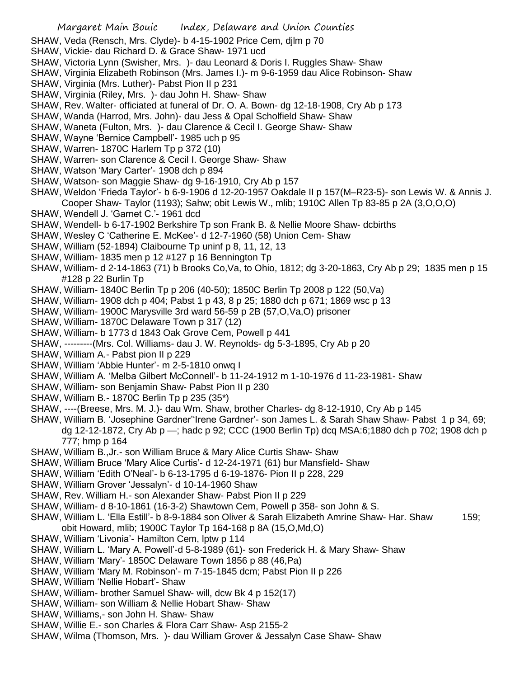- SHAW, Veda (Rensch, Mrs. Clyde)- b 4-15-1902 Price Cem, djlm p 70
- SHAW, Vickie- dau Richard D. & Grace Shaw- 1971 ucd
- SHAW, Victoria Lynn (Swisher, Mrs. )- dau Leonard & Doris I. Ruggles Shaw- Shaw
- SHAW, Virginia Elizabeth Robinson (Mrs. James I.)- m 9-6-1959 dau Alice Robinson- Shaw
- SHAW, Virginia (Mrs. Luther)- Pabst Pion II p 231
- SHAW, Virginia (Riley, Mrs. )- dau John H. Shaw- Shaw
- SHAW, Rev. Walter- officiated at funeral of Dr. O. A. Bown- dg 12-18-1908, Cry Ab p 173
- SHAW, Wanda (Harrod, Mrs. John)- dau Jess & Opal Scholfield Shaw- Shaw
- SHAW, Waneta (Fulton, Mrs. )- dau Clarence & Cecil I. George Shaw- Shaw
- SHAW, Wayne 'Bernice Campbell'- 1985 uch p 95
- SHAW, Warren- 1870C Harlem Tp p 372 (10)
- SHAW, Warren- son Clarence & Cecil I. George Shaw- Shaw
- SHAW, Watson 'Mary Carter'- 1908 dch p 894
- SHAW, Watson- son Maggie Shaw- dg 9-16-1910, Cry Ab p 157
- SHAW, Weldon 'Frieda Taylor'- b 6-9-1906 d 12-20-1957 Oakdale II p 157(M–R23-5)- son Lewis W. & Annis J. Cooper Shaw- Taylor (1193); Sahw; obit Lewis W., mlib; 1910C Allen Tp 83-85 p 2A (3,O,O,O)
- SHAW, Wendell J. 'Garnet C.'- 1961 dcd
- SHAW, Wendell- b 6-17-1902 Berkshire Tp son Frank B. & Nellie Moore Shaw- dcbirths
- SHAW, Wesley C 'Catherine E. McKee'- d 12-7-1960 (58) Union Cem- Shaw
- SHAW, William (52-1894) Claibourne Tp uninf p 8, 11, 12, 13
- SHAW, William- 1835 men p 12 #127 p 16 Bennington Tp
- SHAW, William- d 2-14-1863 (71) b Brooks Co,Va, to Ohio, 1812; dg 3-20-1863, Cry Ab p 29; 1835 men p 15 #128 p 22 Burlin Tp
- SHAW, William- 1840C Berlin Tp p 206 (40-50); 1850C Berlin Tp 2008 p 122 (50,Va)
- SHAW, William- 1908 dch p 404; Pabst 1 p 43, 8 p 25; 1880 dch p 671; 1869 wsc p 13
- SHAW, William- 1900C Marysville 3rd ward 56-59 p 2B (57,O,Va,O) prisoner
- SHAW, William- 1870C Delaware Town p 317 (12)
- SHAW, William- b 1773 d 1843 Oak Grove Cem, Powell p 441
- SHAW, ---------(Mrs. Col. Williams- dau J. W. Reynolds- dg 5-3-1895, Cry Ab p 20
- SHAW, William A.- Pabst pion II p 229
- SHAW, William 'Abbie Hunter'- m 2-5-1810 onwq I
- SHAW, William A. 'Melba Gilbert McConnell'- b 11-24-1912 m 1-10-1976 d 11-23-1981- Shaw
- SHAW, William- son Benjamin Shaw- Pabst Pion II p 230
- SHAW, William B.- 1870C Berlin Tp p 235 (35\*)
- SHAW, ----(Breese, Mrs. M. J.)- dau Wm. Shaw, brother Charles- dg 8-12-1910, Cry Ab p 145
- SHAW, William B. 'Josephine Gardner''Irene Gardner'- son James L. & Sarah Shaw Shaw- Pabst 1 p 34, 69; dg 12-12-1872, Cry Ab p —; hadc p 92; CCC (1900 Berlin Tp) dcq MSA:6;1880 dch p 702; 1908 dch p 777; hmp p 164
- SHAW, William B.,Jr.- son William Bruce & Mary Alice Curtis Shaw- Shaw
- SHAW, William Bruce 'Mary Alice Curtis'- d 12-24-1971 (61) bur Mansfield- Shaw
- SHAW, William 'Edith O'Neal'- b 6-13-1795 d 6-19-1876- Pion II p 228, 229
- SHAW, William Grover 'Jessalyn'- d 10-14-1960 Shaw
- SHAW, Rev. William H.- son Alexander Shaw- Pabst Pion II p 229
- SHAW, William- d 8-10-1861 (16-3-2) Shawtown Cem, Powell p 358- son John & S.
- SHAW, William L. 'Ella Estill'- b 8-9-1884 son Oliver & Sarah Elizabeth Amrine Shaw- Har. Shaw 159; obit Howard, mlib; 1900C Taylor Tp 164-168 p 8A (15,O,Md,O)
- SHAW, William 'Livonia'- Hamilton Cem, lptw p 114
- SHAW, William L. 'Mary A. Powell'-d 5-8-1989 (61)- son Frederick H. & Mary Shaw- Shaw
- SHAW, William 'Mary'- 1850C Delaware Town 1856 p 88 (46,Pa)
- SHAW, William 'Mary M. Robinson'- m 7-15-1845 dcm; Pabst Pion II p 226
- SHAW, William 'Nellie Hobart'- Shaw
- SHAW, William- brother Samuel Shaw- will, dcw Bk 4 p 152(17)
- SHAW, William- son William & Nellie Hobart Shaw- Shaw
- SHAW, Williams,- son John H. Shaw- Shaw
- SHAW, Willie E.- son Charles & Flora Carr Shaw- Asp 2155-2
- SHAW, Wilma (Thomson, Mrs. )- dau William Grover & Jessalyn Case Shaw- Shaw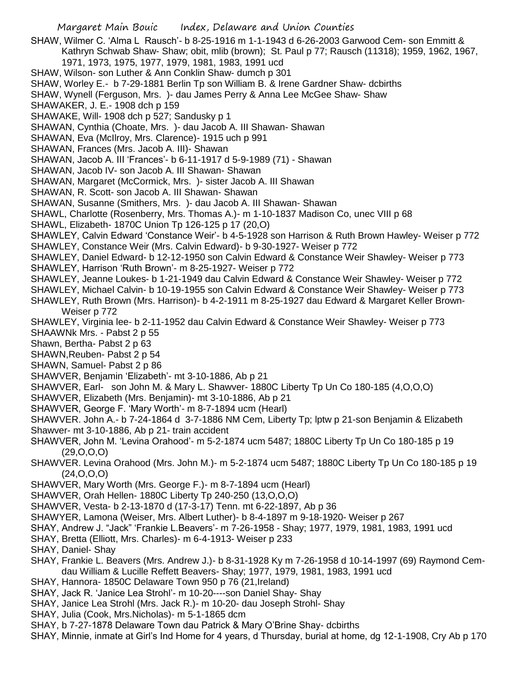Margaret Main Bouic Index, Delaware and Union Counties SHAW, Wilmer C. 'Alma L Rausch'- b 8-25-1916 m 1-1-1943 d 6-26-2003 Garwood Cem- son Emmitt & Kathryn Schwab Shaw- Shaw; obit, mlib (brown); St. Paul p 77; Rausch (11318); 1959, 1962, 1967, 1971, 1973, 1975, 1977, 1979, 1981, 1983, 1991 ucd SHAW, Wilson- son Luther & Ann Conklin Shaw- dumch p 301 SHAW, Worley E.- b 7-29-1881 Berlin Tp son William B. & Irene Gardner Shaw- dcbirths SHAW, Wynell (Ferguson, Mrs. )- dau James Perry & Anna Lee McGee Shaw- Shaw SHAWAKER, J. E.- 1908 dch p 159 SHAWAKE, Will- 1908 dch p 527; Sandusky p 1 SHAWAN, Cynthia (Choate, Mrs. )- dau Jacob A. III Shawan- Shawan SHAWAN, Eva (McIlroy, Mrs. Clarence)- 1915 uch p 991 SHAWAN, Frances (Mrs. Jacob A. III)- Shawan SHAWAN, Jacob A. III 'Frances'- b 6-11-1917 d 5-9-1989 (71) - Shawan SHAWAN, Jacob IV- son Jacob A. III Shawan- Shawan SHAWAN, Margaret (McCormick, Mrs. )- sister Jacob A. III Shawan SHAWAN, R. Scott- son Jacob A. III Shawan- Shawan SHAWAN, Susanne (Smithers, Mrs. )- dau Jacob A. III Shawan- Shawan SHAWL, Charlotte (Rosenberry, Mrs. Thomas A.)- m 1-10-1837 Madison Co, unec VIII p 68 SHAWL, Elizabeth- 1870C Union Tp 126-125 p 17 (20,O) SHAWLEY, Calvin Edward 'Constance Weir'- b 4-5-1928 son Harrison & Ruth Brown Hawley- Weiser p 772 SHAWLEY, Constance Weir (Mrs. Calvin Edward)- b 9-30-1927- Weiser p 772 SHAWLEY, Daniel Edward- b 12-12-1950 son Calvin Edward & Constance Weir Shawley- Weiser p 773 SHAWLEY, Harrison 'Ruth Brown'- m 8-25-1927- Weiser p 772 SHAWLEY, Jeanne Loukes- b 1-21-1949 dau Calvin Edward & Constance Weir Shawley- Weiser p 772 SHAWLEY, Michael Calvin- b 10-19-1955 son Calvin Edward & Constance Weir Shawley- Weiser p 773 SHAWLEY, Ruth Brown (Mrs. Harrison)- b 4-2-1911 m 8-25-1927 dau Edward & Margaret Keller Brown-Weiser p 772 SHAWLEY, Virginia lee- b 2-11-1952 dau Calvin Edward & Constance Weir Shawley- Weiser p 773 SHAAWNk Mrs. - Pabst 2 p 55 Shawn, Bertha- Pabst 2 p 63 SHAWN,Reuben- Pabst 2 p 54 SHAWN, Samuel- Pabst 2 p 86 SHAWVER, Benjamin 'Elizabeth'- mt 3-10-1886, Ab p 21 SHAWVER, Earl- son John M. & Mary L. Shawver- 1880C Liberty Tp Un Co 180-185 (4,O,O,O) SHAWVER, Elizabeth (Mrs. Benjamin)- mt 3-10-1886, Ab p 21 SHAWVER, George F. 'Mary Worth'- m 8-7-1894 ucm (Hearl) SHAWVER. John A.- b 7-24-1864 d 3-7-1886 NM Cem, Liberty Tp; lptw p 21-son Benjamin & Elizabeth Shawver- mt 3-10-1886, Ab p 21- train accident SHAWVER, John M. 'Levina Orahood'- m 5-2-1874 ucm 5487; 1880C Liberty Tp Un Co 180-185 p 19 (29,O,O,O) SHAWVER. Levina Orahood (Mrs. John M.)- m 5-2-1874 ucm 5487; 1880C Liberty Tp Un Co 180-185 p 19 (24,O,O,O) SHAWVER, Mary Worth (Mrs. George F.)- m 8-7-1894 ucm (Hearl) SHAWVER, Orah Hellen- 1880C Liberty Tp 240-250 (13,O,O,O) SHAWVER, Vesta- b 2-13-1870 d (17-3-17) Tenn. mt 6-22-1897, Ab p 36 SHAWYER, Lamona (Weiser, Mrs. Albert Luther)- b 8-4-1897 m 9-18-1920- Weiser p 267 SHAY, Andrew J. "Jack" 'Frankie L.Beavers'- m 7-26-1958 - Shay; 1977, 1979, 1981, 1983, 1991 ucd SHAY, Bretta (Elliott, Mrs. Charles)- m 6-4-1913- Weiser p 233 SHAY, Daniel- Shay SHAY, Frankie L. Beavers (Mrs. Andrew J.)- b 8-31-1928 Ky m 7-26-1958 d 10-14-1997 (69) Raymond Cemdau William & Lucille Reffett Beavers- Shay; 1977, 1979, 1981, 1983, 1991 ucd SHAY, Hannora- 1850C Delaware Town 950 p 76 (21,Ireland) SHAY, Jack R. 'Janice Lea Strohl'- m 10-20----son Daniel Shay- Shay SHAY, Janice Lea Strohl (Mrs. Jack R.)- m 10-20- dau Joseph Strohl- Shay SHAY, Julia (Cook, Mrs.Nicholas)- m 5-1-1865 dcm SHAY, b 7-27-1878 Delaware Town dau Patrick & Mary O'Brine Shay- dcbirths

SHAY, Minnie, inmate at Girl's Ind Home for 4 years, d Thursday, burial at home, dg 12-1-1908, Cry Ab p 170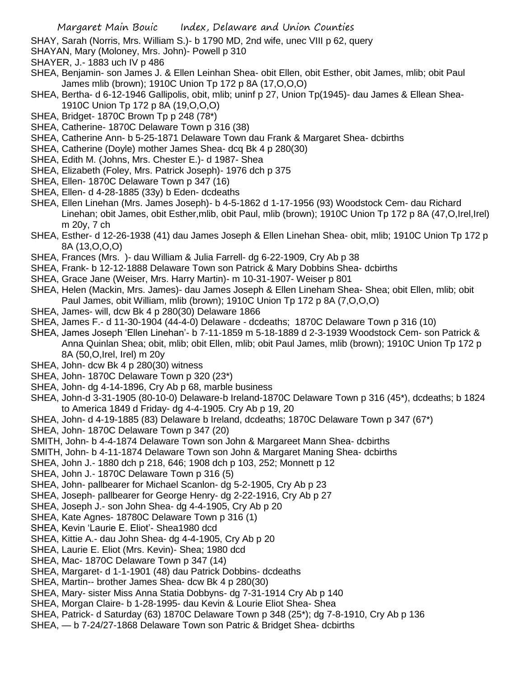SHAY, Sarah (Norris, Mrs. William S.)- b 1790 MD, 2nd wife, unec VIII p 62, query

SHAYAN, Mary (Moloney, Mrs. John)- Powell p 310

- SHAYER, J.- 1883 uch IV p 486
- SHEA, Benjamin- son James J. & Ellen Leinhan Shea- obit Ellen, obit Esther, obit James, mlib; obit Paul James mlib (brown); 1910C Union Tp 172 p 8A (17,O,O,O)
- SHEA, Bertha- d 6-12-1946 Gallipolis, obit, mlib; uninf p 27, Union Tp(1945)- dau James & Ellean Shea-1910C Union Tp 172 p 8A (19,O,O,O)
- SHEA, Bridget- 1870C Brown Tp p 248 (78\*)
- SHEA, Catherine- 1870C Delaware Town p 316 (38)
- SHEA, Catherine Ann- b 5-25-1871 Delaware Town dau Frank & Margaret Shea- dcbirths
- SHEA, Catherine (Doyle) mother James Shea- dcq Bk 4 p 280(30)
- SHEA, Edith M. (Johns, Mrs. Chester E.)- d 1987- Shea
- SHEA, Elizabeth (Foley, Mrs. Patrick Joseph)- 1976 dch p 375
- SHEA, Ellen- 1870C Delaware Town p 347 (16)
- SHEA, Ellen- d 4-28-1885 (33y) b Eden- dcdeaths
- SHEA, Ellen Linehan (Mrs. James Joseph)- b 4-5-1862 d 1-17-1956 (93) Woodstock Cem- dau Richard Linehan; obit James, obit Esther,mlib, obit Paul, mlib (brown); 1910C Union Tp 172 p 8A (47,O,Irel,Irel) m 20y, 7 ch
- SHEA, Esther- d 12-26-1938 (41) dau James Joseph & Ellen Linehan Shea- obit, mlib; 1910C Union Tp 172 p 8A (13,O,O,O)
- SHEA, Frances (Mrs. )- dau William & Julia Farrell- dg 6-22-1909, Cry Ab p 38
- SHEA, Frank- b 12-12-1888 Delaware Town son Patrick & Mary Dobbins Shea- dcbirths
- SHEA, Grace Jane (Weiser, Mrs. Harry Martin)- m 10-31-1907- Weiser p 801
- SHEA, Helen (Mackin, Mrs. James)- dau James Joseph & Ellen Lineham Shea- Shea; obit Ellen, mlib; obit Paul James, obit William, mlib (brown); 1910C Union Tp 172 p 8A (7,O,O,O)
- SHEA, James- will, dcw Bk 4 p 280(30) Delaware 1866
- SHEA, James F.- d 11-30-1904 (44-4-0) Delaware dcdeaths; 1870C Delaware Town p 316 (10)
- SHEA, James Joseph 'Ellen Linehan'- b 7-11-1859 m 5-18-1889 d 2-3-1939 Woodstock Cem- son Patrick & Anna Quinlan Shea; obit, mlib; obit Ellen, mlib; obit Paul James, mlib (brown); 1910C Union Tp 172 p 8A (50,O,Irel, Irel) m 20y
- SHEA, John- dcw Bk 4 p 280(30) witness
- SHEA, John- 1870C Delaware Town p 320 (23\*)
- SHEA, John- dg 4-14-1896, Cry Ab p 68, marble business
- SHEA, John-d 3-31-1905 (80-10-0) Delaware-b Ireland-1870C Delaware Town p 316 (45\*), dcdeaths; b 1824 to America 1849 d Friday- dg 4-4-1905. Cry Ab p 19, 20
- SHEA, John- d 4-19-1885 (83) Delaware b Ireland, dcdeaths; 1870C Delaware Town p 347 (67\*)
- SHEA, John- 1870C Delaware Town p 347 (20)
- SMITH, John- b 4-4-1874 Delaware Town son John & Margareet Mann Shea- dcbirths
- SMITH, John- b 4-11-1874 Delaware Town son John & Margaret Maning Shea- dcbirths
- SHEA, John J.- 1880 dch p 218, 646; 1908 dch p 103, 252; Monnett p 12
- SHEA, John J.- 1870C Delaware Town p 316 (5)
- SHEA, John- pallbearer for Michael Scanlon- dg 5-2-1905, Cry Ab p 23
- SHEA, Joseph- pallbearer for George Henry- dg 2-22-1916, Cry Ab p 27
- SHEA, Joseph J.- son John Shea- dg 4-4-1905, Cry Ab p 20
- SHEA, Kate Agnes- 18780C Delaware Town p 316 (1)
- SHEA, Kevin 'Laurie E. Eliot'- Shea1980 dcd
- SHEA, Kittie A.- dau John Shea- dg 4-4-1905, Cry Ab p 20
- SHEA, Laurie E. Eliot (Mrs. Kevin)- Shea; 1980 dcd
- SHEA, Mac- 1870C Delaware Town p 347 (14)
- SHEA, Margaret- d 1-1-1901 (48) dau Patrick Dobbins- dcdeaths
- SHEA, Martin-- brother James Shea- dcw Bk 4 p 280(30)
- SHEA, Mary- sister Miss Anna Statia Dobbyns- dg 7-31-1914 Cry Ab p 140
- SHEA, Morgan Claire- b 1-28-1995- dau Kevin & Lourie Eliot Shea- Shea
- SHEA, Patrick- d Saturday (63) 1870C Delaware Town p 348 (25\*); dg 7-8-1910, Cry Ab p 136
- SHEA, b 7-24/27-1868 Delaware Town son Patric & Bridget Shea- dcbirths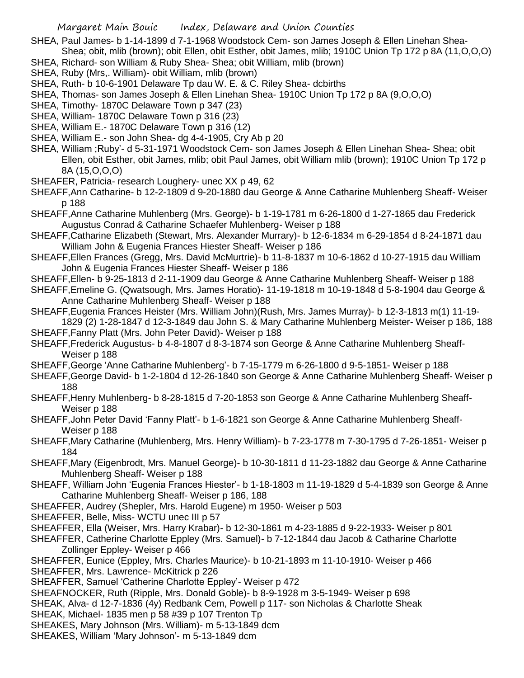- SHEA, Paul James- b 1-14-1899 d 7-1-1968 Woodstock Cem- son James Joseph & Ellen Linehan Shea-Shea; obit, mlib (brown); obit Ellen, obit Esther, obit James, mlib; 1910C Union Tp 172 p 8A (11,O,O,O)
- SHEA, Richard- son William & Ruby Shea- Shea; obit William, mlib (brown)
- SHEA, Ruby (Mrs,. William)- obit William, mlib (brown)
- SHEA, Ruth- b 10-6-1901 Delaware Tp dau W. E. & C. Riley Shea- dcbirths
- SHEA, Thomas- son James Joseph & Ellen Linehan Shea- 1910C Union Tp 172 p 8A (9,O,O,O)
- SHEA, Timothy- 1870C Delaware Town p 347 (23)
- SHEA, William- 1870C Delaware Town p 316 (23)
- SHEA, William E.- 1870C Delaware Town p 316 (12)
- SHEA, William E.- son John Shea- dg 4-4-1905, Cry Ab p 20
- SHEA, William ;Ruby'- d 5-31-1971 Woodstock Cem- son James Joseph & Ellen Linehan Shea- Shea; obit Ellen, obit Esther, obit James, mlib; obit Paul James, obit William mlib (brown); 1910C Union Tp 172 p 8A (15,O,O,O)
- SHEAFER, Patricia- research Loughery- unec XX p 49, 62
- SHEAFF,Ann Catharine- b 12-2-1809 d 9-20-1880 dau George & Anne Catharine Muhlenberg Sheaff- Weiser p 188
- SHEAFF,Anne Catharine Muhlenberg (Mrs. George)- b 1-19-1781 m 6-26-1800 d 1-27-1865 dau Frederick Augustus Conrad & Catharine Schaefer Muhlenberg- Weiser p 188
- SHEAFF,Catharine Elizabeth (Stewart, Mrs. Alexander Murrary)- b 12-6-1834 m 6-29-1854 d 8-24-1871 dau William John & Eugenia Frances Hiester Sheaff- Weiser p 186
- SHEAFF,Ellen Frances (Gregg, Mrs. David McMurtrie)- b 11-8-1837 m 10-6-1862 d 10-27-1915 dau William John & Eugenia Frances Hiester Sheaff- Weiser p 186
- SHEAFF,Ellen- b 9-25-1813 d 2-11-1909 dau George & Anne Catharine Muhlenberg Sheaff- Weiser p 188
- SHEAFF,Emeline G. (Qwatsough, Mrs. James Horatio)- 11-19-1818 m 10-19-1848 d 5-8-1904 dau George & Anne Catharine Muhlenberg Sheaff- Weiser p 188
- SHEAFF,Eugenia Frances Heister (Mrs. William John)(Rush, Mrs. James Murray)- b 12-3-1813 m(1) 11-19- 1829 (2) 1-28-1847 d 12-3-1849 dau John S. & Mary Catharine Muhlenberg Meister- Weiser p 186, 188
- SHEAFF,Fanny Platt (Mrs. John Peter David)- Weiser p 188
- SHEAFF,Frederick Augustus- b 4-8-1807 d 8-3-1874 son George & Anne Catharine Muhlenberg Sheaff-Weiser p 188
- SHEAFF,George 'Anne Catharine Muhlenberg'- b 7-15-1779 m 6-26-1800 d 9-5-1851- Weiser p 188
- SHEAFF,George David- b 1-2-1804 d 12-26-1840 son George & Anne Catharine Muhlenberg Sheaff- Weiser p 188
- SHEAFF,Henry Muhlenberg- b 8-28-1815 d 7-20-1853 son George & Anne Catharine Muhlenberg Sheaff-Weiser p 188
- SHEAFF,John Peter David 'Fanny Platt'- b 1-6-1821 son George & Anne Catharine Muhlenberg Sheaff-Weiser p 188
- SHEAFF,Mary Catharine (Muhlenberg, Mrs. Henry William)- b 7-23-1778 m 7-30-1795 d 7-26-1851- Weiser p 184
- SHEAFF,Mary (Eigenbrodt, Mrs. Manuel George)- b 10-30-1811 d 11-23-1882 dau George & Anne Catharine Muhlenberg Sheaff- Weiser p 188
- SHEAFF, William John 'Eugenia Frances Hiester'- b 1-18-1803 m 11-19-1829 d 5-4-1839 son George & Anne Catharine Muhlenberg Sheaff- Weiser p 186, 188
- SHEAFFER, Audrey (Shepler, Mrs. Harold Eugene) m 1950- Weiser p 503
- SHEAFFER, Belle, Miss- WCTU unec III p 57
- SHEAFFER, Ella (Weiser, Mrs. Harry Krabar)- b 12-30-1861 m 4-23-1885 d 9-22-1933- Weiser p 801
- SHEAFFER, Catherine Charlotte Eppley (Mrs. Samuel)- b 7-12-1844 dau Jacob & Catharine Charlotte Zollinger Eppley- Weiser p 466
- SHEAFFER, Eunice (Eppley, Mrs. Charles Maurice)- b 10-21-1893 m 11-10-1910- Weiser p 466
- SHEAFFER, Mrs. Lawrence- McKitrick p 226
- SHEAFFER, Samuel 'Catherine Charlotte Eppley'- Weiser p 472
- SHEAFNOCKER, Ruth (Ripple, Mrs. Donald Goble)- b 8-9-1928 m 3-5-1949- Weiser p 698
- SHEAK, Alva- d 12-7-1836 (4y) Redbank Cem, Powell p 117- son Nicholas & Charlotte Sheak
- SHEAK, Michael- 1835 men p 58 #39 p 107 Trenton Tp
- SHEAKES, Mary Johnson (Mrs. William)- m 5-13-1849 dcm
- SHEAKES, William 'Mary Johnson'- m 5-13-1849 dcm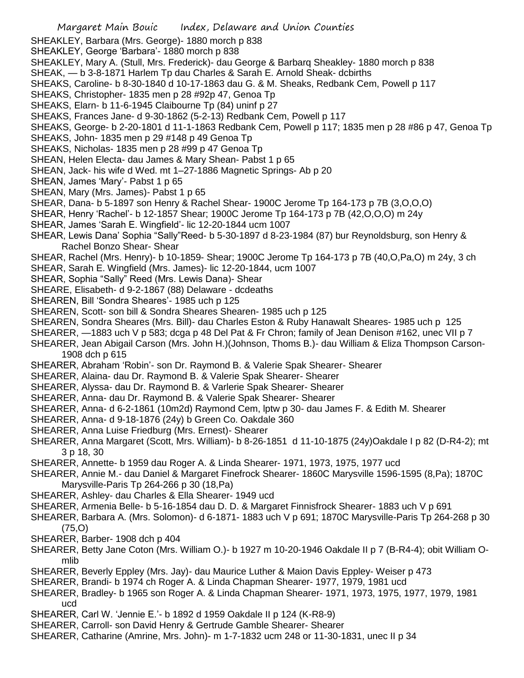- SHEAKLEY, Barbara (Mrs. George)- 1880 morch p 838
- SHEAKLEY, George 'Barbara'- 1880 morch p 838
- SHEAKLEY, Mary A. (Stull, Mrs. Frederick)- dau George & Barbarq Sheakley- 1880 morch p 838
- SHEAK, b 3-8-1871 Harlem Tp dau Charles & Sarah E. Arnold Sheak- dcbirths
- SHEAKS, Caroline- b 8-30-1840 d 10-17-1863 dau G. & M. Sheaks, Redbank Cem, Powell p 117
- SHEAKS, Christopher- 1835 men p 28 #92p 47, Genoa Tp
- SHEAKS, Elarn- b 11-6-1945 Claibourne Tp (84) uninf p 27
- SHEAKS, Frances Jane- d 9-30-1862 (5-2-13) Redbank Cem, Powell p 117
- SHEAKS, George- b 2-20-1801 d 11-1-1863 Redbank Cem, Powell p 117; 1835 men p 28 #86 p 47, Genoa Tp
- SHEAKS, John- 1835 men p 29 #148 p 49 Genoa Tp
- SHEAKS, Nicholas- 1835 men p 28 #99 p 47 Genoa Tp
- SHEAN, Helen Electa- dau James & Mary Shean- Pabst 1 p 65
- SHEAN, Jack- his wife d Wed. mt 1–27-1886 Magnetic Springs- Ab p 20
- SHEAN, James 'Mary'- Pabst 1 p 65
- SHEAN, Mary (Mrs. James)- Pabst 1 p 65
- SHEAR, Dana- b 5-1897 son Henry & Rachel Shear- 1900C Jerome Tp 164-173 p 7B (3,O,O,O)
- SHEAR, Henry 'Rachel'- b 12-1857 Shear; 1900C Jerome Tp 164-173 p 7B (42,O,O,O) m 24y
- SHEAR, James 'Sarah E. Wingfield'- lic 12-20-1844 ucm 1007
- SHEAR, Lewis Dana' Sophia "Sally"Reed- b 5-30-1897 d 8-23-1984 (87) bur Reynoldsburg, son Henry & Rachel Bonzo Shear- Shear
- SHEAR, Rachel (Mrs. Henry)- b 10-1859- Shear; 1900C Jerome Tp 164-173 p 7B (40,O,Pa,O) m 24y, 3 ch
- SHEAR, Sarah E. Wingfield (Mrs. James)- lic 12-20-1844, ucm 1007
- SHEAR, Sophia "Sally" Reed (Mrs. Lewis Dana)- Shear
- SHEARE, Elisabeth- d 9-2-1867 (88) Delaware dcdeaths
- SHEAREN, Bill 'Sondra Sheares'- 1985 uch p 125
- SHEAREN, Scott- son bill & Sondra Sheares Shearen- 1985 uch p 125
- SHEAREN, Sondra Sheares (Mrs. Bill)- dau Charles Eston & Ruby Hanawalt Sheares- 1985 uch p 125
- SHEARER, —1883 uch V p 583; dcga p 48 Del Pat & Fr Chron; family of Jean Denison #162, unec VII p 7
- SHEARER, Jean Abigail Carson (Mrs. John H.)(Johnson, Thoms B.)- dau William & Eliza Thompson Carson-1908 dch p 615
- SHEARER, Abraham 'Robin'- son Dr. Raymond B. & Valerie Spak Shearer- Shearer
- SHEARER, Alaina- dau Dr. Raymond B. & Valerie Spak Shearer- Shearer
- SHEARER, Alyssa- dau Dr. Raymond B. & Varlerie Spak Shearer- Shearer
- SHEARER, Anna- dau Dr. Raymond B. & Valerie Spak Shearer- Shearer
- SHEARER, Anna- d 6-2-1861 (10m2d) Raymond Cem, lptw p 30- dau James F. & Edith M. Shearer
- SHEARER, Anna- d 9-18-1876 (24y) b Green Co. Oakdale 360
- SHEARER, Anna Luise Friedburg (Mrs. Ernest)- Shearer
- SHEARER, Anna Margaret (Scott, Mrs. William)- b 8-26-1851 d 11-10-1875 (24y)Oakdale I p 82 (D-R4-2); mt 3 p 18, 30
- SHEARER, Annette- b 1959 dau Roger A. & Linda Shearer- 1971, 1973, 1975, 1977 ucd
- SHEARER, Annie M.- dau Daniel & Margaret Finefrock Shearer- 1860C Marysville 1596-1595 (8,Pa); 1870C Marysville-Paris Tp 264-266 p 30 (18,Pa)
- SHEARER, Ashley- dau Charles & Ella Shearer- 1949 ucd
- SHEARER, Armenia Belle- b 5-16-1854 dau D. D. & Margaret Finnisfrock Shearer- 1883 uch V p 691
- SHEARER, Barbara A. (Mrs. Solomon)- d 6-1871- 1883 uch V p 691; 1870C Marysville-Paris Tp 264-268 p 30 (75,O)
- SHEARER, Barber- 1908 dch p 404
- SHEARER, Betty Jane Coton (Mrs. William O.)- b 1927 m 10-20-1946 Oakdale II p 7 (B-R4-4); obit William Omlib
- SHEARER, Beverly Eppley (Mrs. Jay)- dau Maurice Luther & Maion Davis Eppley- Weiser p 473
- SHEARER, Brandi- b 1974 ch Roger A. & Linda Chapman Shearer- 1977, 1979, 1981 ucd
- SHEARER, Bradley- b 1965 son Roger A. & Linda Chapman Shearer- 1971, 1973, 1975, 1977, 1979, 1981 ucd
- SHEARER, Carl W. 'Jennie E.'- b 1892 d 1959 Oakdale II p 124 (K-R8-9)
- SHEARER, Carroll- son David Henry & Gertrude Gamble Shearer- Shearer
- SHEARER, Catharine (Amrine, Mrs. John)- m 1-7-1832 ucm 248 or 11-30-1831, unec II p 34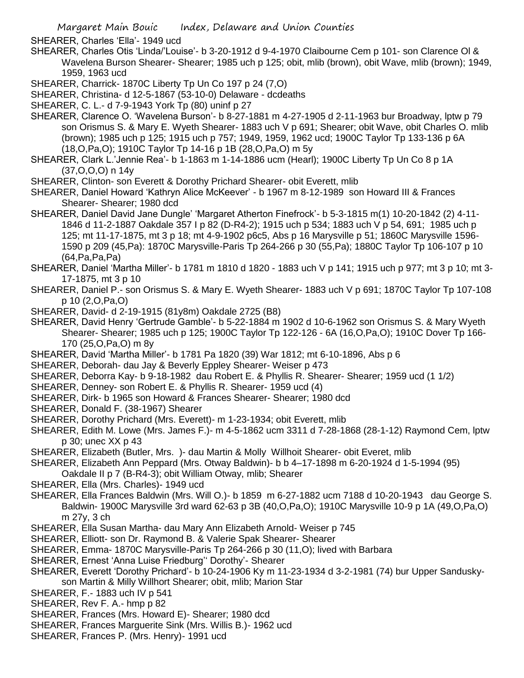SHEARER, Charles 'Ella'- 1949 ucd

- SHEARER, Charles Otis 'Linda/'Louise'- b 3-20-1912 d 9-4-1970 Claibourne Cem p 101- son Clarence Ol & Wavelena Burson Shearer- Shearer; 1985 uch p 125; obit, mlib (brown), obit Wave, mlib (brown); 1949, 1959, 1963 ucd
- SHEARER, Charrick- 1870C Liberty Tp Un Co 197 p 24 (7,O)
- SHEARER, Christina- d 12-5-1867 (53-10-0) Delaware dcdeaths
- SHEARER, C. L.- d 7-9-1943 York Tp (80) uninf p 27
- SHEARER, Clarence O. 'Wavelena Burson'- b 8-27-1881 m 4-27-1905 d 2-11-1963 bur Broadway, lptw p 79 son Orismus S. & Mary E. Wyeth Shearer- 1883 uch V p 691; Shearer; obit Wave, obit Charles O. mlib (brown); 1985 uch p 125; 1915 uch p 757; 1949, 1959, 1962 ucd; 1900C Taylor Tp 133-136 p 6A (18,O,Pa,O); 1910C Taylor Tp 14-16 p 1B (28,O,Pa,O) m 5y
- SHEARER, Clark L.'Jennie Rea'- b 1-1863 m 1-14-1886 ucm (Hearl); 1900C Liberty Tp Un Co 8 p 1A (37,O,O,O) n 14y
- SHEARER, Clinton- son Everett & Dorothy Prichard Shearer- obit Everett, mlib
- SHEARER, Daniel Howard 'Kathryn Alice McKeever' b 1967 m 8-12-1989 son Howard III & Frances Shearer- Shearer; 1980 dcd
- SHEARER, Daniel David Jane Dungle' 'Margaret Atherton Finefrock'- b 5-3-1815 m(1) 10-20-1842 (2) 4-11- 1846 d 11-2-1887 Oakdale 357 I p 82 (D-R4-2); 1915 uch p 534; 1883 uch V p 54, 691; 1985 uch p 125; mt 11-17-1875, mt 3 p 18; mt 4-9-1902 p6c5, Abs p 16 Marysville p 51; 1860C Marysville 1596- 1590 p 209 (45,Pa): 1870C Marysville-Paris Tp 264-266 p 30 (55,Pa); 1880C Taylor Tp 106-107 p 10 (64,Pa,Pa,Pa)
- SHEARER, Daniel 'Martha Miller'- b 1781 m 1810 d 1820 1883 uch V p 141; 1915 uch p 977; mt 3 p 10; mt 3- 17-1875, mt 3 p 10
- SHEARER, Daniel P.- son Orismus S. & Mary E. Wyeth Shearer- 1883 uch V p 691; 1870C Taylor Tp 107-108 p 10 (2,O,Pa,O)
- SHEARER, David- d 2-19-1915 (81y8m) Oakdale 2725 (B8)
- SHEARER, David Henry 'Gertrude Gamble'- b 5-22-1884 m 1902 d 10-6-1962 son Orismus S. & Mary Wyeth Shearer- Shearer; 1985 uch p 125; 1900C Taylor Tp 122-126 - 6A (16,O,Pa,O); 1910C Dover Tp 166- 170 (25,O,Pa,O) m 8y
- SHEARER, David 'Martha Miller'- b 1781 Pa 1820 (39) War 1812; mt 6-10-1896, Abs p 6
- SHEARER, Deborah- dau Jay & Beverly Eppley Shearer- Weiser p 473
- SHEARER, Deborra Kay- b 9-18-1982 dau Robert E. & Phyllis R. Shearer- Shearer; 1959 ucd (1 1/2)
- SHEARER, Denney- son Robert E. & Phyllis R. Shearer- 1959 ucd (4)
- SHEARER, Dirk- b 1965 son Howard & Frances Shearer- Shearer; 1980 dcd
- SHEARER, Donald F. (38-1967) Shearer
- SHEARER, Dorothy Prichard (Mrs. Everett)- m 1-23-1934; obit Everett, mlib
- SHEARER, Edith M. Lowe (Mrs. James F.)- m 4-5-1862 ucm 3311 d 7-28-1868 (28-1-12) Raymond Cem, lptw p 30; unec XX p 43
- SHEARER, Elizabeth (Butler, Mrs. )- dau Martin & Molly Willhoit Shearer- obit Everet, mlib
- SHEARER, Elizabeth Ann Peppard (Mrs. Otway Baldwin)- b b 4–17-1898 m 6-20-1924 d 1-5-1994 (95)
- Oakdale II p 7 (B-R4-3); obit William Otway, mlib; Shearer
- SHEARER, Ella (Mrs. Charles)- 1949 ucd
- SHEARER, Ella Frances Baldwin (Mrs. Will O.)- b 1859 m 6-27-1882 ucm 7188 d 10-20-1943 dau George S. Baldwin- 1900C Marysville 3rd ward 62-63 p 3B (40,O,Pa,O); 1910C Marysville 10-9 p 1A (49,O,Pa,O) m 27y, 3 ch
- SHEARER, Ella Susan Martha- dau Mary Ann Elizabeth Arnold- Weiser p 745
- SHEARER, Elliott- son Dr. Raymond B. & Valerie Spak Shearer- Shearer
- SHEARER, Emma- 1870C Marysville-Paris Tp 264-266 p 30 (11,O); lived with Barbara
- SHEARER, Ernest 'Anna Luise Friedburg'' Dorothy'- Shearer
- SHEARER, Everett 'Dorothy Prichard'- b 10-24-1906 Ky m 11-23-1934 d 3-2-1981 (74) bur Upper Sanduskyson Martin & Milly Willhort Shearer; obit, mlib; Marion Star
- SHEARER, F.- 1883 uch IV p 541
- SHEARER, Rev F. A.- hmp p 82
- SHEARER, Frances (Mrs. Howard E)- Shearer; 1980 dcd
- SHEARER, Frances Marguerite Sink (Mrs. Willis B.)- 1962 ucd
- SHEARER, Frances P. (Mrs. Henry)- 1991 ucd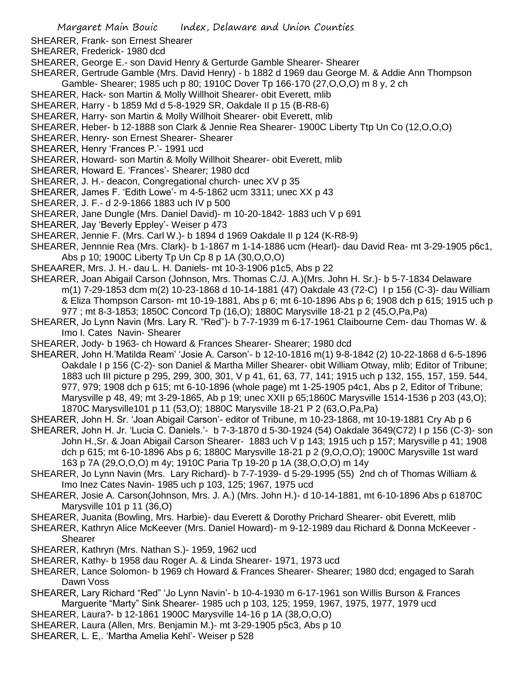- SHEARER, Frank- son Ernest Shearer
- SHEARER, Frederick- 1980 dcd
- SHEARER, George E.- son David Henry & Gerturde Gamble Shearer- Shearer
- SHEARER, Gertrude Gamble (Mrs. David Henry) b 1882 d 1969 dau George M. & Addie Ann Thompson Gamble- Shearer; 1985 uch p 80; 1910C Dover Tp 166-170 (27,O,O,O) m 8 y, 2 ch
- SHEARER, Hack- son Martin & Molly Willhoit Shearer- obit Everett, mlib
- SHEARER, Harry b 1859 Md d 5-8-1929 SR, Oakdale II p 15 (B-R8-6)
- SHEARER, Harry- son Martin & Molly Willhoit Shearer- obit Everett, mlib
- SHEARER, Heber- b 12-1888 son Clark & Jennie Rea Shearer- 1900C Liberty Ttp Un Co (12,O,O,O)
- SHEARER, Henry- son Ernest Shearer- Shearer
- SHEARER, Henry 'Frances P.'- 1991 ucd
- SHEARER, Howard- son Martin & Molly Willhoit Shearer- obit Everett, mlib
- SHEARER, Howard E. 'Frances'- Shearer; 1980 dcd
- SHEARER, J. H.- deacon, Congregational church- unec XV p 35
- SHEARER, James F. 'Edith Lowe'- m 4-5-1862 ucm 3311; unec XX p 43
- SHEARER, J. F.- d 2-9-1866 1883 uch IV p 500
- SHEARER, Jane Dungle (Mrs. Daniel David)- m 10-20-1842- 1883 uch V p 691
- SHEARER, Jay 'Beverly Eppley'- Weiser p 473
- SHEARER, Jennie F. (Mrs. Carl W.)- b 1894 d 1969 Oakdale II p 124 (K-R8-9)
- SHEARER, Jennnie Rea (Mrs. Clark)- b 1-1867 m 1-14-1886 ucm (Hearl)- dau David Rea- mt 3-29-1905 p6c1, Abs p 10; 1900C Liberty Tp Un Cp 8 p 1A (30,O,O,O)
- SHEAARER, Mrs. J. H.- dau L. H. Daniels- mt 10-3-1906 p1c5, Abs p 22
- SHEARER, Joan Abigail Carson (Johnson, Mrs. Thomas C./J. A.)(Mrs. John H. Sr.)- b 5-7-1834 Delaware m(1) 7-29-1853 dcm m(2) 10-23-1868 d 10-14-1881 (47) Oakdale 43 (72-C) I p 156 (C-3)- dau William & Eliza Thompson Carson- mt 10-19-1881, Abs p 6; mt 6-10-1896 Abs p 6; 1908 dch p 615; 1915 uch p 977 ; mt 8-3-1853; 1850C Concord Tp (16,O); 1880C Marysville 18-21 p 2 (45,O,Pa,Pa)
- SHEARER, Jo Lynn Navin (Mrs. Lary R. "Red")- b 7-7-1939 m 6-17-1961 Claibourne Cem- dau Thomas W. & Imo I. Cates Navin- Shearer
- SHEARER, Jody- b 1963- ch Howard & Frances Shearer- Shearer; 1980 dcd
- SHEARER, John H.'Matilda Ream' 'Josie A. Carson'- b 12-10-1816 m(1) 9-8-1842 (2) 10-22-1868 d 6-5-1896 Oakdale I p 156 (C-2)- son Daniel & Martha Miller Shearer- obit William Otway, mlib; Editor of Tribune; 1883 uch III picture p 295, 299, 300, 301, V p 41, 61, 63, 77, 141; 1915 uch p 132, 155, 157, 159. 544, 977, 979; 1908 dch p 615; mt 6-10-1896 (whole page) mt 1-25-1905 p4c1, Abs p 2, Editor of Tribune; Marysville p 48, 49; mt 3-29-1865, Ab p 19; unec XXII p 65;1860C Marysville 1514-1536 p 203 (43,O); 1870C Marysville101 p 11 (53,O); 1880C Marysville 18-21 P 2 (63,O,Pa,Pa)
- SHEARER, John H. Sr. 'Joan Abigail Carson'- editor of Tribune, m 10-23-1868, mt 10-19-1881 Cry Ab p 6
- SHEARER, John H. Jr. 'Lucia C. Daniels.'- b 7-3-1870 d 5-30-1924 (54) Oakdale 3649(C72) I p 156 (C-3)- son John H.,Sr. & Joan Abigail Carson Shearer- 1883 uch V p 143; 1915 uch p 157; Marysville p 41; 1908 dch p 615; mt 6-10-1896 Abs p 6; 1880C Marysville 18-21 p 2 (9,O,O,O); 1900C Marysville 1st ward 163 p 7A (29,O,O,O) m 4y; 1910C Paria Tp 19-20 p 1A (38,O,O,O) m 14y
- SHEARER, Jo Lynn Navin (Mrs. Lary Richard)- b 7-7-1939- d 5-29-1995 (55) 2nd ch of Thomas William & Imo Inez Cates Navin- 1985 uch p 103, 125; 1967, 1975 ucd
- SHEARER, Josie A. Carson(Johnson, Mrs. J. A.) (Mrs. John H.)- d 10-14-1881, mt 6-10-1896 Abs p 61870C Marysville 101 p 11 (36,O)
- SHEARER, Juanita (Bowling, Mrs. Harbie)- dau Everett & Dorothy Prichard Shearer- obit Everett, mlib
- SHEARER, Kathryn Alice McKeever (Mrs. Daniel Howard)- m 9-12-1989 dau Richard & Donna McKeever Shearer
- SHEARER, Kathryn (Mrs. Nathan S.)- 1959, 1962 ucd
- SHEARER, Kathy- b 1958 dau Roger A. & Linda Shearer- 1971, 1973 ucd
- SHEARER, Lance Solomon- b 1969 ch Howard & Frances Shearer- Shearer; 1980 dcd; engaged to Sarah Dawn Voss
- SHEARER, Lary Richard "Red" 'Jo Lynn Navin'- b 10-4-1930 m 6-17-1961 son Willis Burson & Frances Marguerite "Marty" Sink Shearer- 1985 uch p 103, 125; 1959, 1967, 1975, 1977, 1979 ucd
- SHEARER, Laura?- b 12-1861 1900C Marysville 14-16 p 1A (38,O,O,O)
- SHEARER, Laura (Allen, Mrs. Benjamin M.)- mt 3-29-1905 p5c3, Abs p 10
- SHEARER, L. E,. 'Martha Amelia Kehl'- Weiser p 528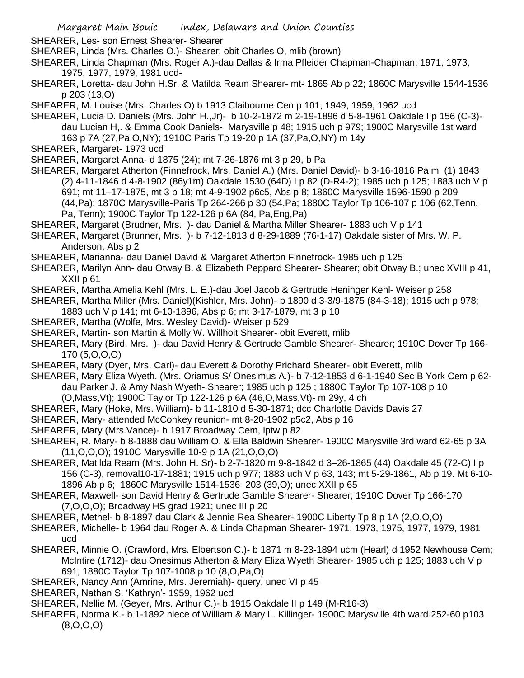SHEARER, Les- son Ernest Shearer- Shearer

- SHEARER, Linda (Mrs. Charles O.)- Shearer; obit Charles O, mlib (brown)
- SHEARER, Linda Chapman (Mrs. Roger A.)-dau Dallas & Irma Pfleider Chapman-Chapman; 1971, 1973, 1975, 1977, 1979, 1981 ucd-
- SHEARER, Loretta- dau John H.Sr. & Matilda Ream Shearer- mt- 1865 Ab p 22; 1860C Marysville 1544-1536 p 203 (13,O)
- SHEARER, M. Louise (Mrs. Charles O) b 1913 Claibourne Cen p 101; 1949, 1959, 1962 ucd
- SHEARER, Lucia D. Daniels (Mrs. John H.,Jr)- b 10-2-1872 m 2-19-1896 d 5-8-1961 Oakdale I p 156 (C-3) dau Lucian H,. & Emma Cook Daniels- Marysville p 48; 1915 uch p 979; 1900C Marysville 1st ward 163 p 7A (27,Pa,O,NY); 1910C Paris Tp 19-20 p 1A (37,Pa,O,NY) m 14y
- SHEARER, Margaret- 1973 ucd
- SHEARER, Margaret Anna- d 1875 (24); mt 7-26-1876 mt 3 p 29, b Pa
- SHEARER, Margaret Atherton (Finnefrock, Mrs. Daniel A.) (Mrs. Daniel David)- b 3-16-1816 Pa m (1) 1843 (2) 4-11-1846 d 4-8-1902 (86y1m) Oakdale 1530 (64D) I p 82 (D-R4-2); 1985 uch p 125; 1883 uch V p 691; mt 11–17-1875, mt 3 p 18; mt 4-9-1902 p6c5, Abs p 8; 1860C Marysville 1596-1590 p 209 (44,Pa); 1870C Marysville-Paris Tp 264-266 p 30 (54,Pa; 1880C Taylor Tp 106-107 p 106 (62,Tenn,
	- Pa, Tenn); 1900C Taylor Tp 122-126 p 6A (84, Pa,Eng,Pa)
- SHEARER, Margaret (Brudner, Mrs. )- dau Daniel & Martha Miller Shearer- 1883 uch V p 141
- SHEARER, Margaret (Brunner, Mrs. )- b 7-12-1813 d 8-29-1889 (76-1-17) Oakdale sister of Mrs. W. P. Anderson, Abs p 2
- SHEARER, Marianna- dau Daniel David & Margaret Atherton Finnefrock- 1985 uch p 125
- SHEARER, Marilyn Ann- dau Otway B. & Elizabeth Peppard Shearer- Shearer; obit Otway B.; unec XVIII p 41, XXII p 61
- SHEARER, Martha Amelia Kehl (Mrs. L. E.)-dau Joel Jacob & Gertrude Heninger Kehl- Weiser p 258
- SHEARER, Martha Miller (Mrs. Daniel)(Kishler, Mrs. John)- b 1890 d 3-3/9-1875 (84-3-18); 1915 uch p 978;
- 1883 uch V p 141; mt 6-10-1896, Abs p 6; mt 3-17-1879, mt 3 p 10
- SHEARER, Martha (Wolfe, Mrs. Wesley David)- Weiser p 529
- SHEARER, Martin- son Martin & Molly W. Willhoit Shearer- obit Everett, mlib
- SHEARER, Mary (Bird, Mrs. )- dau David Henry & Gertrude Gamble Shearer- Shearer; 1910C Dover Tp 166- 170 (5,O,O,O)
- SHEARER, Mary (Dyer, Mrs. Carl)- dau Everett & Dorothy Prichard Shearer- obit Everett, mlib
- SHEARER, Mary Eliza Wyeth. (Mrs. Oriamus S/ Onesimus A.)- b 7-12-1853 d 6-1-1940 Sec B York Cem p 62 dau Parker J. & Amy Nash Wyeth- Shearer; 1985 uch p 125 ; 1880C Taylor Tp 107-108 p 10 (O,Mass,Vt); 1900C Taylor Tp 122-126 p 6A (46,O,Mass,Vt)- m 29y, 4 ch
- SHEARER, Mary (Hoke, Mrs. William)- b 11-1810 d 5-30-1871; dcc Charlotte Davids Davis 27
- SHEARER, Mary- attended McConkey reunion- mt 8-20-1902 p5c2, Abs p 16
- SHEARER, Mary (Mrs.Vance)- b 1917 Broadway Cem, lptw p 82
- SHEARER, R. Mary- b 8-1888 dau William O. & Ella Baldwin Shearer- 1900C Marysville 3rd ward 62-65 p 3A (11,O,O,O); 1910C Marysville 10-9 p 1A (21,O,O,O)
- SHEARER, Matilda Ream (Mrs. John H. Sr)- b 2-7-1820 m 9-8-1842 d 3–26-1865 (44) Oakdale 45 (72-C) I p 156 (C-3), removal10-17-1881; 1915 uch p 977; 1883 uch V p 63, 143; mt 5-29-1861, Ab p 19. Mt 6-10- 1896 Ab p 6; 1860C Marysville 1514-1536 203 (39,O); unec XXII p 65
- SHEARER, Maxwell- son David Henry & Gertrude Gamble Shearer- Shearer; 1910C Dover Tp 166-170 (7,O,O,O); Broadway HS grad 1921; unec III p 20
- SHEARER, Methel- b 8-1897 dau Clark & Jennie Rea Shearer- 1900C Liberty Tp 8 p 1A (2,O,O,O)
- SHEARER, Michelle- b 1964 dau Roger A. & Linda Chapman Shearer- 1971, 1973, 1975, 1977, 1979, 1981 ucd
- SHEARER, Minnie O. (Crawford, Mrs. Elbertson C.)- b 1871 m 8-23-1894 ucm (Hearl) d 1952 Newhouse Cem; McIntire (1712)- dau Onesimus Atherton & Mary Eliza Wyeth Shearer- 1985 uch p 125; 1883 uch V p 691; 1880C Taylor Tp 107-1008 p 10 (8,O,Pa,O)
- SHEARER, Nancy Ann (Amrine, Mrs. Jeremiah)- query, unec VI p 45
- SHEARER, Nathan S. 'Kathryn'- 1959, 1962 ucd
- SHEARER, Nellie M. (Geyer, Mrs. Arthur C.)- b 1915 Oakdale II p 149 (M-R16-3)
- SHEARER, Norma K.- b 1-1892 niece of William & Mary L. Killinger- 1900C Marysville 4th ward 252-60 p103 (8,O,O,O)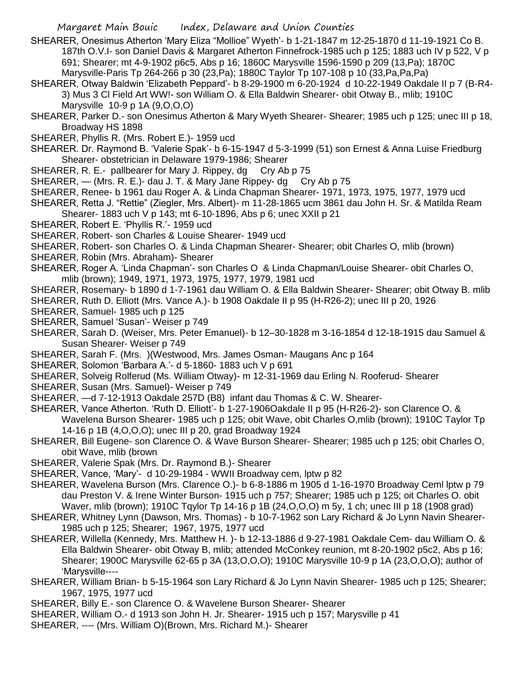- SHEARER, Onesimus Atherton 'Mary Eliza "Mollioe" Wyeth'- b 1-21-1847 m 12-25-1870 d 11-19-1921 Co B. 187th O.V.I- son Daniel Davis & Margaret Atherton Finnefrock-1985 uch p 125; 1883 uch IV p 522, V p 691; Shearer; mt 4-9-1902 p6c5, Abs p 16; 1860C Marysville 1596-1590 p 209 (13,Pa); 1870C Marysville-Paris Tp 264-266 p 30 (23,Pa); 1880C Taylor Tp 107-108 p 10 (33,Pa,Pa,Pa)
- SHEARER, Otway Baldwin 'Elizabeth Peppard'- b 8-29-1900 m 6-20-1924 d 10-22-1949 Oakdale II p 7 (B-R4- 3) Mus 3 Cl Field Art WW!- son William O. & Ella Baldwin Shearer- obit Otway B., mlib; 1910C Marysville 10-9 p 1A (9,O,O,O)
- SHEARER, Parker D.- son Onesimus Atherton & Mary Wyeth Shearer- Shearer; 1985 uch p 125; unec III p 18, Broadway HS 1898
- SHEARER, Phyllis R. (Mrs. Robert E.)- 1959 ucd
- SHEARER. Dr. Raymond B. 'Valerie Spak'- b 6-15-1947 d 5-3-1999 (51) son Ernest & Anna Luise Friedburg Shearer- obstetrician in Delaware 1979-1986; Shearer
- SHEARER, R. E.- pallbearer for Mary J. Rippey, dg Cry Ab p 75
- SHEARER, (Mrs. R. E.)- dau J. T. & Mary Jane Rippey- dg Cry Ab p 75
- SHEARER, Renee- b 1961 dau Roger A. & Linda Chapman Shearer- 1971, 1973, 1975, 1977, 1979 ucd
- SHEARER, Retta J. "Rettie" (Ziegler, Mrs. Albert)- m 11-28-1865 ucm 3861 dau John H. Sr. & Matilda Ream Shearer- 1883 uch V p 143; mt 6-10-1896, Abs p 6; unec XXII p 21
- SHEARER, Robert E. 'Phyllis R.'- 1959 ucd
- SHEARER, Robert- son Charles & Louise Shearer- 1949 ucd
- SHEARER, Robert- son Charles O. & Linda Chapman Shearer- Shearer; obit Charles O, mlib (brown)
- SHEARER, Robin (Mrs. Abraham)- Shearer
- SHEARER, Roger A. 'Linda Chapman'- son Charles O & Linda Chapman/Louise Shearer- obit Charles O, mlib (brown); 1949, 1971, 1973, 1975, 1977, 1979, 1981 ucd
- SHEARER, Rosemary- b 1890 d 1-7-1961 dau William O. & Ella Baldwin Shearer- Shearer; obit Otway B. mlib
- SHEARER, Ruth D. Elliott (Mrs. Vance A.)- b 1908 Oakdale II p 95 (H-R26-2); unec III p 20, 1926
- SHEARER, Samuel- 1985 uch p 125
- SHEARER, Samuel 'Susan'- Weiser p 749
- SHEARER, Sarah D. (Weiser, Mrs. Peter Emanuel)- b 12–30-1828 m 3-16-1854 d 12-18-1915 dau Samuel & Susan Shearer- Weiser p 749
- SHEARER, Sarah F. (Mrs. )(Westwood, Mrs. James Osman- Maugans Anc p 164
- SHEARER, Solomon 'Barbara A.'- d 5-1860- 1883 uch V p 691
- SHEARER, Solveig Rolferud (Ms. William Otway)- m 12-31-1969 dau Erling N. Rooferud- Shearer
- SHEARER, Susan (Mrs. Samuel)- Weiser p 749
- SHEARER, —d 7-12-1913 Oakdale 257D (B8) infant dau Thomas & C. W. Shearer-
- SHEARER, Vance Atherton. 'Ruth D. Elliott'- b 1-27-1906Oakdale II p 95 (H-R26-2)- son Clarence O. & Wavelena Burson Shearer- 1985 uch p 125; obit Wave, obit Charles O,mlib (brown); 1910C Taylor Tp 14-16 p 1B (4,O,O,O); unec III p 20, grad Broadway 1924
- SHEARER, Bill Eugene- son Clarence O. & Wave Burson Shearer- Shearer; 1985 uch p 125; obit Charles O, obit Wave, mlib (brown
- SHEARER, Valerie Spak (Mrs. Dr. Raymond B.)- Shearer
- SHEARER, Vance, 'Mary'- d 10-29-1984 WWII Broadway cem, lptw p 82
- SHEARER, Wavelena Burson (Mrs. Clarence O.)- b 6-8-1886 m 1905 d 1-16-1970 Broadway Ceml lptw p 79 dau Preston V. & Irene Winter Burson- 1915 uch p 757; Shearer; 1985 uch p 125; oit Charles O. obit Waver, mlib (brown); 1910C Tqylor Tp 14-16 p 1B (24, O, O, O) m 5y, 1 ch; unec III p 18 (1908 grad)
- SHEARER, Whitney Lynn (Dawson, Mrs. Thomas) b 10-7-1962 son Lary Richard & Jo Lynn Navin Shearer-1985 uch p 125; Shearer; 1967, 1975, 1977 ucd
- SHEARER, Willella (Kennedy, Mrs. Matthew H. )- b 12-13-1886 d 9-27-1981 Oakdale Cem- dau William O. & Ella Baldwin Shearer- obit Otway B, mlib; attended McConkey reunion, mt 8-20-1902 p5c2, Abs p 16; Shearer; 1900C Marysville 62-65 p 3A (13,O,O,O); 1910C Marysville 10-9 p 1A (23,O,O,O); author of 'Marysville----
- SHEARER, William Brian- b 5-15-1964 son Lary Richard & Jo Lynn Navin Shearer- 1985 uch p 125; Shearer; 1967, 1975, 1977 ucd
- SHEARER, Billy E.- son Clarence O. & Wavelene Burson Shearer- Shearer
- SHEARER, William O.- d 1913 son John H. Jr. Shearer- 1915 uch p 157; Marysville p 41
- SHEARER, ---- (Mrs. William O)(Brown, Mrs. Richard M.)- Shearer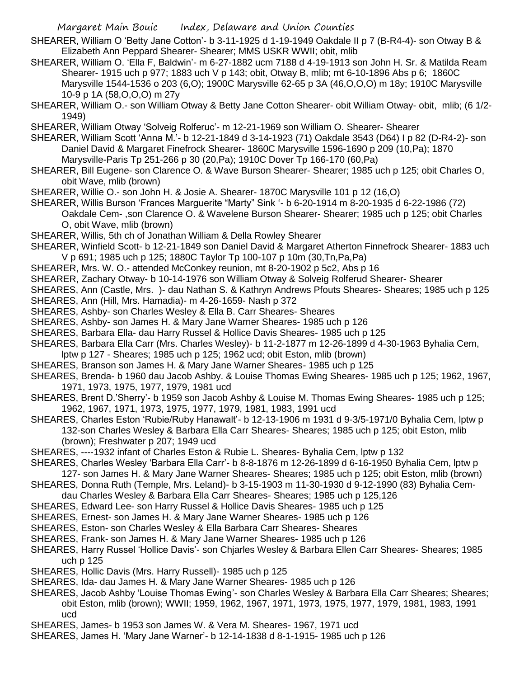- SHEARER, William O 'Betty Jane Cotton'- b 3-11-1925 d 1-19-1949 Oakdale II p 7 (B-R4-4)- son Otway B & Elizabeth Ann Peppard Shearer- Shearer; MMS USKR WWII; obit, mlib
- SHEARER, William O. 'Ella F, Baldwin'- m 6-27-1882 ucm 7188 d 4-19-1913 son John H. Sr. & Matilda Ream Shearer- 1915 uch p 977; 1883 uch V p 143; obit, Otway B, mlib; mt 6-10-1896 Abs p 6; 1860C Marysville 1544-1536 o 203 (6,O); 1900C Marysville 62-65 p 3A (46,O,O,O) m 18y; 1910C Marysville 10-9 p 1A (58,O,O,O) m 27y
- SHEARER, William O.- son William Otway & Betty Jane Cotton Shearer- obit William Otway- obit, mlib; (6 1/2- 1949)
- SHEARER, William Otway 'Solveig Rolferuc'- m 12-21-1969 son William O. Shearer- Shearer
- SHEARER, William Scott 'Anna M.'- b 12-21-1849 d 3-14-1923 (71) Oakdale 3543 (D64) I p 82 (D-R4-2)- son Daniel David & Margaret Finefrock Shearer- 1860C Marysville 1596-1690 p 209 (10,Pa); 1870 Marysville-Paris Tp 251-266 p 30 (20,Pa); 1910C Dover Tp 166-170 (60,Pa)
- SHEARER, Bill Eugene- son Clarence O. & Wave Burson Shearer- Shearer; 1985 uch p 125; obit Charles O, obit Wave, mlib (brown)
- SHEARER, Willie O.- son John H. & Josie A. Shearer- 1870C Marysville 101 p 12 (16,O)
- SHEARER, Willis Burson 'Frances Marguerite "Marty" Sink '- b 6-20-1914 m 8-20-1935 d 6-22-1986 (72) Oakdale Cem- ,son Clarence O. & Wavelene Burson Shearer- Shearer; 1985 uch p 125; obit Charles O, obit Wave, mlib (brown)
- SHEARER, Willis, 5th ch of Jonathan William & Della Rowley Shearer
- SHEARER, Winfield Scott- b 12-21-1849 son Daniel David & Margaret Atherton Finnefrock Shearer- 1883 uch V p 691; 1985 uch p 125; 1880C Taylor Tp 100-107 p 10m (30,Tn,Pa,Pa)
- SHEARER, Mrs. W. O.- attended McConkey reunion, mt 8-20-1902 p 5c2, Abs p 16
- SHEARER, Zachary Otway- b 10-14-1976 son William Otway & Solveig Rolferud Shearer- Shearer
- SHEARES, Ann (Castle, Mrs. )- dau Nathan S. & Kathryn Andrews Pfouts Sheares- Sheares; 1985 uch p 125
- SHEARES, Ann (Hill, Mrs. Hamadia)- m 4-26-1659- Nash p 372
- SHEARES, Ashby- son Charles Wesley & Ella B. Carr Sheares- Sheares
- SHEARES, Ashby- son James H. & Mary Jane Warner Sheares- 1985 uch p 126
- SHEARES, Barbara Ella- dau Harry Russel & Hollice Davis Sheares- 1985 uch p 125
- SHEARES, Barbara Ella Carr (Mrs. Charles Wesley)- b 11-2-1877 m 12-26-1899 d 4-30-1963 Byhalia Cem, lptw p 127 - Sheares; 1985 uch p 125; 1962 ucd; obit Eston, mlib (brown)
- SHEARES, Branson son James H. & Mary Jane Warner Sheares- 1985 uch p 125
- SHEARES, Brenda- b 1960 dau Jacob Ashby. & Louise Thomas Ewing Sheares- 1985 uch p 125; 1962, 1967, 1971, 1973, 1975, 1977, 1979, 1981 ucd
- SHEARES, Brent D.'Sherry'- b 1959 son Jacob Ashby & Louise M. Thomas Ewing Sheares- 1985 uch p 125; 1962, 1967, 1971, 1973, 1975, 1977, 1979, 1981, 1983, 1991 ucd
- SHEARES, Charles Eston 'Rubie/Ruby Hanawalt'- b 12-13-1906 m 1931 d 9-3/5-1971/0 Byhalia Cem, lptw p 132-son Charles Wesley & Barbara Ella Carr Sheares- Sheares; 1985 uch p 125; obit Eston, mlib (brown); Freshwater p 207; 1949 ucd
- SHEARES, ----1932 infant of Charles Eston & Rubie L. Sheares- Byhalia Cem, lptw p 132
- SHEARES, Charles Wesley 'Barbara Ella Carr'- b 8-8-1876 m 12-26-1899 d 6-16-1950 Byhalia Cem, lptw p 127- son James H. & Mary Jane Warner Sheares- Sheares; 1985 uch p 125; obit Eston, mlib (brown)
- SHEARES, Donna Ruth (Temple, Mrs. Leland)- b 3-15-1903 m 11-30-1930 d 9-12-1990 (83) Byhalia Cem-
- dau Charles Wesley & Barbara Ella Carr Sheares- Sheares; 1985 uch p 125,126
- SHEARES, Edward Lee- son Harry Russel & Hollice Davis Sheares- 1985 uch p 125
- SHEARES, Ernest- son James H. & Mary Jane Warner Sheares- 1985 uch p 126
- SHEARES, Eston- son Charles Wesley & Ella Barbara Carr Sheares- Sheares
- SHEARES, Frank- son James H. & Mary Jane Warner Sheares- 1985 uch p 126
- SHEARES, Harry Russel 'Hollice Davis'- son Chjarles Wesley & Barbara Ellen Carr Sheares- Sheares; 1985 uch p 125
- SHEARES, Hollic Davis (Mrs. Harry Russell)- 1985 uch p 125
- SHEARES, Ida- dau James H. & Mary Jane Warner Sheares- 1985 uch p 126
- SHEARES, Jacob Ashby 'Louise Thomas Ewing'- son Charles Wesley & Barbara Ella Carr Sheares; Sheares; obit Eston, mlib (brown); WWII; 1959, 1962, 1967, 1971, 1973, 1975, 1977, 1979, 1981, 1983, 1991 ucd
- SHEARES, James- b 1953 son James W. & Vera M. Sheares- 1967, 1971 ucd
- SHEARES, James H. 'Mary Jane Warner'- b 12-14-1838 d 8-1-1915- 1985 uch p 126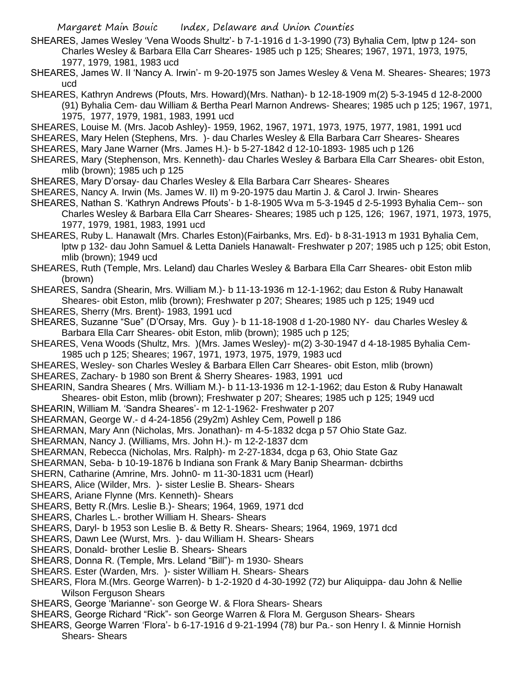- SHEARES, James Wesley 'Vena Woods Shultz'- b 7-1-1916 d 1-3-1990 (73) Byhalia Cem, lptw p 124- son Charles Wesley & Barbara Ella Carr Sheares- 1985 uch p 125; Sheares; 1967, 1971, 1973, 1975, 1977, 1979, 1981, 1983 ucd
- SHEARES, James W. II 'Nancy A. Irwin'- m 9-20-1975 son James Wesley & Vena M. Sheares- Sheares; 1973 ucd

SHEARES, Kathryn Andrews (Pfouts, Mrs. Howard)(Mrs. Nathan)- b 12-18-1909 m(2) 5-3-1945 d 12-8-2000 (91) Byhalia Cem- dau William & Bertha Pearl Marnon Andrews- Sheares; 1985 uch p 125; 1967, 1971, 1975, 1977, 1979, 1981, 1983, 1991 ucd

- SHEARES, Louise M. (Mrs. Jacob Ashley)- 1959, 1962, 1967, 1971, 1973, 1975, 1977, 1981, 1991 ucd
- SHEARES, Mary Helen (Stephens, Mrs. )- dau Charles Wesley & Ella Barbara Carr Sheares- Sheares

SHEARES, Mary Jane Warner (Mrs. James H.)- b 5-27-1842 d 12-10-1893- 1985 uch p 126

- SHEARES, Mary (Stephenson, Mrs. Kenneth)- dau Charles Wesley & Barbara Ella Carr Sheares- obit Eston, mlib (brown); 1985 uch p 125
- SHEARES, Mary D'orsay- dau Charles Wesley & Ella Barbara Carr Sheares- Sheares
- SHEARES, Nancy A. Irwin (Ms. James W. II) m 9-20-1975 dau Martin J. & Carol J. Irwin- Sheares
- SHEARES, Nathan S. 'Kathryn Andrews Pfouts'- b 1-8-1905 Wva m 5-3-1945 d 2-5-1993 Byhalia Cem-- son Charles Wesley & Barbara Ella Carr Sheares- Sheares; 1985 uch p 125, 126; 1967, 1971, 1973, 1975, 1977, 1979, 1981, 1983, 1991 ucd
- SHEARES, Ruby L. Hanawalt (Mrs. Charles Eston)(Fairbanks, Mrs. Ed)- b 8-31-1913 m 1931 Byhalia Cem, lptw p 132- dau John Samuel & Letta Daniels Hanawalt- Freshwater p 207; 1985 uch p 125; obit Eston, mlib (brown); 1949 ucd
- SHEARES, Ruth (Temple, Mrs. Leland) dau Charles Wesley & Barbara Ella Carr Sheares- obit Eston mlib (brown)
- SHEARES, Sandra (Shearin, Mrs. William M.)- b 11-13-1936 m 12-1-1962; dau Eston & Ruby Hanawalt Sheares- obit Eston, mlib (brown); Freshwater p 207; Sheares; 1985 uch p 125; 1949 ucd
- SHEARES, Sherry (Mrs. Brent)- 1983, 1991 ucd
- SHEARES, Suzanne "Sue" (D'Orsay, Mrs. Guy )- b 11-18-1908 d 1-20-1980 NY- dau Charles Wesley & Barbara Ella Carr Sheares- obit Eston, mlib (brown); 1985 uch p 125;
- SHEARES, Vena Woods (Shultz, Mrs. )(Mrs. James Wesley)- m(2) 3-30-1947 d 4-18-1985 Byhalia Cem-1985 uch p 125; Sheares; 1967, 1971, 1973, 1975, 1979, 1983 ucd
- SHEARES, Wesley- son Charles Wesley & Barbara Ellen Carr Sheares- obit Eston, mlib (brown)
- SHEARES, Zachary- b 1980 son Brent & Sherry Sheares- 1983, 1991 ucd
- SHEARIN, Sandra Sheares ( Mrs. William M.)- b 11-13-1936 m 12-1-1962; dau Eston & Ruby Hanawalt Sheares- obit Eston, mlib (brown); Freshwater p 207; Sheares; 1985 uch p 125; 1949 ucd
- SHEARIN, William M. 'Sandra Sheares'- m 12-1-1962- Freshwater p 207
- SHEARMAN, George W.- d 4-24-1856 (29y2m) Ashley Cem, Powell p 186
- SHEARMAN, Mary Ann (Nicholas, Mrs. Jonathan)- m 4-5-1832 dcga p 57 Ohio State Gaz.
- SHEARMAN, Nancy J. (Williams, Mrs. John H.)- m 12-2-1837 dcm
- SHEARMAN, Rebecca (Nicholas, Mrs. Ralph)- m 2-27-1834, dcga p 63, Ohio State Gaz
- SHEARMAN, Seba- b 10-19-1876 b Indiana son Frank & Mary Banip Shearman- dcbirths

SHERN, Catharine (Amrine, Mrs. John0- m 11-30-1831 ucm (Hearl)

- SHEARS, Alice (Wilder, Mrs. )- sister Leslie B. Shears- Shears
- SHEARS, Ariane Flynne (Mrs. Kenneth)- Shears
- SHEARS, Betty R.(Mrs. Leslie B.)- Shears; 1964, 1969, 1971 dcd
- SHEARS, Charles L.- brother William H. Shears- Shears
- SHEARS, Daryl- b 1953 son Leslie B. & Betty R. Shears- Shears; 1964, 1969, 1971 dcd
- SHEARS, Dawn Lee (Wurst, Mrs. )- dau William H. Shears- Shears
- SHEARS, Donald- brother Leslie B. Shears- Shears
- SHEARS, Donna R. (Temple, Mrs. Leland "Bill")- m 1930- Shears
- SHEARS. Ester (Warden, Mrs. )- sister William H. Shears- Shears
- SHEARS, Flora M.(Mrs. George Warren)- b 1-2-1920 d 4-30-1992 (72) bur Aliquippa- dau John & Nellie Wilson Ferguson Shears
- SHEARS, George 'Marianne'- son George W. & Flora Shears- Shears
- SHEARS, George Richard "Rick"- son George Warren & Flora M. Gerguson Shears- Shears
- SHEARS, George Warren 'Flora'- b 6-17-1916 d 9-21-1994 (78) bur Pa.- son Henry I. & Minnie Hornish Shears- Shears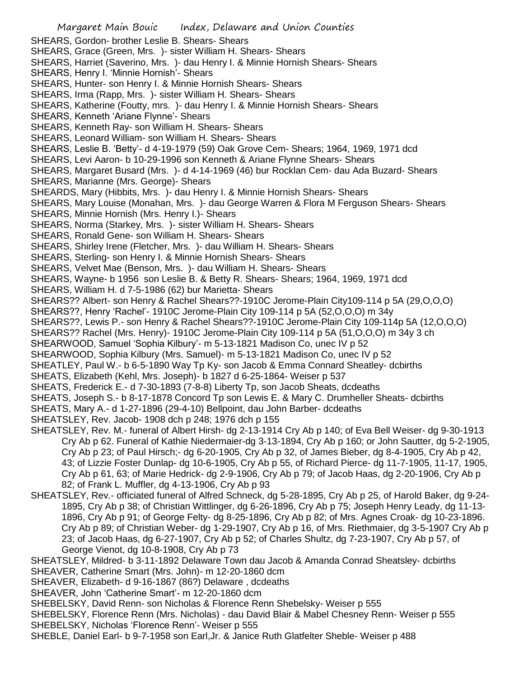Margaret Main Bouic Index, Delaware and Union Counties SHEARS, Gordon- brother Leslie B. Shears- Shears SHEARS, Grace (Green, Mrs. )- sister William H. Shears- Shears SHEARS, Harriet (Saverino, Mrs. )- dau Henry I. & Minnie Hornish Shears- Shears SHEARS, Henry I. 'Minnie Hornish'- Shears SHEARS, Hunter- son Henry I. & Minnie Hornish Shears- Shears SHEARS, Irma (Rapp, Mrs. )- sister William H. Shears- Shears SHEARS, Katherine (Foutty, mrs. )- dau Henry I. & Minnie Hornish Shears- Shears SHEARS, Kenneth 'Ariane Flynne'- Shears SHEARS, Kenneth Ray- son William H. Shears- Shears SHEARS, Leonard William- son William H. Shears- Shears SHEARS, Leslie B. 'Betty'- d 4-19-1979 (59) Oak Grove Cem- Shears; 1964, 1969, 1971 dcd SHEARS, Levi Aaron- b 10-29-1996 son Kenneth & Ariane Flynne Shears- Shears SHEARS, Margaret Busard (Mrs. )- d 4-14-1969 (46) bur Rocklan Cem- dau Ada Buzard- Shears SHEARS, Marianne (Mrs. George)- Shears SHEARDS, Mary (Hibbits, Mrs. )- dau Henry I. & Minnie Hornish Shears- Shears SHEARS, Mary Louise (Monahan, Mrs. )- dau George Warren & Flora M Ferguson Shears- Shears SHEARS, Minnie Hornish (Mrs. Henry I.)- Shears SHEARS, Norma (Starkey, Mrs. )- sister William H. Shears- Shears SHEARS, Ronald Gene- son William H. Shears- Shears SHEARS, Shirley Irene (Fletcher, Mrs. )- dau William H. Shears- Shears SHEARS, Sterling- son Henry I. & Minnie Hornish Shears- Shears SHEARS, Velvet Mae (Benson, Mrs. )- dau William H. Shears- Shears SHEARS, Wayne- b 1956 son Leslie B. & Betty R. Shears- Shears; 1964, 1969, 1971 dcd SHEARS, William H. d 7-5-1986 (62) bur Marietta- Shears SHEARS?? Albert- son Henry & Rachel Shears??-1910C Jerome-Plain City109-114 p 5A (29,O,O,O) SHEARS??, Henry 'Rachel'- 1910C Jerome-Plain City 109-114 p 5A (52,O,O,O) m 34y SHEARS??, Lewis P.- son Henry & Rachel Shears??-1910C Jerome-Plain City 109-114p 5A (12,O,O,O) SHEARS?? Rachel (Mrs. Henry)- 1910C Jerome-Plain City 109-114 p 5A (51,O,O,O) m 34y 3 ch SHEARWOOD, Samuel 'Sophia Kilbury'- m 5-13-1821 Madison Co, unec IV p 52 SHEARWOOD, Sophia Kilbury (Mrs. Samuel)- m 5-13-1821 Madison Co, unec IV p 52 SHEATLEY, Paul W.- b 6-5-1890 Way Tp Ky- son Jacob & Emma Connard Sheatley- dcbirths SHEATS, Elizabeth (Kehl, Mrs. Joseph)- b 1827 d 6-25-1864- Weiser p 537 SHEATS, Frederick E.- d 7-30-1893 (7-8-8) Liberty Tp, son Jacob Sheats, dcdeaths SHEATS, Joseph S.- b 8-17-1878 Concord Tp son Lewis E. & Mary C. Drumheller Sheats- dcbirths SHEATS, Mary A.- d 1-27-1896 (29-4-10) Bellpoint, dau John Barber- dcdeaths SHEATSLEY, Rev. Jacob- 1908 dch p 248; 1976 dch p 155 SHEATSLEY, Rev. M.- funeral of Albert Hirsh- dg 2-13-1914 Cry Ab p 140; of Eva Bell Weiser- dg 9-30-1913 Cry Ab p 62. Funeral of Kathie Niedermaier-dg 3-13-1894, Cry Ab p 160; or John Sautter, dg 5-2-1905, Cry Ab p 23; of Paul Hirsch;- dg 6-20-1905, Cry Ab p 32, of James Bieber, dg 8-4-1905, Cry Ab p 42, 43; of Lizzie Foster Dunlap- dg 10-6-1905, Cry Ab p 55, of Richard Pierce- dg 11-7-1905, 11-17, 1905, Cry Ab p 61, 63; of Marie Hedrick- dg 2-9-1906, Cry Ab p 79; of Jacob Haas, dg 2-20-1906, Cry Ab p 82; of Frank L. Muffler, dg 4-13-1906, Cry Ab p 93 SHEATSLEY, Rev.- officiated funeral of Alfred Schneck, dg 5-28-1895, Cry Ab p 25, of Harold Baker, dg 9-24- 1895, Cry Ab p 38; of Christian Wittlinger, dg 6-26-1896, Cry Ab p 75; Joseph Henry Leady, dg 11-13- 1896, Cry Ab p 91; of George Felty- dg 8-25-1896, Cry Ab p 82; of Mrs. Agnes Croak- dg 10-23-1896. Cry Ab p 89; of Christian Weber- dg 1-29-1907, Cry Ab p 16, of Mrs. Riethmaier, dg 3-5-1907 Cry Ab p 23; of Jacob Haas, dg 6-27-1907, Cry Ab p 52; of Charles Shultz, dg 7-23-1907, Cry Ab p 57, of George Vienot, dg 10-8-1908, Cry Ab p 73 SHEATSLEY, Mildred- b 3-11-1892 Delaware Town dau Jacob & Amanda Conrad Sheatsley- dcbirths SHEAVER, Catherine Smart (Mrs. John)- m 12-20-1860 dcm SHEAVER, Elizabeth- d 9-16-1867 (86?) Delaware , dcdeaths

SHEAVER, John 'Catherine Smart'- m 12-20-1860 dcm

SHEBELSKY, David Renn- son Nicholas & Florence Renn Shebelsky- Weiser p 555

SHEBELSKY, Florence Renn (Mrs. Nicholas) - dau David Blair & Mabel Chesney Renn- Weiser p 555 SHEBELSKY, Nicholas 'Florence Renn'- Weiser p 555

SHEBLE, Daniel Earl- b 9-7-1958 son Earl,Jr. & Janice Ruth Glatfelter Sheble- Weiser p 488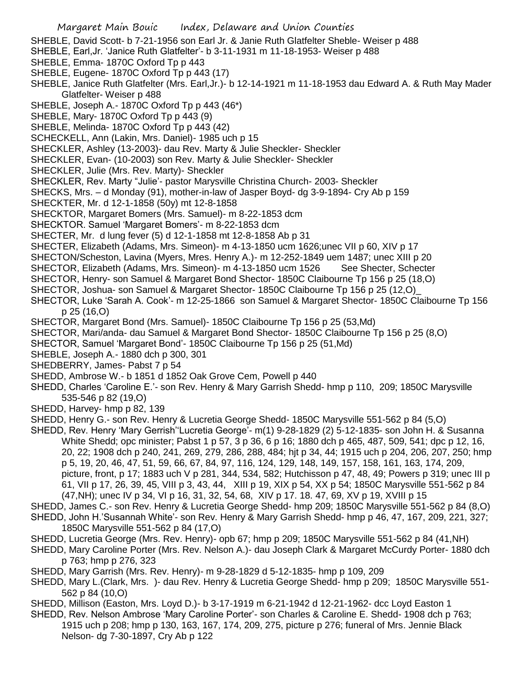- SHEBLE, David Scott- b 7-21-1956 son Earl Jr. & Janie Ruth Glatfelter Sheble- Weiser p 488
- SHEBLE, Earl,Jr. 'Janice Ruth Glatfelter'- b 3-11-1931 m 11-18-1953- Weiser p 488
- SHEBLE, Emma- 1870C Oxford Tp p 443
- SHEBLE, Eugene- 1870C Oxford Tp p 443 (17)
- SHEBLE, Janice Ruth Glatfelter (Mrs. Earl,Jr.)- b 12-14-1921 m 11-18-1953 dau Edward A. & Ruth May Mader Glatfelter- Weiser p 488
- SHEBLE, Joseph A.- 1870C Oxford Tp p 443 (46\*)
- SHEBLE, Mary- 1870C Oxford Tp p 443 (9)
- SHEBLE, Melinda- 1870C Oxford Tp p 443 (42)
- SCHECKELL, Ann (Lakin, Mrs. Daniel)- 1985 uch p 15
- SHECKLER, Ashley (13-2003)- dau Rev. Marty & Julie Sheckler- Sheckler
- SHECKLER, Evan- (10-2003) son Rev. Marty & Julie Sheckler- Sheckler
- SHECKLER, Julie (Mrs. Rev. Marty)- Sheckler
- SHECKLER, Rev. Marty "Julie'- pastor Marysville Christina Church- 2003- Sheckler
- SHECKS, Mrs. d Monday (91), mother-in-law of Jasper Boyd- dg 3-9-1894- Cry Ab p 159
- SHECKTER, Mr. d 12-1-1858 (50y) mt 12-8-1858
- SHECKTOR, Margaret Bomers (Mrs. Samuel)- m 8-22-1853 dcm
- SHECKTOR. Samuel 'Margaret Bomers'- m 8-22-1853 dcm
- SHECTER, Mr. d lung fever (5) d 12-1-1858 mt 12-8-1858 Ab p 31
- SHECTER, Elizabeth (Adams, Mrs. Simeon)- m 4-13-1850 ucm 1626;unec VII p 60, XIV p 17
- SHECTON/Scheston, Lavina (Myers, Mres. Henry A.)- m 12-252-1849 uem 1487; unec XIII p 20
- SHECTOR, Elizabeth (Adams, Mrs. Simeon)- m 4-13-1850 ucm 1526 See Shecter, Schecter
- SHECTOR, Henry- son Samuel & Margaret Bond Shector- 1850C Claibourne Tp 156 p 25 (18,O)
- SHECTOR, Joshua- son Samuel & Margaret Shector- 1850C Claibourne Tp 156 p 25 (12,O)\_
- SHECTOR, Luke 'Sarah A. Cook'- m 12-25-1866 son Samuel & Margaret Shector- 1850C Claibourne Tp 156 p 25 (16,O)
- SHECTOR, Margaret Bond (Mrs. Samuel)- 1850C Claibourne Tp 156 p 25 (53,Md)
- SHECTOR, Mari/anda- dau Samuel & Margaret Bond Shector- 1850C Claibourne Tp 156 p 25 (8,O)
- SHECTOR, Samuel 'Margaret Bond'- 1850C Claibourne Tp 156 p 25 (51,Md)
- SHEBLE, Joseph A.- 1880 dch p 300, 301
- SHEDBERRY, James- Pabst 7 p 54
- SHEDD, Ambrose W.- b 1851 d 1852 Oak Grove Cem, Powell p 440
- SHEDD, Charles 'Caroline E.'- son Rev. Henry & Mary Garrish Shedd- hmp p 110, 209; 1850C Marysville 535-546 p 82 (19,O)
- SHEDD, Harvey- hmp p 82, 139
- SHEDD, Henry G.- son Rev. Henry & Lucretia George Shedd- 1850C Marysville 551-562 p 84 (5,O)
- SHEDD, Rev. Henry 'Mary Gerrish''Lucretia George'- m(1) 9-28-1829 (2) 5-12-1835- son John H. & Susanna White Shedd; opc minister; Pabst 1 p 57, 3 p 36, 6 p 16; 1880 dch p 465, 487, 509, 541; dpc p 12, 16, 20, 22; 1908 dch p 240, 241, 269, 279, 286, 288, 484; hjt p 34, 44; 1915 uch p 204, 206, 207, 250; hmp p 5, 19, 20, 46, 47, 51, 59, 66, 67, 84, 97, 116, 124, 129, 148, 149, 157, 158, 161, 163, 174, 209, picture, front, p 17; 1883 uch V p 281, 344, 534, 582; Hutchisson p 47, 48, 49; Powers p 319; unec III p 61, VII p 17, 26, 39, 45, VIII p 3, 43, 44, XIII p 19, XIX p 54, XX p 54; 1850C Marysville 551-562 p 84 (47,NH); unec IV p 34, VI p 16, 31, 32, 54, 68, XIV p 17. 18. 47, 69, XV p 19, XVIII p 15
- SHEDD, James C.- son Rev. Henry & Lucretia George Shedd- hmp 209; 1850C Marysville 551-562 p 84 (8,O)
- SHEDD, John H.'Susannah White'- son Rev. Henry & Mary Garrish Shedd- hmp p 46, 47, 167, 209, 221, 327; 1850C Marysville 551-562 p 84 (17,O)
- SHEDD, Lucretia George (Mrs. Rev. Henry)- opb 67; hmp p 209; 1850C Marysville 551-562 p 84 (41,NH)
- SHEDD, Mary Caroline Porter (Mrs. Rev. Nelson A.)- dau Joseph Clark & Margaret McCurdy Porter- 1880 dch p 763; hmp p 276, 323
- SHEDD, Mary Garrish (Mrs. Rev. Henry)- m 9-28-1829 d 5-12-1835- hmp p 109, 209
- SHEDD, Mary L.(Clark, Mrs. )- dau Rev. Henry & Lucretia George Shedd- hmp p 209; 1850C Marysville 551- 562 p 84 (10,O)
- SHEDD, Millison (Easton, Mrs. Loyd D.)- b 3-17-1919 m 6-21-1942 d 12-21-1962- dcc Loyd Easton 1
- SHEDD, Rev. Nelson Ambrose 'Mary Caroline Porter'- son Charles & Caroline E. Shedd- 1908 dch p 763; 1915 uch p 208; hmp p 130, 163, 167, 174, 209, 275, picture p 276; funeral of Mrs. Jennie Black Nelson- dg 7-30-1897, Cry Ab p 122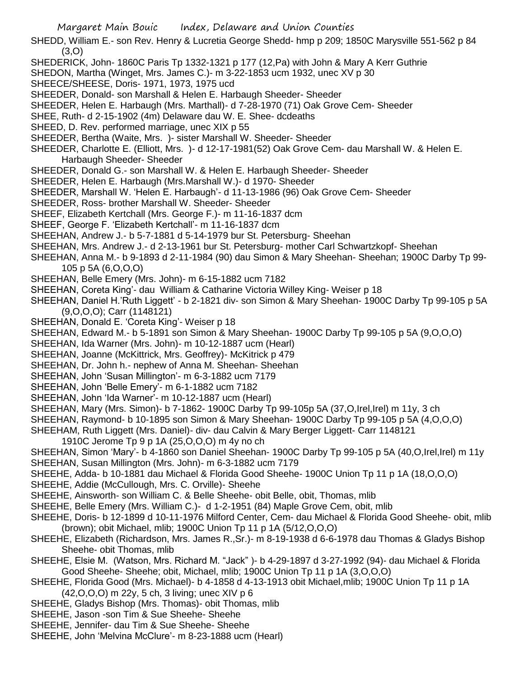- SHEDD, William E.- son Rev. Henry & Lucretia George Shedd- hmp p 209; 1850C Marysville 551-562 p 84 (3,O)
- SHEDERICK, John- 1860C Paris Tp 1332-1321 p 177 (12,Pa) with John & Mary A Kerr Guthrie
- SHEDON, Martha (Winget, Mrs. James C.)- m 3-22-1853 ucm 1932, unec XV p 30
- SHEECE/SHEESE, Doris- 1971, 1973, 1975 ucd
- SHEEDER, Donald- son Marshall & Helen E. Harbaugh Sheeder- Sheeder
- SHEEDER, Helen E. Harbaugh (Mrs. Marthall)- d 7-28-1970 (71) Oak Grove Cem- Sheeder
- SHEE, Ruth- d 2-15-1902 (4m) Delaware dau W. E. Shee- dcdeaths
- SHEED, D. Rev. performed marriage, unec XIX p 55
- SHEEDER, Bertha (Waite, Mrs. )- sister Marshall W. Sheeder- Sheeder
- SHEEDER, Charlotte E. (Elliott, Mrs. )- d 12-17-1981(52) Oak Grove Cem- dau Marshall W. & Helen E. Harbaugh Sheeder- Sheeder
- SHEEDER, Donald G.- son Marshall W. & Helen E. Harbaugh Sheeder- Sheeder
- SHEEDER, Helen E. Harbaugh (Mrs.Marshall W.)- d 1970- Sheeder
- SHEEDER, Marshall W. 'Helen E. Harbaugh'- d 11-13-1986 (96) Oak Grove Cem- Sheeder
- SHEEDER, Ross- brother Marshall W. Sheeder- Sheeder
- SHEEF, Elizabeth Kertchall (Mrs. George F.)- m 11-16-1837 dcm
- SHEEF, George F. 'Elizabeth Kertchall'- m 11-16-1837 dcm
- SHEEHAN, Andrew J.- b 5-7-1881 d 5-14-1979 bur St. Petersburg- Sheehan
- SHEEHAN, Mrs. Andrew J.- d 2-13-1961 bur St. Petersburg- mother Carl Schwartzkopf- Sheehan
- SHEEHAN, Anna M.- b 9-1893 d 2-11-1984 (90) dau Simon & Mary Sheehan- Sheehan; 1900C Darby Tp 99- 105 p 5A (6,O,O,O)
- SHEEHAN, Belle Emery (Mrs. John)- m 6-15-1882 ucm 7182
- SHEEHAN, Coreta King'- dau William & Catharine Victoria Willey King- Weiser p 18
- SHEEHAN, Daniel H.'Ruth Liggett' b 2-1821 div- son Simon & Mary Sheehan- 1900C Darby Tp 99-105 p 5A (9,O,O,O); Carr (1148121)
- SHEEHAN, Donald E. 'Coreta King'- Weiser p 18
- SHEEHAN, Edward M.- b 5-1891 son Simon & Mary Sheehan- 1900C Darby Tp 99-105 p 5A (9,O,O,O)
- SHEEHAN, Ida Warner (Mrs. John)- m 10-12-1887 ucm (Hearl)
- SHEEHAN, Joanne (McKittrick, Mrs. Geoffrey)- McKitrick p 479
- SHEEHAN, Dr. John h.- nephew of Anna M. Sheehan- Sheehan
- SHEEHAN, John 'Susan Millington'- m 6-3-1882 ucm 7179
- SHEEHAN, John 'Belle Emery'- m 6-1-1882 ucm 7182
- SHEEHAN, John 'Ida Warner'- m 10-12-1887 ucm (Hearl)
- SHEEHAN, Mary (Mrs. Simon)- b 7-1862- 1900C Darby Tp 99-105p 5A (37,O,Irel,Irel) m 11y, 3 ch
- SHEEHAN, Raymond- b 10-1895 son Simon & Mary Sheehan- 1900C Darby Tp 99-105 p 5A (4,O,O,O)
- SHEEHAM, Ruth Liggett (Mrs. Daniel)- div- dau Calvin & Mary Berger Liggett- Carr 1148121
- 1910C Jerome Tp 9 p 1A (25,O,O,O) m 4y no ch
- SHEEHAN, Simon 'Mary'- b 4-1860 son Daniel Sheehan- 1900C Darby Tp 99-105 p 5A (40,O,Irel,Irel) m 11y SHEEHAN, Susan Millington (Mrs. John)- m 6-3-1882 ucm 7179
- SHEEHE, Adda- b 10-1881 dau Michael & Florida Good Sheehe- 1900C Union Tp 11 p 1A (18,O,O,O)
- SHEEHE, Addie (McCullough, Mrs. C. Orville)- Sheehe
- SHEEHE, Ainsworth- son William C. & Belle Sheehe- obit Belle, obit, Thomas, mlib
- SHEEHE, Belle Emery (Mrs. William C.)- d 1-2-1951 (84) Maple Grove Cem, obit, mlib
- SHEEHE, Doris- b 12-1899 d 10-11-1976 Milford Center, Cem- dau Michael & Florida Good Sheehe- obit, mlib (brown); obit Michael, mlib; 1900C Union Tp 11 p 1A (5/12,O,O,O)
- SHEEHE, Elizabeth (Richardson, Mrs. James R.,Sr.)- m 8-19-1938 d 6-6-1978 dau Thomas & Gladys Bishop Sheehe- obit Thomas, mlib
- SHEEHE, Elsie M. (Watson, Mrs. Richard M. "Jack" )- b 4-29-1897 d 3-27-1992 (94)- dau Michael & Florida Good Sheehe- Sheehe; obit, Michael, mlib; 1900C Union Tp 11 p 1A (3,O,O,O)
- SHEEHE, Florida Good (Mrs. Michael)- b 4-1858 d 4-13-1913 obit Michael,mlib; 1900C Union Tp 11 p 1A (42,O,O,O) m 22y, 5 ch, 3 living; unec XIV p 6
- SHEEHE, Gladys Bishop (Mrs. Thomas)- obit Thomas, mlib
- SHEEHE, Jason -son Tim & Sue Sheehe- Sheehe
- SHEEHE, Jennifer- dau Tim & Sue Sheehe- Sheehe
- SHEEHE, John 'Melvina McClure'- m 8-23-1888 ucm (Hearl)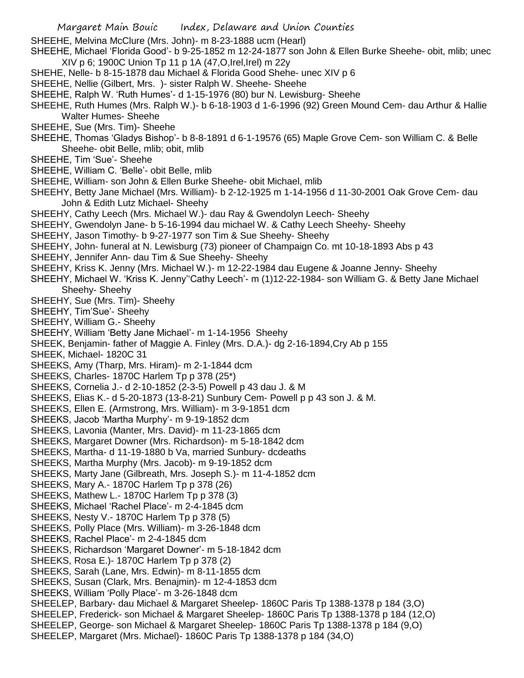- SHEEHE, Melvina McClure (Mrs. John)- m 8-23-1888 ucm (Hearl)
- SHEEHE, Michael 'Florida Good'- b 9-25-1852 m 12-24-1877 son John & Ellen Burke Sheehe- obit, mlib; unec XIV p 6; 1900C Union Tp 11 p 1A (47,O,Irel,Irel) m 22y
- SHEHE, Nelle- b 8-15-1878 dau Michael & Florida Good Shehe- unec XIV p 6
- SHEEHE, Nellie (Gilbert, Mrs. )- sister Ralph W. Sheehe- Sheehe
- SHEEHE, Ralph W. 'Ruth Humes'- d 1-15-1976 (80) bur N. Lewisburg- Sheehe
- SHEEHE, Ruth Humes (Mrs. Ralph W.)- b 6-18-1903 d 1-6-1996 (92) Green Mound Cem- dau Arthur & Hallie Walter Humes- Sheehe
- SHEEHE, Sue (Mrs. Tim)- Sheehe
- SHEEHE, Thomas 'Gladys Bishop'- b 8-8-1891 d 6-1-19576 (65) Maple Grove Cem- son William C. & Belle Sheehe- obit Belle, mlib; obit, mlib
- SHEEHE, Tim 'Sue'- Sheehe
- SHEEHE, William C. 'Belle'- obit Belle, mlib
- SHEEHE, William- son John & Ellen Burke Sheehe- obit Michael, mlib
- SHEEHY, Betty Jane Michael (Mrs. William)- b 2-12-1925 m 1-14-1956 d 11-30-2001 Oak Grove Cem- dau John & Edith Lutz Michael- Sheehy
- SHEEHY, Cathy Leech (Mrs. Michael W.)- dau Ray & Gwendolyn Leech- Sheehy
- SHEEHY, Gwendolyn Jane- b 5-16-1994 dau michael W. & Cathy Leech Sheehy- Sheehy
- SHEEHY, Jason Timothy- b 9-27-1977 son Tim & Sue Sheehy- Sheehy
- SHEEHY, John- funeral at N. Lewisburg (73) pioneer of Champaign Co. mt 10-18-1893 Abs p 43
- SHEEHY, Jennifer Ann- dau Tim & Sue Sheehy- Sheehy
- SHEEHY, Kriss K. Jenny (Mrs. Michael W.)- m 12-22-1984 dau Eugene & Joanne Jenny- Sheehy
- SHEEHY, Michael W. 'Kriss K. Jenny''Cathy Leech'- m (1)12-22-1984- son William G. & Betty Jane Michael Sheehy- Sheehy
- SHEEHY, Sue (Mrs. Tim)- Sheehy
- SHEEHY, Tim'Sue'- Sheehy
- SHEEHY, William G.- Sheehy
- SHEEHY, William 'Betty Jane Michael'- m 1-14-1956 Sheehy
- SHEEK, Benjamin- father of Maggie A. Finley (Mrs. D.A.)- dg 2-16-1894,Cry Ab p 155
- SHEEK, Michael- 1820C 31
- SHEEKS, Amy (Tharp, Mrs. Hiram)- m 2-1-1844 dcm
- SHEEKS, Charles- 1870C Harlem Tp p 378 (25\*)
- SHEEKS, Cornelia J.- d 2-10-1852 (2-3-5) Powell p 43 dau J. & M
- SHEEKS, Elias K.- d 5-20-1873 (13-8-21) Sunbury Cem- Powell p p 43 son J. & M.
- SHEEKS, Ellen E. (Armstrong, Mrs. William)- m 3-9-1851 dcm
- SHEEKS, Jacob 'Martha Murphy'- m 9-19-1852 dcm
- SHEEKS, Lavonia (Manter, Mrs. David)- m 11-23-1865 dcm
- SHEEKS, Margaret Downer (Mrs. Richardson)- m 5-18-1842 dcm
- SHEEKS, Martha- d 11-19-1880 b Va, married Sunbury- dcdeaths
- SHEEKS, Martha Murphy (Mrs. Jacob)- m 9-19-1852 dcm
- SHEEKS, Marty Jane (Gilbreath, Mrs. Joseph S.)- m 11-4-1852 dcm
- SHEEKS, Mary A.- 1870C Harlem Tp p 378 (26)
- SHEEKS, Mathew L.- 1870C Harlem Tp p 378 (3)
- SHEEKS, Michael 'Rachel Place'- m 2-4-1845 dcm
- SHEEKS, Nesty V.- 1870C Harlem Tp p 378 (5)
- SHEEKS, Polly Place (Mrs. William)- m 3-26-1848 dcm
- SHEEKS, Rachel Place'- m 2-4-1845 dcm
- SHEEKS, Richardson 'Margaret Downer'- m 5-18-1842 dcm
- SHEEKS, Rosa E.)- 1870C Harlem Tp p 378 (2)
- SHEEKS, Sarah (Lane, Mrs. Edwin)- m 8-11-1855 dcm
- SHEEKS, Susan (Clark, Mrs. Benajmin)- m 12-4-1853 dcm
- SHEEKS, William 'Polly Place'- m 3-26-1848 dcm
- SHEELEP, Barbary- dau Michael & Margaret Sheelep- 1860C Paris Tp 1388-1378 p 184 (3,O)
- SHEELEP, Frederick- son Michael & Margaret Sheelep- 1860C Paris Tp 1388-1378 p 184 (12,O)
- SHEELEP, George- son Michael & Margaret Sheelep- 1860C Paris Tp 1388-1378 p 184 (9,O)
- SHEELEP, Margaret (Mrs. Michael)- 1860C Paris Tp 1388-1378 p 184 (34,O)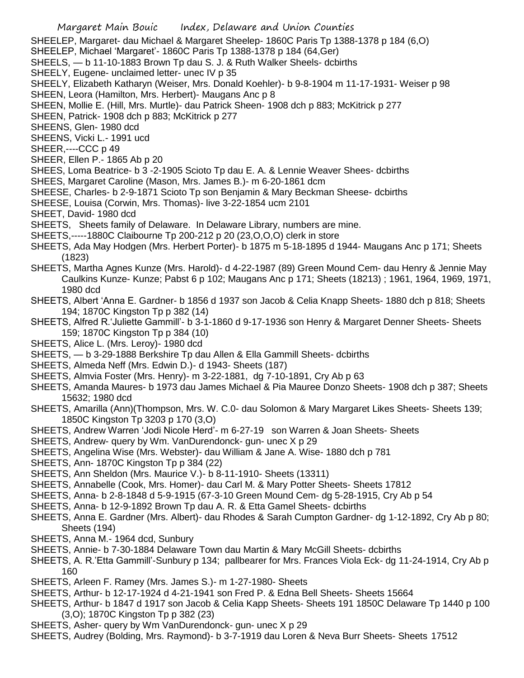SHEELEP, Margaret- dau Michael & Margaret Sheelep- 1860C Paris Tp 1388-1378 p 184 (6,O)

SHEELEP, Michael 'Margaret'- 1860C Paris Tp 1388-1378 p 184 (64,Ger)

- SHEELS, b 11-10-1883 Brown Tp dau S. J. & Ruth Walker Sheels- dcbirths
- SHEELY, Eugene- unclaimed letter- unec IV p 35

SHEELY, Elizabeth Katharyn (Weiser, Mrs. Donald Koehler)- b 9-8-1904 m 11-17-1931- Weiser p 98

- SHEEN, Leora (Hamilton, Mrs. Herbert)- Maugans Anc p 8
- SHEEN, Mollie E. (Hill, Mrs. Murtle)- dau Patrick Sheen- 1908 dch p 883; McKitrick p 277
- SHEEN, Patrick- 1908 dch p 883; McKitrick p 277

SHEENS, Glen- 1980 dcd

SHEENS, Vicki L.- 1991 ucd

SHEER,----CCC p 49

- SHEER, Ellen P.- 1865 Ab p 20
- SHEES, Loma Beatrice- b 3 -2-1905 Scioto Tp dau E. A. & Lennie Weaver Shees- dcbirths
- SHEES, Margaret Caroline (Mason, Mrs. James B.)- m 6-20-1861 dcm
- SHEESE, Charles- b 2-9-1871 Scioto Tp son Benjamin & Mary Beckman Sheese- dcbirths
- SHEESE, Louisa (Corwin, Mrs. Thomas)- live 3-22-1854 ucm 2101
- SHEET, David- 1980 dcd
- SHEETS, Sheets family of Delaware. In Delaware Library, numbers are mine.
- SHEETS,-----1880C Claibourne Tp 200-212 p 20 (23,O,O,O) clerk in store
- SHEETS, Ada May Hodgen (Mrs. Herbert Porter)- b 1875 m 5-18-1895 d 1944- Maugans Anc p 171; Sheets (1823)
- SHEETS, Martha Agnes Kunze (Mrs. Harold)- d 4-22-1987 (89) Green Mound Cem- dau Henry & Jennie May Caulkins Kunze- Kunze; Pabst 6 p 102; Maugans Anc p 171; Sheets (18213) ; 1961, 1964, 1969, 1971, 1980 dcd
- SHEETS, Albert 'Anna E. Gardner- b 1856 d 1937 son Jacob & Celia Knapp Sheets- 1880 dch p 818; Sheets 194; 1870C Kingston Tp p 382 (14)
- SHEETS, Alfred R.'Juliette Gammill'- b 3-1-1860 d 9-17-1936 son Henry & Margaret Denner Sheets- Sheets 159; 1870C Kingston Tp p 384 (10)
- SHEETS, Alice L. (Mrs. Leroy)- 1980 dcd
- SHEETS, b 3-29-1888 Berkshire Tp dau Allen & Ella Gammill Sheets- dcbirths
- SHEETS, Almeda Neff (Mrs. Edwin D.)- d 1943- Sheets (187)
- SHEETS, Almvia Foster (Mrs. Henry)- m 3-22-1881, dg 7-10-1891, Cry Ab p 63
- SHEETS, Amanda Maures- b 1973 dau James Michael & Pia Mauree Donzo Sheets- 1908 dch p 387; Sheets 15632; 1980 dcd
- SHEETS, Amarilla (Ann)(Thompson, Mrs. W. C.0- dau Solomon & Mary Margaret Likes Sheets- Sheets 139; 1850C Kingston Tp 3203 p 170 (3,O)
- SHEETS, Andrew Warren 'Jodi Nicole Herd'- m 6-27-19 son Warren & Joan Sheets- Sheets
- SHEETS, Andrew- query by Wm. VanDurendonck- gun- unec X p 29
- SHEETS, Angelina Wise (Mrs. Webster)- dau William & Jane A. Wise- 1880 dch p 781
- SHEETS, Ann- 1870C Kingston Tp p 384 (22)
- SHEETS, Ann Sheldon (Mrs. Maurice V.)- b 8-11-1910- Sheets (13311)
- SHEETS, Annabelle (Cook, Mrs. Homer)- dau Carl M. & Mary Potter Sheets- Sheets 17812
- SHEETS, Anna- b 2-8-1848 d 5-9-1915 (67-3-10 Green Mound Cem- dg 5-28-1915, Cry Ab p 54
- SHEETS, Anna- b 12-9-1892 Brown Tp dau A. R. & Etta Gamel Sheets- dcbirths
- SHEETS, Anna E. Gardner (Mrs. Albert)- dau Rhodes & Sarah Cumpton Gardner- dg 1-12-1892, Cry Ab p 80; Sheets (194)
- SHEETS, Anna M.- 1964 dcd, Sunbury
- SHEETS, Annie- b 7-30-1884 Delaware Town dau Martin & Mary McGill Sheets- dcbirths
- SHEETS, A. R.'Etta Gammill'-Sunbury p 134; pallbearer for Mrs. Frances Viola Eck- dg 11-24-1914, Cry Ab p 160
- SHEETS, Arleen F. Ramey (Mrs. James S.)- m 1-27-1980- Sheets
- SHEETS, Arthur- b 12-17-1924 d 4-21-1941 son Fred P. & Edna Bell Sheets- Sheets 15664
- SHEETS, Arthur- b 1847 d 1917 son Jacob & Celia Kapp Sheets- Sheets 191 1850C Delaware Tp 1440 p 100 (3,O); 1870C Kingston Tp p 382 (23)
- SHEETS, Asher- query by Wm VanDurendonck- gun- unec X p 29
- SHEETS, Audrey (Bolding, Mrs. Raymond)- b 3-7-1919 dau Loren & Neva Burr Sheets- Sheets 17512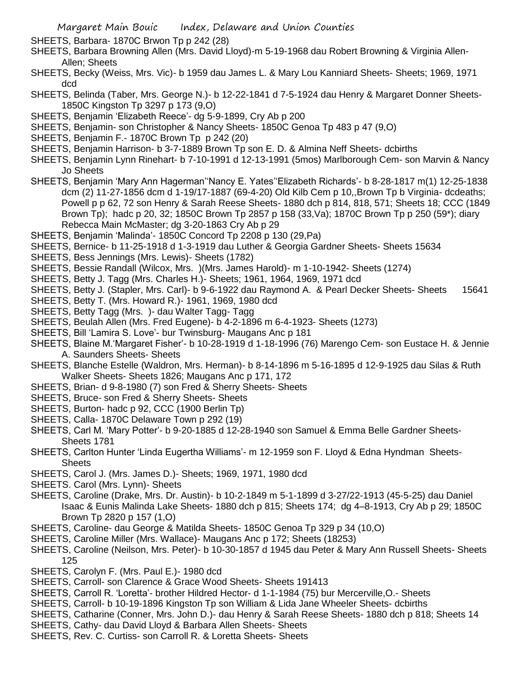SHEETS, Barbara- 1870C Brwon Tp p 242 (28)

- SHEETS, Barbara Browning Allen (Mrs. David Lloyd)-m 5-19-1968 dau Robert Browning & Virginia Allen-Allen; Sheets
- SHEETS, Becky (Weiss, Mrs. Vic)- b 1959 dau James L. & Mary Lou Kanniard Sheets- Sheets; 1969, 1971 dcd
- SHEETS, Belinda (Taber, Mrs. George N.)- b 12-22-1841 d 7-5-1924 dau Henry & Margaret Donner Sheets-1850C Kingston Tp 3297 p 173 (9,O)
- SHEETS, Benjamin 'Elizabeth Reece'- dg 5-9-1899, Cry Ab p 200
- SHEETS, Benjamin- son Christopher & Nancy Sheets- 1850C Genoa Tp 483 p 47 (9,O)
- SHEETS, Benjamin F.- 1870C Brown Tp p 242 (20)
- SHEETS, Benjamin Harrison- b 3-7-1889 Brown Tp son E. D. & Almina Neff Sheets- dcbirths
- SHEETS, Benjamin Lynn Rinehart- b 7-10-1991 d 12-13-1991 (5mos) Marlborough Cem- son Marvin & Nancy Jo Sheets
- SHEETS, Benjamin 'Mary Ann Hagerman''Nancy E. Yates''Elizabeth Richards'- b 8-28-1817 m(1) 12-25-1838 dcm (2) 11-27-1856 dcm d 1-19/17-1887 (69-4-20) Old Kilb Cem p 10,,Brown Tp b Virginia- dcdeaths; Powell p p 62, 72 son Henry & Sarah Reese Sheets- 1880 dch p 814, 818, 571; Sheets 18; CCC (1849 Brown Tp); hadc p 20, 32; 1850C Brown Tp 2857 p 158 (33,Va); 1870C Brown Tp p 250 (59\*); diary Rebecca Main McMaster; dg 3-20-1863 Cry Ab p 29
- SHEETS, Benjamin 'Malinda'- 1850C Concord Tp 2208 p 130 (29,Pa)
- SHEETS, Bernice- b 11-25-1918 d 1-3-1919 dau Luther & Georgia Gardner Sheets- Sheets 15634
- SHEETS, Bess Jennings (Mrs. Lewis)- Sheets (1782)
- SHEETS, Bessie Randall (Wilcox, Mrs. )(Mrs. James Harold)- m 1-10-1942- Sheets (1274)
- SHEETS, Betty J. Tagg (Mrs. Charles H.)- Sheets; 1961, 1964, 1969, 1971 dcd
- SHEETS, Betty J. (Stapler, Mrs. Carl)- b 9-6-1922 dau Raymond A. & Pearl Decker Sheets- Sheets 15641
- SHEETS, Betty T. (Mrs. Howard R.)- 1961, 1969, 1980 dcd
- SHEETS, Betty Tagg (Mrs. )- dau Walter Tagg- Tagg
- SHEETS, Beulah Allen (Mrs. Fred Eugene)- b 4-2-1896 m 6-4-1923- Sheets (1273)
- SHEETS, Bill 'Lamira S. Love'- bur Twinsburg- Maugans Anc p 181
- SHEETS, Blaine M.'Margaret Fisher'- b 10-28-1919 d 1-18-1996 (76) Marengo Cem- son Eustace H. & Jennie A. Saunders Sheets- Sheets
- SHEETS, Blanche Estelle (Waldron, Mrs. Herman)- b 8-14-1896 m 5-16-1895 d 12-9-1925 dau Silas & Ruth Walker Sheets- Sheets 1826; Maugans Anc p 171, 172
- SHEETS, Brian- d 9-8-1980 (7) son Fred & Sherry Sheets- Sheets
- SHEETS, Bruce- son Fred & Sherry Sheets- Sheets
- SHEETS, Burton- hadc p 92, CCC (1900 Berlin Tp)
- SHEETS, Calla- 1870C Delaware Town p 292 (19)
- SHEETS, Carl M. 'Mary Potter'- b 9-20-1885 d 12-28-1940 son Samuel & Emma Belle Gardner Sheets-Sheets 1781
- SHEETS, Carlton Hunter 'Linda Eugertha Williams'- m 12-1959 son F. Lloyd & Edna Hyndman Sheets-**Sheets**
- SHEETS, Carol J. (Mrs. James D.)- Sheets; 1969, 1971, 1980 dcd
- SHEETS. Carol (Mrs. Lynn)- Sheets
- SHEETS, Caroline (Drake, Mrs. Dr. Austin)- b 10-2-1849 m 5-1-1899 d 3-27/22-1913 (45-5-25) dau Daniel Isaac & Eunis Malinda Lake Sheets- 1880 dch p 815; Sheets 174; dg 4–8-1913, Cry Ab p 29; 1850C Brown Tp 2820 p 157 (1,O)
- SHEETS, Caroline- dau George & Matilda Sheets- 1850C Genoa Tp 329 p 34 (10,O)
- SHEETS, Caroline Miller (Mrs. Wallace)- Maugans Anc p 172; Sheets (18253)
- SHEETS, Caroline (Neilson, Mrs. Peter)- b 10-30-1857 d 1945 dau Peter & Mary Ann Russell Sheets- Sheets 125
- SHEETS, Carolyn F. (Mrs. Paul E.)- 1980 dcd
- SHEETS, Carroll- son Clarence & Grace Wood Sheets- Sheets 191413
- SHEETS, Carroll R. 'Loretta'- brother Hildred Hector- d 1-1-1984 (75) bur Mercerville,O.- Sheets
- SHEETS, Carroll- b 10-19-1896 Kingston Tp son William & Lida Jane Wheeler Sheets- dcbirths
- SHEETS, Catharine (Conner, Mrs. John D.)- dau Henry & Sarah Reese Sheets- 1880 dch p 818; Sheets 14
- SHEETS, Cathy- dau David Lloyd & Barbara Allen Sheets- Sheets
- SHEETS, Rev. C. Curtiss- son Carroll R. & Loretta Sheets- Sheets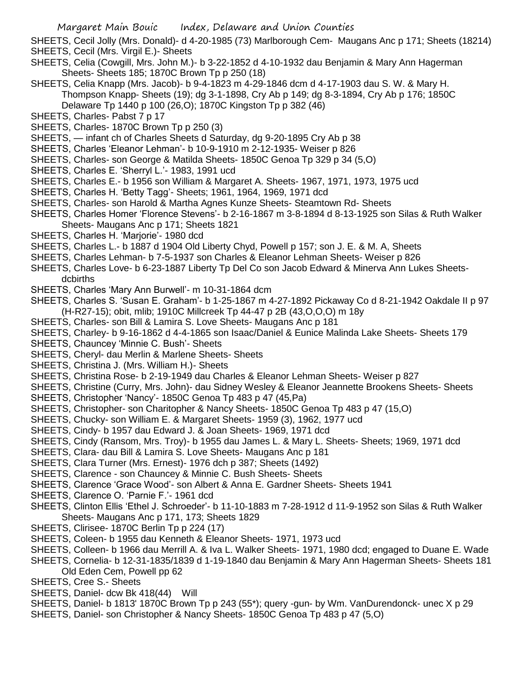SHEETS, Cecil Jolly (Mrs. Donald)- d 4-20-1985 (73) Marlborough Cem- Maugans Anc p 171; Sheets (18214) SHEETS, Cecil (Mrs. Virgil E.)- Sheets

- SHEETS, Celia (Cowgill, Mrs. John M.)- b 3-22-1852 d 4-10-1932 dau Benjamin & Mary Ann Hagerman Sheets- Sheets 185; 1870C Brown Tp p 250 (18)
- SHEETS, Celia Knapp (Mrs. Jacob)- b 9-4-1823 m 4-29-1846 dcm d 4-17-1903 dau S. W. & Mary H. Thompson Knapp- Sheets (19); dg 3-1-1898, Cry Ab p 149; dg 8-3-1894, Cry Ab p 176; 1850C Delaware Tp 1440 p 100 (26,O); 1870C Kingston Tp p 382 (46)
- SHEETS, Charles- Pabst 7 p 17
- SHEETS, Charles- 1870C Brown Tp p 250 (3)
- SHEETS, infant ch of Charles Sheets d Saturday, dg 9-20-1895 Cry Ab p 38
- SHEETS, Charles 'Eleanor Lehman'- b 10-9-1910 m 2-12-1935- Weiser p 826
- SHEETS, Charles- son George & Matilda Sheets- 1850C Genoa Tp 329 p 34 (5,O)
- SHEETS, Charles E. 'Sherryl L.'- 1983, 1991 ucd
- SHEETS, Charles E.- b 1956 son William & Margaret A. Sheets- 1967, 1971, 1973, 1975 ucd
- SHEETS, Charles H. 'Betty Tagg'- Sheets; 1961, 1964, 1969, 1971 dcd
- SHEETS, Charles- son Harold & Martha Agnes Kunze Sheets- Steamtown Rd- Sheets
- SHEETS, Charles Homer 'Florence Stevens'- b 2-16-1867 m 3-8-1894 d 8-13-1925 son Silas & Ruth Walker Sheets- Maugans Anc p 171; Sheets 1821
- SHEETS, Charles H. 'Marjorie'- 1980 dcd
- SHEETS, Charles L.- b 1887 d 1904 Old Liberty Chyd, Powell p 157; son J. E. & M. A, Sheets
- SHEETS, Charles Lehman- b 7-5-1937 son Charles & Eleanor Lehman Sheets- Weiser p 826
- SHEETS, Charles Love- b 6-23-1887 Liberty Tp Del Co son Jacob Edward & Minerva Ann Lukes Sheetsdcbirths
- SHEETS, Charles 'Mary Ann Burwell'- m 10-31-1864 dcm
- SHEETS, Charles S. 'Susan E. Graham'- b 1-25-1867 m 4-27-1892 Pickaway Co d 8-21-1942 Oakdale II p 97 (H-R27-15); obit, mlib; 1910C Millcreek Tp 44-47 p 2B (43,O,O,O) m 18y
- SHEETS, Charles- son Bill & Lamira S. Love Sheets- Maugans Anc p 181
- SHEETS, Charley- b 9-16-1862 d 4-4-1865 son Isaac/Daniel & Eunice Malinda Lake Sheets- Sheets 179
- SHEETS, Chauncey 'Minnie C. Bush'- Sheets
- SHEETS, Cheryl- dau Merlin & Marlene Sheets- Sheets
- SHEETS, Christina J. (Mrs. William H.)- Sheets
- SHEETS, Christina Rose- b 2-19-1949 dau Charles & Eleanor Lehman Sheets- Weiser p 827
- SHEETS, Christine (Curry, Mrs. John)- dau Sidney Wesley & Eleanor Jeannette Brookens Sheets- Sheets
- SHEETS, Christopher 'Nancy'- 1850C Genoa Tp 483 p 47 (45,Pa)
- SHEETS, Christopher- son Charitopher & Nancy Sheets- 1850C Genoa Tp 483 p 47 (15,O)
- SHEETS, Chucky- son William E. & Margaret Sheets- 1959 (3), 1962, 1977 ucd
- SHEETS, Cindy- b 1957 dau Edward J. & Joan Sheets- 1969, 1971 dcd
- SHEETS, Cindy (Ransom, Mrs. Troy)- b 1955 dau James L. & Mary L. Sheets- Sheets; 1969, 1971 dcd
- SHEETS, Clara- dau Bill & Lamira S. Love Sheets- Maugans Anc p 181
- SHEETS, Clara Turner (Mrs. Ernest)- 1976 dch p 387; Sheets (1492)
- SHEETS, Clarence son Chauncey & Minnie C. Bush Sheets- Sheets
- SHEETS, Clarence 'Grace Wood'- son Albert & Anna E. Gardner Sheets- Sheets 1941
- SHEETS, Clarence O. 'Parnie F.'- 1961 dcd
- SHEETS, Clinton Ellis 'Ethel J. Schroeder'- b 11-10-1883 m 7-28-1912 d 11-9-1952 son Silas & Ruth Walker Sheets- Maugans Anc p 171, 173; Sheets 1829
- SHEETS, Clirisee- 1870C Berlin Tp p 224 (17)
- SHEETS, Coleen- b 1955 dau Kenneth & Eleanor Sheets- 1971, 1973 ucd
- SHEETS, Colleen- b 1966 dau Merrill A. & Iva L. Walker Sheets- 1971, 1980 dcd; engaged to Duane E. Wade
- SHEETS, Cornelia- b 12-31-1835/1839 d 1-19-1840 dau Benjamin & Mary Ann Hagerman Sheets- Sheets 181 Old Eden Cem, Powell pp 62
- SHEETS, Cree S.- Sheets
- SHEETS, Daniel- dcw Bk 418(44) Will
- SHEETS, Daniel- b 1813' 1870C Brown Tp p 243 (55\*); query -gun- by Wm. VanDurendonck- unec X p 29
- SHEETS, Daniel- son Christopher & Nancy Sheets- 1850C Genoa Tp 483 p 47 (5,O)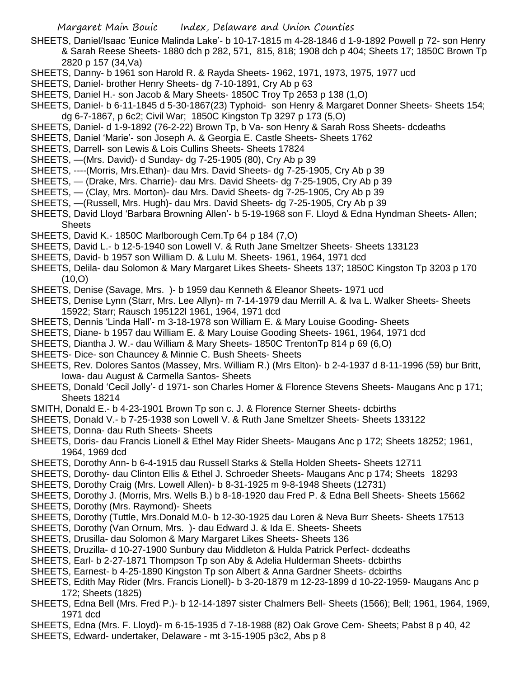- SHEETS, Daniel/Isaac 'Eunice Malinda Lake'- b 10-17-1815 m 4-28-1846 d 1-9-1892 Powell p 72- son Henry & Sarah Reese Sheets- 1880 dch p 282, 571, 815, 818; 1908 dch p 404; Sheets 17; 1850C Brown Tp 2820 p 157 (34,Va)
- SHEETS, Danny- b 1961 son Harold R. & Rayda Sheets- 1962, 1971, 1973, 1975, 1977 ucd
- SHEETS, Daniel- brother Henry Sheets- dg 7-10-1891, Cry Ab p 63
- SHEETS, Daniel H.- son Jacob & Mary Sheets- 1850C Troy Tp 2653 p 138 (1,O)
- SHEETS, Daniel- b 6-11-1845 d 5-30-1867(23) Typhoid- son Henry & Margaret Donner Sheets- Sheets 154; dg 6-7-1867, p 6c2; Civil War; 1850C Kingston Tp 3297 p 173 (5,O)
- SHEETS, Daniel- d 1-9-1892 (76-2-22) Brown Tp, b Va- son Henry & Sarah Ross Sheets- dcdeaths
- SHEETS, Daniel 'Marie'- son Joseph A. & Georgia E. Castle Sheets- Sheets 1762
- SHEETS, Darrell- son Lewis & Lois Cullins Sheets- Sheets 17824
- SHEETS, —(Mrs. David)- d Sunday- dg 7-25-1905 (80), Cry Ab p 39
- SHEETS, ----(Morris, Mrs.Ethan)- dau Mrs. David Sheets- dg 7-25-1905, Cry Ab p 39
- SHEETS, (Drake, Mrs. Charrie)- dau Mrs. David Sheets- dg 7-25-1905, Cry Ab p 39
- SHEETS, (Clay, Mrs. Morton)- dau Mrs. David Sheets- dg 7-25-1905, Cry Ab p 39
- SHEETS, —(Russell, Mrs. Hugh)- dau Mrs. David Sheets- dg 7-25-1905, Cry Ab p 39
- SHEETS, David Lloyd 'Barbara Browning Allen'- b 5-19-1968 son F. Lloyd & Edna Hyndman Sheets- Allen; **Sheets**
- SHEETS, David K.- 1850C Marlborough Cem.Tp 64 p 184 (7,O)
- SHEETS, David L.- b 12-5-1940 son Lowell V. & Ruth Jane Smeltzer Sheets- Sheets 133123
- SHEETS, David- b 1957 son William D. & Lulu M. Sheets- 1961, 1964, 1971 dcd
- SHEETS, Delila- dau Solomon & Mary Margaret Likes Sheets- Sheets 137; 1850C Kingston Tp 3203 p 170  $(10, 0)$
- SHEETS, Denise (Savage, Mrs. )- b 1959 dau Kenneth & Eleanor Sheets- 1971 ucd
- SHEETS, Denise Lynn (Starr, Mrs. Lee Allyn)- m 7-14-1979 dau Merrill A. & Iva L. Walker Sheets- Sheets 15922; Starr; Rausch 195122l 1961, 1964, 1971 dcd
- SHEETS, Dennis 'Linda Hall'- m 3-18-1978 son William E. & Mary Louise Gooding- Sheets
- SHEETS, Diane- b 1957 dau William E. & Mary Louise Gooding Sheets- 1961, 1964, 1971 dcd
- SHEETS, Diantha J. W.- dau William & Mary Sheets- 1850C TrentonTp 814 p 69 (6,O)
- SHEETS- Dice- son Chauncey & Minnie C. Bush Sheets- Sheets
- SHEETS, Rev. Dolores Santos (Massey, Mrs. William R.) (Mrs Elton)- b 2-4-1937 d 8-11-1996 (59) bur Britt, Iowa- dau August & Carmella Santos- Sheets
- SHEETS, Donald 'Cecil Jolly'- d 1971- son Charles Homer & Florence Stevens Sheets- Maugans Anc p 171; Sheets 18214
- SMITH, Donald E.- b 4-23-1901 Brown Tp son c. J. & Florence Sterner Sheets- dcbirths
- SHEETS, Donald V.- b 7-25-1938 son Lowell V. & Ruth Jane Smeltzer Sheets- Sheets 133122
- SHEETS, Donna- dau Ruth Sheets- Sheets
- SHEETS, Doris- dau Francis Lionell & Ethel May Rider Sheets- Maugans Anc p 172; Sheets 18252; 1961, 1964, 1969 dcd
- SHEETS, Dorothy Ann- b 6-4-1915 dau Russell Starks & Stella Holden Sheets- Sheets 12711
- SHEETS, Dorothy- dau Clinton Ellis & Ethel J. Schroeder Sheets- Maugans Anc p 174; Sheets 18293
- SHEETS, Dorothy Craig (Mrs. Lowell Allen)- b 8-31-1925 m 9-8-1948 Sheets (12731)
- SHEETS, Dorothy J. (Morris, Mrs. Wells B.) b 8-18-1920 dau Fred P. & Edna Bell Sheets- Sheets 15662
- SHEETS, Dorothy (Mrs. Raymond)- Sheets
- SHEETS, Dorothy (Tuttle, Mrs.Donald M.0- b 12-30-1925 dau Loren & Neva Burr Sheets- Sheets 17513
- SHEETS, Dorothy (Van Ornum, Mrs. )- dau Edward J. & Ida E. Sheets- Sheets
- SHEETS, Drusilla- dau Solomon & Mary Margaret Likes Sheets- Sheets 136
- SHEETS, Druzilla- d 10-27-1900 Sunbury dau Middleton & Hulda Patrick Perfect- dcdeaths
- SHEETS, Earl- b 2-27-1871 Thompson Tp son Aby & Adelia Hulderman Sheets- dcbirths
- SHEETS, Earnest- b 4-25-1890 Kingston Tp son Albert & Anna Gardner Sheets- dcbirths
- SHEETS, Edith May Rider (Mrs. Francis Lionell)- b 3-20-1879 m 12-23-1899 d 10-22-1959- Maugans Anc p 172; Sheets (1825)
- SHEETS, Edna Bell (Mrs. Fred P.)- b 12-14-1897 sister Chalmers Bell- Sheets (1566); Bell; 1961, 1964, 1969, 1971 dcd
- SHEETS, Edna (Mrs. F. Lloyd)- m 6-15-1935 d 7-18-1988 (82) Oak Grove Cem- Sheets; Pabst 8 p 40, 42
- SHEETS, Edward- undertaker, Delaware mt 3-15-1905 p3c2, Abs p 8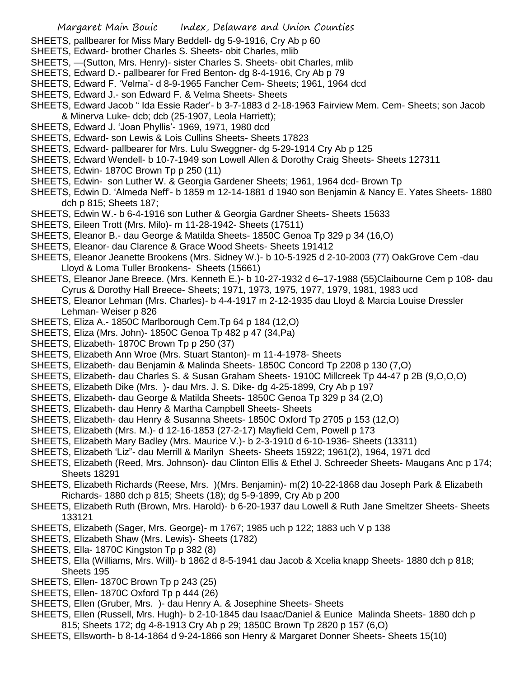- SHEETS, pallbearer for Miss Mary Beddell- dg 5-9-1916, Cry Ab p 60
- SHEETS, Edward- brother Charles S. Sheets- obit Charles, mlib
- SHEETS, —(Sutton, Mrs. Henry)- sister Charles S. Sheets- obit Charles, mlib
- SHEETS, Edward D.- pallbearer for Fred Benton- dg 8-4-1916, Cry Ab p 79
- SHEETS, Edward F. 'Velma'- d 8-9-1965 Fancher Cem- Sheets; 1961, 1964 dcd
- SHEETS, Edward J.- son Edward F. & Velma Sheets- Sheets
- SHEETS, Edward Jacob " Ida Essie Rader'- b 3-7-1883 d 2-18-1963 Fairview Mem. Cem- Sheets; son Jacob & Minerva Luke- dcb; dcb (25-1907, Leola Harriett);
- SHEETS, Edward J. 'Joan Phyllis'- 1969, 1971, 1980 dcd
- SHEETS, Edward- son Lewis & Lois Cullins Sheets- Sheets 17823
- SHEETS, Edward- pallbearer for Mrs. Lulu Sweggner- dg 5-29-1914 Cry Ab p 125
- SHEETS, Edward Wendell- b 10-7-1949 son Lowell Allen & Dorothy Craig Sheets- Sheets 127311
- SHEETS, Edwin- 1870C Brown Tp p 250 (11)
- SHEETS, Edwin- son Luther W. & Georgia Gardener Sheets; 1961, 1964 dcd- Brown Tp
- SHEETS, Edwin D. 'Almeda Neff'- b 1859 m 12-14-1881 d 1940 son Benjamin & Nancy E. Yates Sheets- 1880 dch p 815; Sheets 187;
- SHEETS, Edwin W.- b 6-4-1916 son Luther & Georgia Gardner Sheets- Sheets 15633
- SHEETS, Eileen Trott (Mrs. Milo)- m 11-28-1942- Sheets (17511)
- SHEETS, Eleanor B.- dau George & Matilda Sheets- 1850C Genoa Tp 329 p 34 (16,O)
- SHEETS, Eleanor- dau Clarence & Grace Wood Sheets- Sheets 191412
- SHEETS, Eleanor Jeanette Brookens (Mrs. Sidney W.)- b 10-5-1925 d 2-10-2003 (77) OakGrove Cem -dau Lloyd & Loma Tuller Brookens- Sheets (15661)
- SHEETS, Eleanor Jane Breece. (Mrs. Kenneth E.)- b 10-27-1932 d 6–17-1988 (55)Claibourne Cem p 108- dau Cyrus & Dorothy Hall Breece- Sheets; 1971, 1973, 1975, 1977, 1979, 1981, 1983 ucd
- SHEETS, Eleanor Lehman (Mrs. Charles)- b 4-4-1917 m 2-12-1935 dau Lloyd & Marcia Louise Dressler Lehman- Weiser p 826
- SHEETS, Eliza A.- 1850C Marlborough Cem.Tp 64 p 184 (12,O)
- SHEETS, Eliza (Mrs. John)- 1850C Genoa Tp 482 p 47 (34,Pa)
- SHEETS, Elizabeth- 1870C Brown Tp p 250 (37)
- SHEETS, Elizabeth Ann Wroe (Mrs. Stuart Stanton)- m 11-4-1978- Sheets
- SHEETS, Elizabeth- dau Benjamin & Malinda Sheets- 1850C Concord Tp 2208 p 130 (7,O)
- SHEETS, Elizabeth- dau Charles S. & Susan Graham Sheets- 1910C Millcreek Tp 44-47 p 2B (9,O,O,O)
- SHEETS, Elizabeth Dike (Mrs. )- dau Mrs. J. S. Dike- dg 4-25-1899, Cry Ab p 197
- SHEETS, Elizabeth- dau George & Matilda Sheets- 1850C Genoa Tp 329 p 34 (2,O)
- SHEETS, Elizabeth- dau Henry & Martha Campbell Sheets- Sheets
- SHEETS, Elizabeth- dau Henry & Susanna Sheets- 1850C Oxford Tp 2705 p 153 (12,O)
- SHEETS, Elizabeth (Mrs. M.)- d 12-16-1853 (27-2-17) Mayfield Cem, Powell p 173
- SHEETS, Elizabeth Mary Badley (Mrs. Maurice V.)- b 2-3-1910 d 6-10-1936- Sheets (13311)
- SHEETS, Elizabeth 'Liz"- dau Merrill & Marilyn Sheets- Sheets 15922; 1961(2), 1964, 1971 dcd
- SHEETS, Elizabeth (Reed, Mrs. Johnson)- dau Clinton Ellis & Ethel J. Schreeder Sheets- Maugans Anc p 174; Sheets 18291
- SHEETS, Elizabeth Richards (Reese, Mrs. )(Mrs. Benjamin)- m(2) 10-22-1868 dau Joseph Park & Elizabeth Richards- 1880 dch p 815; Sheets (18); dg 5-9-1899, Cry Ab p 200
- SHEETS, Elizabeth Ruth (Brown, Mrs. Harold)- b 6-20-1937 dau Lowell & Ruth Jane Smeltzer Sheets- Sheets 133121
- SHEETS, Elizabeth (Sager, Mrs. George)- m 1767; 1985 uch p 122; 1883 uch V p 138
- SHEETS, Elizabeth Shaw (Mrs. Lewis)- Sheets (1782)
- SHEETS, Ella- 1870C Kingston Tp p 382 (8)
- SHEETS, Ella (Williams, Mrs. Will)- b 1862 d 8-5-1941 dau Jacob & Xcelia knapp Sheets- 1880 dch p 818; Sheets 195
- SHEETS, Ellen- 1870C Brown Tp p 243 (25)
- SHEETS, Ellen- 1870C Oxford Tp p 444 (26)
- SHEETS, Ellen (Gruber, Mrs. )- dau Henry A. & Josephine Sheets- Sheets
- SHEETS, Ellen (Russell, Mrs. Hugh)- b 2-10-1845 dau Isaac/Daniel & Eunice Malinda Sheets- 1880 dch p 815; Sheets 172; dg 4-8-1913 Cry Ab p 29; 1850C Brown Tp 2820 p 157 (6,O)
- SHEETS, Ellsworth- b 8-14-1864 d 9-24-1866 son Henry & Margaret Donner Sheets- Sheets 15(10)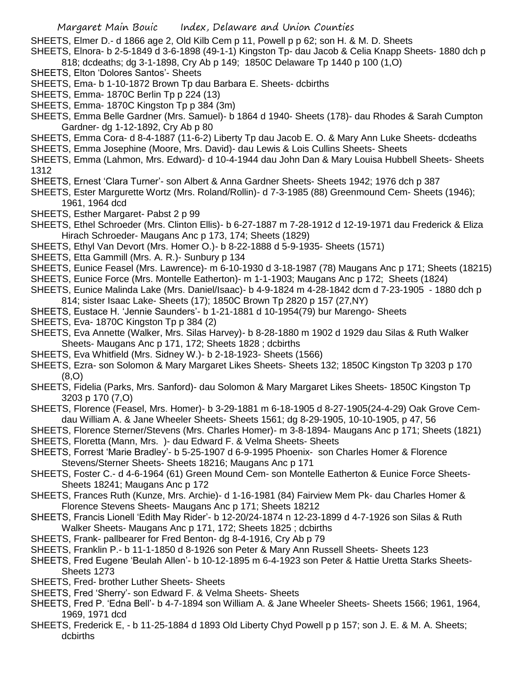SHEETS. Elmer D.- d 1866 age 2, Old Kilb Cem p 11, Powell p p 62; son H. & M. D. Sheets

SHEETS, Elnora- b 2-5-1849 d 3-6-1898 (49-1-1) Kingston Tp- dau Jacob & Celia Knapp Sheets- 1880 dch p 818; dcdeaths; dg 3-1-1898, Cry Ab p 149; 1850C Delaware Tp 1440 p 100 (1,O)

- SHEETS, Elton 'Dolores Santos'- Sheets
- SHEETS, Ema- b 1-10-1872 Brown Tp dau Barbara E. Sheets- dcbirths
- SHEETS, Emma- 1870C Berlin Tp p 224 (13)
- SHEETS, Emma-1870C Kingston Tp p 384 (3m)
- SHEETS, Emma Belle Gardner (Mrs. Samuel)- b 1864 d 1940- Sheets (178)- dau Rhodes & Sarah Cumpton Gardner- dg 1-12-1892, Cry Ab p 80
- SHEETS, Emma Cora- d 8-4-1887 (11-6-2) Liberty Tp dau Jacob E. O. & Mary Ann Luke Sheets- dcdeaths
- SHEETS, Emma Josephine (Moore, Mrs. David)- dau Lewis & Lois Cullins Sheets- Sheets
- SHEETS, Emma (Lahmon, Mrs. Edward)- d 10-4-1944 dau John Dan & Mary Louisa Hubbell Sheets- Sheets 1312
- SHEETS, Ernest 'Clara Turner'- son Albert & Anna Gardner Sheets- Sheets 1942; 1976 dch p 387
- SHEETS, Ester Margurette Wortz (Mrs. Roland/Rollin)- d 7-3-1985 (88) Greenmound Cem- Sheets (1946); 1961, 1964 dcd
- SHEETS, Esther Margaret- Pabst 2 p 99
- SHEETS, Ethel Schroeder (Mrs. Clinton Ellis)- b 6-27-1887 m 7-28-1912 d 12-19-1971 dau Frederick & Eliza Hirach Schroeder- Maugans Anc p 173, 174; Sheets (1829)
- SHEETS, Ethyl Van Devort (Mrs. Homer O.)- b 8-22-1888 d 5-9-1935- Sheets (1571)
- SHEETS, Etta Gammill (Mrs. A. R.)- Sunbury p 134
- SHEETS, Eunice Feasel (Mrs. Lawrence)- m 6-10-1930 d 3-18-1987 (78) Maugans Anc p 171; Sheets (18215)
- SHEETS, Eunice Force (Mrs. Montelle Eatherton)- m 1-1-1903; Maugans Anc p 172; Sheets (1824)
- SHEETS, Eunice Malinda Lake (Mrs. Daniel/Isaac)- b 4-9-1824 m 4-28-1842 dcm d 7-23-1905 1880 dch p 814; sister Isaac Lake- Sheets (17); 1850C Brown Tp 2820 p 157 (27,NY)
- SHEETS, Eustace H. 'Jennie Saunders'- b 1-21-1881 d 10-1954(79) bur Marengo- Sheets
- SHEETS, Eva- 1870C Kingston Tp p 384 (2)
- SHEETS, Eva Annette (Walker, Mrs. Silas Harvey)- b 8-28-1880 m 1902 d 1929 dau Silas & Ruth Walker Sheets- Maugans Anc p 171, 172; Sheets 1828 ; dcbirths
- SHEETS, Eva Whitfield (Mrs. Sidney W.)- b 2-18-1923- Sheets (1566)
- SHEETS, Ezra- son Solomon & Mary Margaret Likes Sheets- Sheets 132; 1850C Kingston Tp 3203 p 170 (8,O)
- SHEETS, Fidelia (Parks, Mrs. Sanford)- dau Solomon & Mary Margaret Likes Sheets- 1850C Kingston Tp 3203 p 170 (7,O)
- SHEETS, Florence (Feasel, Mrs. Homer)- b 3-29-1881 m 6-18-1905 d 8-27-1905(24-4-29) Oak Grove Cemdau William A. & Jane Wheeler Sheets- Sheets 1561; dg 8-29-1905, 10-10-1905, p 47, 56
- SHEETS, Florence Sterner/Stevens (Mrs. Charles Homer)- m 3-8-1894- Maugans Anc p 171; Sheets (1821)
- SHEETS, Floretta (Mann, Mrs. )- dau Edward F. & Velma Sheets- Sheets
- SHEETS, Forrest 'Marie Bradley'- b 5-25-1907 d 6-9-1995 Phoenix- son Charles Homer & Florence Stevens/Sterner Sheets- Sheets 18216; Maugans Anc p 171
- SHEETS, Foster C.- d 4-6-1964 (61) Green Mound Cem- son Montelle Eatherton & Eunice Force Sheets-Sheets 18241; Maugans Anc p 172
- SHEETS, Frances Ruth (Kunze, Mrs. Archie)- d 1-16-1981 (84) Fairview Mem Pk- dau Charles Homer & Florence Stevens Sheets- Maugans Anc p 171; Sheets 18212
- SHEETS, Francis Lionell 'Edith May Rider'- b 12-20/24-1874 n 12-23-1899 d 4-7-1926 son Silas & Ruth Walker Sheets- Maugans Anc p 171, 172; Sheets 1825 ; dcbirths
- SHEETS, Frank- pallbearer for Fred Benton- dg 8-4-1916, Cry Ab p 79
- SHEETS, Franklin P.- b 11-1-1850 d 8-1926 son Peter & Mary Ann Russell Sheets- Sheets 123
- SHEETS, Fred Eugene 'Beulah Allen'- b 10-12-1895 m 6-4-1923 son Peter & Hattie Uretta Starks Sheets-Sheets 1273
- SHEETS, Fred- brother Luther Sheets- Sheets
- SHEETS, Fred 'Sherry'- son Edward F. & Velma Sheets- Sheets
- SHEETS, Fred P. 'Edna Bell'- b 4-7-1894 son William A. & Jane Wheeler Sheets- Sheets 1566; 1961, 1964, 1969, 1971 dcd
- SHEETS, Frederick E, b 11-25-1884 d 1893 Old Liberty Chyd Powell p p 157; son J. E. & M. A. Sheets; dcbirths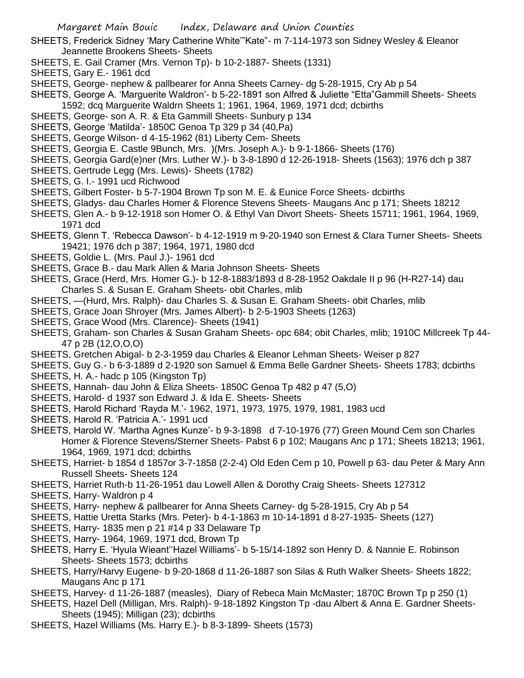- SHEETS, Frederick Sidney 'Mary Catherine White'"Kate"- m 7-114-1973 son Sidney Wesley & Eleanor Jeannette Brookens Sheets- Sheets
- SHEETS, E. Gail Cramer (Mrs. Vernon Tp)- b 10-2-1887- Sheets (1331)
- SHEETS, Gary E.- 1961 dcd
- SHEETS, George- nephew & pallbearer for Anna Sheets Carney- dg 5-28-1915, Cry Ab p 54
- SHEETS, George A. 'Marguerite Waldron'- b 5-22-1891 son Alfred & Juliette "Etta"Gammill Sheets- Sheets 1592; dcq Marguerite Waldrn Sheets 1; 1961, 1964, 1969, 1971 dcd; dcbirths
- SHEETS, George- son A. R. & Eta Gammill Sheets- Sunbury p 134
- SHEETS, George 'Matilda'- 1850C Genoa Tp 329 p 34 (40,Pa)
- SHEETS, George Wilson- d 4-15-1962 (81) Liberty Cem- Sheets
- SHEETS, Georgia E. Castle 9Bunch, Mrs. )(Mrs. Joseph A.)- b 9-1-1866- Sheets (176)
- SHEETS, Georgia Gard(e)ner (Mrs. Luther W.)- b 3-8-1890 d 12-26-1918- Sheets (1563); 1976 dch p 387
- SHEETS, Gertrude Legg (Mrs. Lewis)- Sheets (1782)
- SHEETS, G. I.- 1991 ucd Richwood
- SHEETS, Gilbert Foster- b 5-7-1904 Brown Tp son M. E. & Eunice Force Sheets- dcbirths
- SHEETS, Gladys- dau Charles Homer & Florence Stevens Sheets- Maugans Anc p 171; Sheets 18212
- SHEETS, Glen A.- b 9-12-1918 son Homer O. & Ethyl Van Divort Sheets- Sheets 15711; 1961, 1964, 1969, 1971 dcd
- SHEETS, Glenn T. 'Rebecca Dawson'- b 4-12-1919 m 9-20-1940 son Ernest & Clara Turner Sheets- Sheets 19421; 1976 dch p 387; 1964, 1971, 1980 dcd
- SHEETS, Goldie L. (Mrs. Paul J.)- 1961 dcd
- SHEETS, Grace B.- dau Mark Allen & Maria Johnson Sheets- Sheets
- SHEETS, Grace (Herd, Mrs. Homer G.)- b 12-8-1883/1893 d 8-28-1952 Oakdale II p 96 (H-R27-14) dau Charles S. & Susan E. Graham Sheets- obit Charles, mlib
- SHEETS, —(Hurd, Mrs. Ralph)- dau Charles S. & Susan E. Graham Sheets- obit Charles, mlib
- SHEETS, Grace Joan Shroyer (Mrs. James Albert)- b 2-5-1903 Sheets (1263)
- SHEETS, Grace Wood (Mrs. Clarence)- Sheets (1941)
- SHEETS, Graham- son Charles & Susan Graham Sheets- opc 684; obit Charles, mlib; 1910C Millcreek Tp 44- 47 p 2B (12,O,O,O)
- SHEETS, Gretchen Abigal- b 2-3-1959 dau Charles & Eleanor Lehman Sheets- Weiser p 827
- SHEETS, Guy G.- b 6-3-1889 d 2-1920 son Samuel & Emma Belle Gardner Sheets- Sheets 1783; dcbirths
- SHEETS, H. A.- hadc p 105 (Kingston Tp)
- SHEETS, Hannah- dau John & Eliza Sheets- 1850C Genoa Tp 482 p 47 (5,O)
- SHEETS, Harold- d 1937 son Edward J. & Ida E. Sheets- Sheets
- SHEETS, Harold Richard 'Rayda M.'- 1962, 1971, 1973, 1975, 1979, 1981, 1983 ucd
- SHEETS, Harold R. 'Patricia A.'- 1991 ucd
- SHEETS, Harold W. 'Martha Agnes Kunze'- b 9-3-1898 d 7-10-1976 (77) Green Mound Cem son Charles Homer & Florence Stevens/Sterner Sheets- Pabst 6 p 102; Maugans Anc p 171; Sheets 18213; 1961, 1964, 1969, 1971 dcd; dcbirths
- SHEETS, Harriet- b 1854 d 1857or 3-7-1858 (2-2-4) Old Eden Cem p 10, Powell p 63- dau Peter & Mary Ann Russell Sheets- Sheets 124
- SHEETS, Harriet Ruth-b 11-26-1951 dau Lowell Allen & Dorothy Craig Sheets- Sheets 127312
- SHEETS, Harry- Waldron p 4
- SHEETS, Harry- nephew & pallbearer for Anna Sheets Carney- dg 5-28-1915, Cry Ab p 54
- SHEETS, Hattie Uretta Starks (Mrs. Peter)- b 4-1-1863 m 10-14-1891 d 8-27-1935- Sheets (127)
- SHEETS, Harry- 1835 men p 21 #14 p 33 Delaware Tp
- SHEETS, Harry- 1964, 1969, 1971 dcd, Brown Tp
- SHEETS, Harry E. 'Hyula Wieant''Hazel Williams'- b 5-15/14-1892 son Henry D. & Nannie E. Robinson Sheets- Sheets 1573; dcbirths
- SHEETS, Harry/Harvy Eugene- b 9-20-1868 d 11-26-1887 son Silas & Ruth Walker Sheets- Sheets 1822; Maugans Anc p 171
- SHEETS, Harvey- d 11-26-1887 (measles), Diary of Rebeca Main McMaster; 1870C Brown Tp p 250 (1)
- SHEETS, Hazel Dell (Milligan, Mrs. Ralph)- 9-18-1892 Kingston Tp -dau Albert & Anna E. Gardner Sheets-Sheets (1945); Milligan (23); dcbirths
- SHEETS, Hazel Williams (Ms. Harry E.)- b 8-3-1899- Sheets (1573)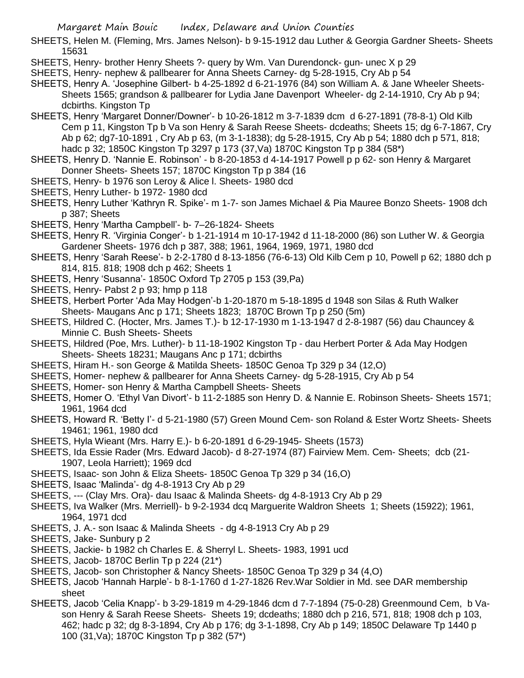- SHEETS, Helen M. (Fleming, Mrs. James Nelson)- b 9-15-1912 dau Luther & Georgia Gardner Sheets- Sheets 15631
- SHEETS, Henry- brother Henry Sheets ?- query by Wm. Van Durendonck- gun- unec X p 29
- SHEETS, Henry- nephew & pallbearer for Anna Sheets Carney- dg 5-28-1915, Cry Ab p 54
- SHEETS, Henry A. 'Josephine Gilbert- b 4-25-1892 d 6-21-1976 (84) son William A. & Jane Wheeler Sheets-Sheets 1565; grandson & pallbearer for Lydia Jane Davenport Wheeler- dg 2-14-1910, Cry Ab p 94; dcbirths. Kingston Tp
- SHEETS, Henry 'Margaret Donner/Downer'- b 10-26-1812 m 3-7-1839 dcm d 6-27-1891 (78-8-1) Old Kilb Cem p 11, Kingston Tp b Va son Henry & Sarah Reese Sheets- dcdeaths; Sheets 15; dg 6-7-1867, Cry Ab p 62; dg7-10-1891 , Cry Ab p 63, (m 3-1-1838); dg 5-28-1915, Cry Ab p 54; 1880 dch p 571, 818; hadc p 32; 1850C Kingston Tp 3297 p 173 (37,Va) 1870C Kingston Tp p 384 (58\*)
- SHEETS, Henry D. 'Nannie E. Robinson' b 8-20-1853 d 4-14-1917 Powell p p 62- son Henry & Margaret Donner Sheets- Sheets 157; 1870C Kingston Tp p 384 (16
- SHEETS, Henry- b 1976 son Leroy & Alice l. Sheets- 1980 dcd
- SHEETS, Henry Luther- b 1972- 1980 dcd
- SHEETS, Henry Luther 'Kathryn R. Spike'- m 1-7- son James Michael & Pia Mauree Bonzo Sheets- 1908 dch p 387; Sheets
- SHEETS, Henry 'Martha Campbell'- b- 7–26-1824- Sheets
- SHEETS, Henry R. 'Virginia Conger'- b 1-21-1914 m 10-17-1942 d 11-18-2000 (86) son Luther W. & Georgia Gardener Sheets- 1976 dch p 387, 388; 1961, 1964, 1969, 1971, 1980 dcd
- SHEETS, Henry 'Sarah Reese'- b 2-2-1780 d 8-13-1856 (76-6-13) Old Kilb Cem p 10, Powell p 62; 1880 dch p 814, 815. 818; 1908 dch p 462; Sheets 1
- SHEETS, Henry 'Susanna'- 1850C Oxford Tp 2705 p 153 (39,Pa)
- SHEETS, Henry- Pabst 2 p 93; hmp p 118
- SHEETS, Herbert Porter 'Ada May Hodgen'-b 1-20-1870 m 5-18-1895 d 1948 son Silas & Ruth Walker Sheets- Maugans Anc p 171; Sheets 1823; 1870C Brown Tp p 250 (5m)
- SHEETS, Hildred C. (Hocter, Mrs. James T.)- b 12-17-1930 m 1-13-1947 d 2-8-1987 (56) dau Chauncey & Minnie C. Bush Sheets- Sheets
- SHEETS, Hildred (Poe, Mrs. Luther)- b 11-18-1902 Kingston Tp dau Herbert Porter & Ada May Hodgen Sheets- Sheets 18231; Maugans Anc p 171; dcbirths
- SHEETS, Hiram H.- son George & Matilda Sheets- 1850C Genoa Tp 329 p 34 (12,O)
- SHEETS, Homer- nephew & pallbearer for Anna Sheets Carney- dg 5-28-1915, Cry Ab p 54
- SHEETS, Homer- son Henry & Martha Campbell Sheets- Sheets
- SHEETS, Homer O. 'Ethyl Van Divort'- b 11-2-1885 son Henry D. & Nannie E. Robinson Sheets- Sheets 1571; 1961, 1964 dcd
- SHEETS, Howard R. 'Betty I'- d 5-21-1980 (57) Green Mound Cem- son Roland & Ester Wortz Sheets- Sheets 19461; 1961, 1980 dcd
- SHEETS, Hyla Wieant (Mrs. Harry E.)- b 6-20-1891 d 6-29-1945- Sheets (1573)
- SHEETS, Ida Essie Rader (Mrs. Edward Jacob)- d 8-27-1974 (87) Fairview Mem. Cem- Sheets; dcb (21- 1907, Leola Harriett); 1969 dcd
- SHEETS, Isaac- son John & Eliza Sheets- 1850C Genoa Tp 329 p 34 (16,O)
- SHEETS, Isaac 'Malinda'- dg 4-8-1913 Cry Ab p 29
- SHEETS, --- (Clay Mrs. Ora)- dau Isaac & Malinda Sheets- dg 4-8-1913 Cry Ab p 29
- SHEETS, Iva Walker (Mrs. Merriell)- b 9-2-1934 dcq Marguerite Waldron Sheets 1; Sheets (15922); 1961, 1964, 1971 dcd
- SHEETS, J. A.- son Isaac & Malinda Sheets dg 4-8-1913 Cry Ab p 29
- SHEETS, Jake- Sunbury p 2
- SHEETS, Jackie- b 1982 ch Charles E. & Sherryl L. Sheets- 1983, 1991 ucd
- SHEETS, Jacob- 1870C Berlin Tp p 224 (21\*)
- SHEETS, Jacob- son Christopher & Nancy Sheets- 1850C Genoa Tp 329 p 34 (4,O)
- SHEETS, Jacob 'Hannah Harple'- b 8-1-1760 d 1-27-1826 Rev.War Soldier in Md. see DAR membership sheet
- SHEETS, Jacob 'Celia Knapp'- b 3-29-1819 m 4-29-1846 dcm d 7-7-1894 (75-0-28) Greenmound Cem, b Vason Henry & Sarah Reese Sheets- Sheets 19; dcdeaths; 1880 dch p 216, 571, 818; 1908 dch p 103, 462; hadc p 32; dg 8-3-1894, Cry Ab p 176; dg 3-1-1898, Cry Ab p 149; 1850C Delaware Tp 1440 p 100 (31,Va); 1870C Kingston Tp p 382 (57\*)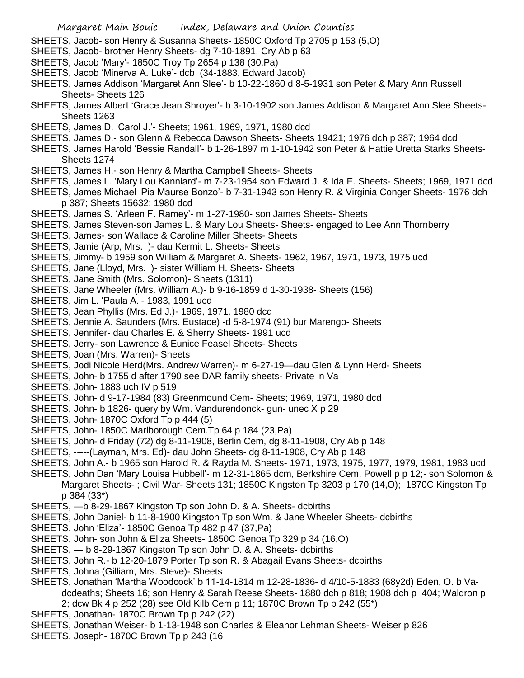- SHEETS, Jacob- son Henry & Susanna Sheets- 1850C Oxford Tp 2705 p 153 (5,O)
- SHEETS, Jacob- brother Henry Sheets- dg 7-10-1891, Cry Ab p 63
- SHEETS, Jacob 'Mary'- 1850C Troy Tp 2654 p 138 (30,Pa)
- SHEETS, Jacob 'Minerva A. Luke'- dcb (34-1883, Edward Jacob)
- SHEETS, James Addison 'Margaret Ann Slee'- b 10-22-1860 d 8-5-1931 son Peter & Mary Ann Russell Sheets- Sheets 126
- SHEETS, James Albert 'Grace Jean Shroyer'- b 3-10-1902 son James Addison & Margaret Ann Slee Sheets-Sheets 1263
- SHEETS, James D. 'Carol J.'- Sheets; 1961, 1969, 1971, 1980 dcd
- SHEETS, James D.- son Glenn & Rebecca Dawson Sheets- Sheets 19421; 1976 dch p 387; 1964 dcd
- SHEETS, James Harold 'Bessie Randall'- b 1-26-1897 m 1-10-1942 son Peter & Hattie Uretta Starks Sheets-Sheets 1274
- SHEETS, James H.- son Henry & Martha Campbell Sheets- Sheets
- SHEETS, James L. 'Mary Lou Kanniard'- m 7-23-1954 son Edward J. & Ida E. Sheets- Sheets; 1969, 1971 dcd
- SHEETS, James Michael 'Pia Maurse Bonzo'- b 7-31-1943 son Henry R. & Virginia Conger Sheets- 1976 dch p 387; Sheets 15632; 1980 dcd
- SHEETS, James S. 'Arleen F. Ramey'- m 1-27-1980- son James Sheets- Sheets
- SHEETS, James Steven-son James L. & Mary Lou Sheets- Sheets- engaged to Lee Ann Thornberry
- SHEETS, James- son Wallace & Caroline Miller Sheets- Sheets
- SHEETS, Jamie (Arp, Mrs. )- dau Kermit L. Sheets- Sheets
- SHEETS, Jimmy- b 1959 son William & Margaret A. Sheets- 1962, 1967, 1971, 1973, 1975 ucd
- SHEETS, Jane (Lloyd, Mrs. )- sister William H. Sheets- Sheets
- SHEETS, Jane Smith (Mrs. Solomon)- Sheets (1311)
- SHEETS, Jane Wheeler (Mrs. William A.)- b 9-16-1859 d 1-30-1938- Sheets (156)
- SHEETS, Jim L. 'Paula A.'- 1983, 1991 ucd
- SHEETS, Jean Phyllis (Mrs. Ed J.)- 1969, 1971, 1980 dcd
- SHEETS, Jennie A. Saunders (Mrs. Eustace) -d 5-8-1974 (91) bur Marengo- Sheets
- SHEETS, Jennifer- dau Charles E. & Sherry Sheets- 1991 ucd
- SHEETS, Jerry- son Lawrence & Eunice Feasel Sheets- Sheets
- SHEETS, Joan (Mrs. Warren)- Sheets
- SHEETS, Jodi Nicole Herd(Mrs. Andrew Warren)- m 6-27-19—dau Glen & Lynn Herd- Sheets
- SHEETS, John- b 1755 d after 1790 see DAR family sheets- Private in Va
- SHEETS, John- 1883 uch IV p 519
- SHEETS, John- d 9-17-1984 (83) Greenmound Cem- Sheets; 1969, 1971, 1980 dcd
- SHEETS, John- b 1826- query by Wm. Vandurendonck- gun- unec X p 29
- SHEETS, John- 1870C Oxford Tp p 444 (5)
- SHEETS, John- 1850C Marlborough Cem.Tp 64 p 184 (23,Pa)
- SHEETS, John- d Friday (72) dg 8-11-1908, Berlin Cem, dg 8-11-1908, Cry Ab p 148
- SHEETS, -----(Layman, Mrs. Ed)- dau John Sheets- dg 8-11-1908, Cry Ab p 148
- SHEETS, John A.- b 1965 son Harold R. & Rayda M. Sheets- 1971, 1973, 1975, 1977, 1979, 1981, 1983 ucd
- SHEETS, John Dan 'Mary Louisa Hubbell'- m 12-31-1865 dcm, Berkshire Cem, Powell p p 12;- son Solomon & Margaret Sheets- ; Civil War- Sheets 131; 1850C Kingston Tp 3203 p 170 (14,O); 1870C Kingston Tp p 384 (33\*)
- SHEETS, —b 8-29-1867 Kingston Tp son John D. & A. Sheets- dcbirths
- SHEETS, John Daniel- b 11-8-1900 Kingston Tp son Wm. & Jane Wheeler Sheets- dcbirths
- SHEETS, John 'Eliza'- 1850C Genoa Tp 482 p 47 (37,Pa)
- SHEETS, John- son John & Eliza Sheets- 1850C Genoa Tp 329 p 34 (16,O)
- SHEETS, b 8-29-1867 Kingston Tp son John D. & A. Sheets- dcbirths
- SHEETS, John R.- b 12-20-1879 Porter Tp son R. & Abagail Evans Sheets- dcbirths
- SHEETS, Johna (Gilliam, Mrs. Steve)- Sheets
- SHEETS, Jonathan 'Martha Woodcock' b 11-14-1814 m 12-28-1836- d 4/10-5-1883 (68y2d) Eden, O. b Vadcdeaths; Sheets 16; son Henry & Sarah Reese Sheets- 1880 dch p 818; 1908 dch p 404; Waldron p 2; dcw Bk 4 p 252 (28) see Old Kilb Cem p 11; 1870C Brown Tp p 242 (55\*)
- SHEETS, Jonathan- 1870C Brown Tp p 242 (22)
- SHEETS, Jonathan Weiser- b 1-13-1948 son Charles & Eleanor Lehman Sheets- Weiser p 826
- SHEETS, Joseph- 1870C Brown Tp p 243 (16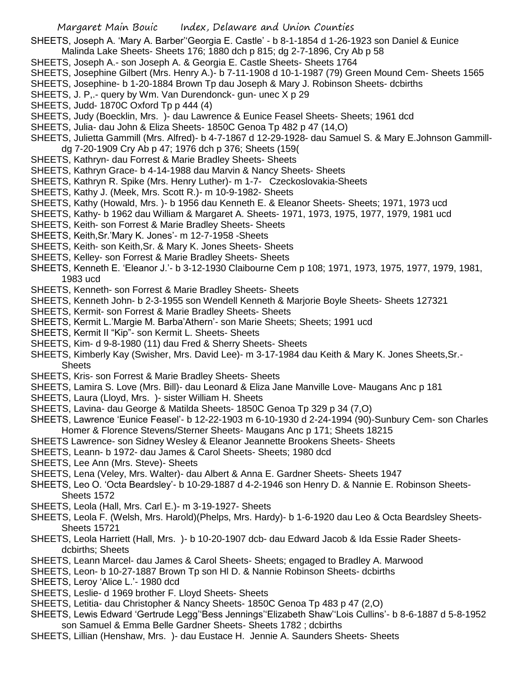SHEETS, Joseph A. 'Mary A. Barber''Georgia E. Castle' - b 8-1-1854 d 1-26-1923 son Daniel & Eunice

- Malinda Lake Sheets- Sheets 176; 1880 dch p 815; dg 2-7-1896, Cry Ab p 58
- SHEETS, Joseph A.- son Joseph A. & Georgia E. Castle Sheets- Sheets 1764
- SHEETS, Josephine Gilbert (Mrs. Henry A.)- b 7-11-1908 d 10-1-1987 (79) Green Mound Cem- Sheets 1565
- SHEETS, Josephine- b 1-20-1884 Brown Tp dau Joseph & Mary J. Robinson Sheets- dcbirths
- SHEETS, J. P,.- query by Wm. Van Durendonck- gun- unec X p 29
- SHEETS, Judd- 1870C Oxford Tp p 444 (4)
- SHEETS, Judy (Boecklin, Mrs. )- dau Lawrence & Eunice Feasel Sheets- Sheets; 1961 dcd
- SHEETS, Julia- dau John & Eliza Sheets- 1850C Genoa Tp 482 p 47 (14,O)
- SHEETS, Julietta Gammill (Mrs. Alfred)- b 4-7-1867 d 12-29-1928- dau Samuel S. & Mary E.Johnson Gammilldg 7-20-1909 Cry Ab p 47; 1976 dch p 376; Sheets (159(
- SHEETS, Kathryn- dau Forrest & Marie Bradley Sheets- Sheets
- SHEETS, Kathryn Grace- b 4-14-1988 dau Marvin & Nancy Sheets- Sheets
- SHEETS, Kathryn R. Spike (Mrs. Henry Luther)- m 1-7- Czeckoslovakia-Sheets
- SHEETS, Kathy J. (Meek, Mrs. Scott R.)- m 10-9-1982- Sheets
- SHEETS, Kathy (Howald, Mrs. )- b 1956 dau Kenneth E. & Eleanor Sheets- Sheets; 1971, 1973 ucd
- SHEETS, Kathy- b 1962 dau William & Margaret A. Sheets- 1971, 1973, 1975, 1977, 1979, 1981 ucd
- SHEETS, Keith- son Forrest & Marie Bradley Sheets- Sheets
- SHEETS, Keith,Sr.'Mary K. Jones'- m 12-7-1958 -Sheets
- SHEETS, Keith- son Keith,Sr. & Mary K. Jones Sheets- Sheets
- SHEETS, Kelley- son Forrest & Marie Bradley Sheets- Sheets
- SHEETS, Kenneth E. 'Eleanor J.'- b 3-12-1930 Claibourne Cem p 108; 1971, 1973, 1975, 1977, 1979, 1981, 1983 ucd
- SHEETS, Kenneth- son Forrest & Marie Bradley Sheets- Sheets
- SHEETS, Kenneth John- b 2-3-1955 son Wendell Kenneth & Marjorie Boyle Sheets- Sheets 127321
- SHEETS, Kermit- son Forrest & Marie Bradley Sheets- Sheets
- SHEETS, Kermit L.'Margie M. Barba'Athern'- son Marie Sheets; Sheets; 1991 ucd
- SHEETS, Kermit II "Kip"- son Kermit L. Sheets- Sheets
- SHEETS, Kim- d 9-8-1980 (11) dau Fred & Sherry Sheets- Sheets
- SHEETS, Kimberly Kay (Swisher, Mrs. David Lee)- m 3-17-1984 dau Keith & Mary K. Jones Sheets,Sr.- **Sheets**
- SHEETS, Kris- son Forrest & Marie Bradley Sheets- Sheets
- SHEETS, Lamira S. Love (Mrs. Bill)- dau Leonard & Eliza Jane Manville Love- Maugans Anc p 181
- SHEETS, Laura (Lloyd, Mrs. )- sister William H. Sheets
- SHEETS, Lavina- dau George & Matilda Sheets- 1850C Genoa Tp 329 p 34 (7,O)
- SHEETS, Lawrence 'Eunice Feasel'- b 12-22-1903 m 6-10-1930 d 2-24-1994 (90)-Sunbury Cem- son Charles Homer & Florence Stevens/Sterner Sheets- Maugans Anc p 171; Sheets 18215
- SHEETS Lawrence- son Sidney Wesley & Eleanor Jeannette Brookens Sheets- Sheets
- SHEETS, Leann- b 1972- dau James & Carol Sheets- Sheets; 1980 dcd
- SHEETS, Lee Ann (Mrs. Steve)- Sheets
- SHEETS, Lena (Veley, Mrs. Walter)- dau Albert & Anna E. Gardner Sheets- Sheets 1947
- SHEETS, Leo O. 'Octa Beardsley'- b 10-29-1887 d 4-2-1946 son Henry D. & Nannie E. Robinson Sheets-Sheets 1572
- SHEETS, Leola (Hall, Mrs. Carl E.)- m 3-19-1927- Sheets
- SHEETS, Leola F. (Welsh, Mrs. Harold)(Phelps, Mrs. Hardy)- b 1-6-1920 dau Leo & Octa Beardsley Sheets-Sheets 15721
- SHEETS, Leola Harriett (Hall, Mrs. )- b 10-20-1907 dcb- dau Edward Jacob & Ida Essie Rader Sheetsdcbirths; Sheets
- SHEETS, Leann Marcel- dau James & Carol Sheets- Sheets; engaged to Bradley A. Marwood
- SHEETS, Leon- b 10-27-1887 Brown Tp son Hl D. & Nannie Robinson Sheets- dcbirths
- SHEETS, Leroy 'Alice L.'- 1980 dcd
- SHEETS, Leslie- d 1969 brother F. Lloyd Sheets- Sheets
- SHEETS, Letitia- dau Christopher & Nancy Sheets- 1850C Genoa Tp 483 p 47 (2,O)
- SHEETS, Lewis Edward 'Gertrude Legg''Bess Jennings''Elizabeth Shaw''Lois Cullins'- b 8-6-1887 d 5-8-1952 son Samuel & Emma Belle Gardner Sheets- Sheets 1782 ; dcbirths
- SHEETS, Lillian (Henshaw, Mrs. )- dau Eustace H. Jennie A. Saunders Sheets- Sheets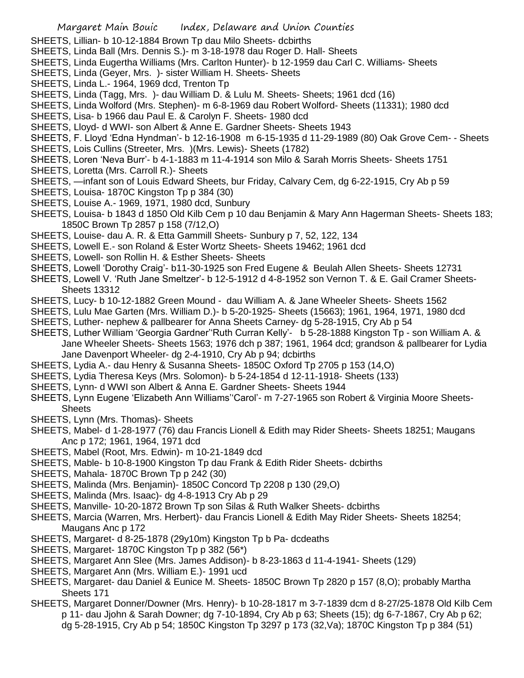- SHEETS, Lillian- b 10-12-1884 Brown Tp dau Milo Sheets- dcbirths
- SHEETS, Linda Ball (Mrs. Dennis S.)- m 3-18-1978 dau Roger D. Hall- Sheets
- SHEETS, Linda Eugertha Williams (Mrs. Carlton Hunter)- b 12-1959 dau Carl C. Williams- Sheets
- SHEETS, Linda (Geyer, Mrs. )- sister William H. Sheets- Sheets
- SHEETS, Linda L.- 1964, 1969 dcd, Trenton Tp
- SHEETS, Linda (Tagg, Mrs. )- dau William D. & Lulu M. Sheets- Sheets; 1961 dcd (16)
- SHEETS, Linda Wolford (Mrs. Stephen)- m 6-8-1969 dau Robert Wolford- Sheets (11331); 1980 dcd
- SHEETS, Lisa- b 1966 dau Paul E. & Carolyn F. Sheets- 1980 dcd
- SHEETS, Lloyd- d WWI- son Albert & Anne E. Gardner Sheets- Sheets 1943
- SHEETS, F. Lloyd 'Edna Hyndman'- b 12-16-1908 m 6-15-1935 d 11-29-1989 (80) Oak Grove Cem- Sheets
- SHEETS, Lois Cullins (Streeter, Mrs. )(Mrs. Lewis)- Sheets (1782)
- SHEETS, Loren 'Neva Burr'- b 4-1-1883 m 11-4-1914 son Milo & Sarah Morris Sheets- Sheets 1751
- SHEETS, Loretta (Mrs. Carroll R.)- Sheets
- SHEETS, —infant son of Louis Edward Sheets, bur Friday, Calvary Cem, dg 6-22-1915, Cry Ab p 59
- SHEETS, Louisa- 1870C Kingston Tp p 384 (30)
- SHEETS, Louise A.- 1969, 1971, 1980 dcd, Sunbury
- SHEETS, Louisa- b 1843 d 1850 Old Kilb Cem p 10 dau Benjamin & Mary Ann Hagerman Sheets- Sheets 183; 1850C Brown Tp 2857 p 158 (7/12,O)
- SHEETS, Louise- dau A. R. & Etta Gammill Sheets- Sunbury p 7, 52, 122, 134
- SHEETS, Lowell E.- son Roland & Ester Wortz Sheets- Sheets 19462; 1961 dcd
- SHEETS, Lowell- son Rollin H. & Esther Sheets- Sheets
- SHEETS, Lowell 'Dorothy Craig'- b11-30-1925 son Fred Eugene & Beulah Allen Sheets- Sheets 12731
- SHEETS, Lowell V. 'Ruth Jane Smeltzer'- b 12-5-1912 d 4-8-1952 son Vernon T. & E. Gail Cramer Sheets-Sheets 13312
- SHEETS, Lucy- b 10-12-1882 Green Mound dau William A. & Jane Wheeler Sheets- Sheets 1562
- SHEETS, Lulu Mae Garten (Mrs. William D.)- b 5-20-1925- Sheets (15663); 1961, 1964, 1971, 1980 dcd
- SHEETS, Luther- nephew & pallbearer for Anna Sheets Carney- dg 5-28-1915, Cry Ab p 54
- SHEETS, Luther William 'Georgia Gardner''Ruth Curran Kelly'- b 5-28-1888 Kingston Tp son William A. & Jane Wheeler Sheets- Sheets 1563; 1976 dch p 387; 1961, 1964 dcd; grandson & pallbearer for Lydia Jane Davenport Wheeler- dg 2-4-1910, Cry Ab p 94; dcbirths
- SHEETS, Lydia A.- dau Henry & Susanna Sheets- 1850C Oxford Tp 2705 p 153 (14,O)
- SHEETS, Lydia Theresa Keys (Mrs. Solomon)- b 5-24-1854 d 12-11-1918- Sheets (133)
- SHEETS, Lynn- d WWI son Albert & Anna E. Gardner Sheets- Sheets 1944
- SHEETS, Lynn Eugene 'Elizabeth Ann Williams''Carol'- m 7-27-1965 son Robert & Virginia Moore Sheets-**Sheets**
- SHEETS, Lynn (Mrs. Thomas)- Sheets
- SHEETS, Mabel- d 1-28-1977 (76) dau Francis Lionell & Edith may Rider Sheets- Sheets 18251; Maugans Anc p 172; 1961, 1964, 1971 dcd
- SHEETS, Mabel (Root, Mrs. Edwin)- m 10-21-1849 dcd
- SHEETS, Mable- b 10-8-1900 Kingston Tp dau Frank & Edith Rider Sheets- dcbirths
- SHEETS, Mahala- 1870C Brown Tp p 242 (30)
- SHEETS, Malinda (Mrs. Benjamin)- 1850C Concord Tp 2208 p 130 (29,O)
- SHEETS, Malinda (Mrs. Isaac)- dg 4-8-1913 Cry Ab p 29
- SHEETS, Manville- 10-20-1872 Brown Tp son Silas & Ruth Walker Sheets- dcbirths
- SHEETS, Marcia (Warren, Mrs. Herbert)- dau Francis Lionell & Edith May Rider Sheets- Sheets 18254; Maugans Anc p 172
- SHEETS, Margaret- d 8-25-1878 (29y10m) Kingston Tp b Pa- dcdeaths
- SHEETS, Margaret- 1870C Kingston Tp p 382 (56\*)
- SHEETS, Margaret Ann Slee (Mrs. James Addison)- b 8-23-1863 d 11-4-1941- Sheets (129)
- SHEETS, Margaret Ann (Mrs. William E.)- 1991 ucd
- SHEETS, Margaret- dau Daniel & Eunice M. Sheets- 1850C Brown Tp 2820 p 157 (8,O); probably Martha Sheets 171
- SHEETS, Margaret Donner/Downer (Mrs. Henry)- b 10-28-1817 m 3-7-1839 dcm d 8-27/25-1878 Old Kilb Cem p 11- dau Jjohn & Sarah Downer; dg 7-10-1894, Cry Ab p 63; Sheets (15); dg 6-7-1867, Cry Ab p 62; dg 5-28-1915, Cry Ab p 54; 1850C Kingston Tp 3297 p 173 (32,Va); 1870C Kingston Tp p 384 (51)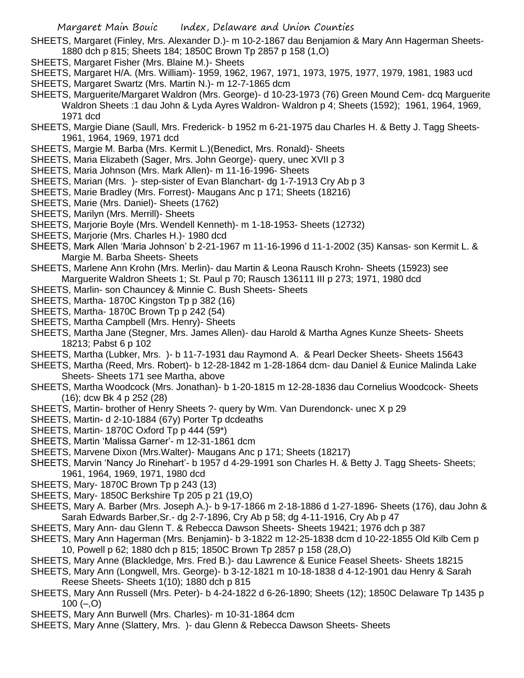SHEETS, Margaret (Finley, Mrs. Alexander D.)- m 10-2-1867 dau Benjamion & Mary Ann Hagerman Sheets-1880 dch p 815; Sheets 184; 1850C Brown Tp 2857 p 158 (1,O)

- SHEETS, Margaret Fisher (Mrs. Blaine M.)- Sheets
- SHEETS, Margaret H/A. (Mrs. William)- 1959, 1962, 1967, 1971, 1973, 1975, 1977, 1979, 1981, 1983 ucd
- SHEETS, Margaret Swartz (Mrs. Martin N.)- m 12-7-1865 dcm
- SHEETS, Marguerite/Margaret Waldron (Mrs. George)- d 10-23-1973 (76) Green Mound Cem- dcq Marguerite Waldron Sheets :1 dau John & Lyda Ayres Waldron- Waldron p 4; Sheets (1592); 1961, 1964, 1969, 1971 dcd
- SHEETS, Margie Diane (Saull, Mrs. Frederick- b 1952 m 6-21-1975 dau Charles H. & Betty J. Tagg Sheets-1961, 1964, 1969, 1971 dcd
- SHEETS, Margie M. Barba (Mrs. Kermit L.)(Benedict, Mrs. Ronald)- Sheets
- SHEETS, Maria Elizabeth (Sager, Mrs. John George)- query, unec XVII p 3
- SHEETS, Maria Johnson (Mrs. Mark Allen)- m 11-16-1996- Sheets
- SHEETS, Marian (Mrs. )- step-sister of Evan Blanchart- dg 1-7-1913 Cry Ab p 3
- SHEETS, Marie Bradley (Mrs. Forrest)- Maugans Anc p 171; Sheets (18216)
- SHEETS, Marie (Mrs. Daniel)- Sheets (1762)
- SHEETS, Marilyn (Mrs. Merrill)- Sheets
- SHEETS, Marjorie Boyle (Mrs. Wendell Kenneth)- m 1-18-1953- Sheets (12732)
- SHEETS, Marjorie (Mrs. Charles H.)- 1980 dcd
- SHEETS, Mark Allen 'Maria Johnson' b 2-21-1967 m 11-16-1996 d 11-1-2002 (35) Kansas- son Kermit L. & Margie M. Barba Sheets- Sheets
- SHEETS, Marlene Ann Krohn (Mrs. Merlin)- dau Martin & Leona Rausch Krohn- Sheets (15923) see Marguerite Waldron Sheets 1; St. Paul p 70; Rausch 136111 III p 273; 1971, 1980 dcd
- SHEETS, Marlin- son Chauncey & Minnie C. Bush Sheets- Sheets
- SHEETS, Martha- 1870C Kingston Tp p 382 (16)
- SHEETS, Martha- 1870C Brown Tp p 242 (54)
- SHEETS, Martha Campbell (Mrs. Henry)- Sheets
- SHEETS, Martha Jane (Stegner, Mrs. James Allen)- dau Harold & Martha Agnes Kunze Sheets- Sheets 18213; Pabst 6 p 102
- SHEETS, Martha (Lubker, Mrs. )- b 11-7-1931 dau Raymond A. & Pearl Decker Sheets- Sheets 15643
- SHEETS, Martha (Reed, Mrs. Robert)- b 12-28-1842 m 1-28-1864 dcm- dau Daniel & Eunice Malinda Lake Sheets- Sheets 171 see Martha, above
- SHEETS, Martha Woodcock (Mrs. Jonathan)- b 1-20-1815 m 12-28-1836 dau Cornelius Woodcock- Sheets (16); dcw Bk 4 p 252 (28)
- SHEETS, Martin- brother of Henry Sheets ?- query by Wm. Van Durendonck- unec X p 29
- SHEETS, Martin- d 2-10-1884 (67y) Porter Tp dcdeaths
- SHEETS, Martin- 1870C Oxford Tp p 444 (59\*)
- SHEETS, Martin 'Malissa Garner'- m 12-31-1861 dcm
- SHEETS, Marvene Dixon (Mrs.Walter)- Maugans Anc p 171; Sheets (18217)
- SHEETS, Marvin 'Nancy Jo Rinehart'- b 1957 d 4-29-1991 son Charles H. & Betty J. Tagg Sheets- Sheets; 1961, 1964, 1969, 1971, 1980 dcd
- SHEETS, Mary- 1870C Brown Tp p 243 (13)
- SHEETS, Mary- 1850C Berkshire Tp 205 p 21 (19,O)
- SHEETS, Mary A. Barber (Mrs. Joseph A.)- b 9-17-1866 m 2-18-1886 d 1-27-1896- Sheets (176), dau John & Sarah Edwards Barber,Sr.- dg 2-7-1896, Cry Ab p 58; dg 4-11-1916, Cry Ab p 47
- SHEETS, Mary Ann- dau Glenn T. & Rebecca Dawson Sheets- Sheets 19421; 1976 dch p 387
- SHEETS, Mary Ann Hagerman (Mrs. Benjamin)- b 3-1822 m 12-25-1838 dcm d 10-22-1855 Old Kilb Cem p 10, Powell p 62; 1880 dch p 815; 1850C Brown Tp 2857 p 158 (28,O)
- SHEETS, Mary Anne (Blackledge, Mrs. Fred B.)- dau Lawrence & Eunice Feasel Sheets- Sheets 18215
- SHEETS, Mary Ann (Longwell, Mrs. George)- b 3-12-1821 m 10-18-1838 d 4-12-1901 dau Henry & Sarah Reese Sheets- Sheets 1(10); 1880 dch p 815
- SHEETS, Mary Ann Russell (Mrs. Peter)- b 4-24-1822 d 6-26-1890; Sheets (12); 1850C Delaware Tp 1435 p  $100 (-, 0)$
- SHEETS, Mary Ann Burwell (Mrs. Charles)- m 10-31-1864 dcm
- SHEETS, Mary Anne (Slattery, Mrs. )- dau Glenn & Rebecca Dawson Sheets- Sheets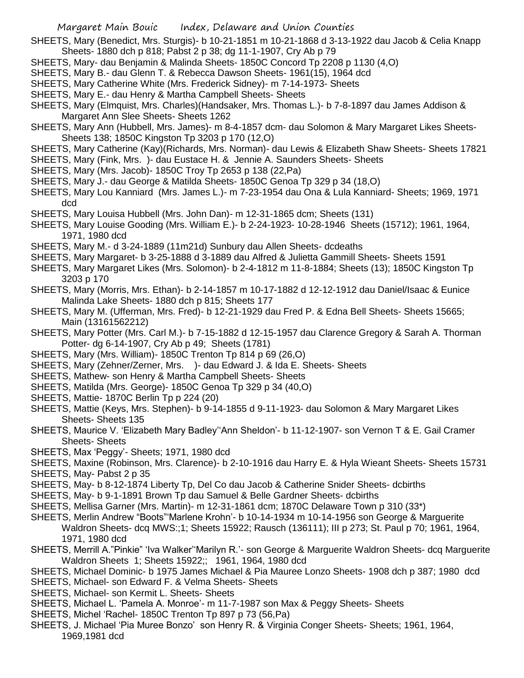SHEETS, Mary (Benedict, Mrs. Sturgis)- b 10-21-1851 m 10-21-1868 d 3-13-1922 dau Jacob & Celia Knapp Sheets- 1880 dch p 818; Pabst 2 p 38; dg 11-1-1907, Cry Ab p 79

- SHEETS, Mary- dau Benjamin & Malinda Sheets- 1850C Concord Tp 2208 p 1130 (4,O)
- SHEETS, Mary B.- dau Glenn T. & Rebecca Dawson Sheets- 1961(15), 1964 dcd
- SHEETS, Mary Catherine White (Mrs. Frederick Sidney)- m 7-14-1973- Sheets
- SHEETS, Mary E.- dau Henry & Martha Campbell Sheets- Sheets
- SHEETS, Mary (Elmquist, Mrs. Charles)(Handsaker, Mrs. Thomas L.)- b 7-8-1897 dau James Addison & Margaret Ann Slee Sheets- Sheets 1262
- SHEETS, Mary Ann (Hubbell, Mrs. James)- m 8-4-1857 dcm- dau Solomon & Mary Margaret Likes Sheets-Sheets 138; 1850C Kingston Tp 3203 p 170 (12,O)
- SHEETS, Mary Catherine (Kay)(Richards, Mrs. Norman)- dau Lewis & Elizabeth Shaw Sheets- Sheets 17821
- SHEETS, Mary (Fink, Mrs. )- dau Eustace H. & Jennie A. Saunders Sheets- Sheets
- SHEETS, Mary (Mrs. Jacob)- 1850C Troy Tp 2653 p 138 (22,Pa)
- SHEETS, Mary J.- dau George & Matilda Sheets- 1850C Genoa Tp 329 p 34 (18,O)
- SHEETS, Mary Lou Kanniard (Mrs. James L.)- m 7-23-1954 dau Ona & Lula Kanniard- Sheets; 1969, 1971 dcd
- SHEETS, Mary Louisa Hubbell (Mrs. John Dan)- m 12-31-1865 dcm; Sheets (131)
- SHEETS, Mary Louise Gooding (Mrs. William E.)- b 2-24-1923- 10-28-1946 Sheets (15712); 1961, 1964, 1971, 1980 dcd
- SHEETS, Mary M.- d 3-24-1889 (11m21d) Sunbury dau Allen Sheets- dcdeaths
- SHEETS, Mary Margaret- b 3-25-1888 d 3-1889 dau Alfred & Julietta Gammill Sheets- Sheets 1591
- SHEETS, Mary Margaret Likes (Mrs. Solomon)- b 2-4-1812 m 11-8-1884; Sheets (13); 1850C Kingston Tp 3203 p 170
- SHEETS, Mary (Morris, Mrs. Ethan)- b 2-14-1857 m 10-17-1882 d 12-12-1912 dau Daniel/Isaac & Eunice Malinda Lake Sheets- 1880 dch p 815; Sheets 177
- SHEETS, Mary M. (Ufferman, Mrs. Fred)- b 12-21-1929 dau Fred P. & Edna Bell Sheets- Sheets 15665; Main (13161562212)
- SHEETS, Mary Potter (Mrs. Carl M.)- b 7-15-1882 d 12-15-1957 dau Clarence Gregory & Sarah A. Thorman Potter- dg 6-14-1907, Cry Ab p 49; Sheets (1781)
- SHEETS, Mary (Mrs. William)- 1850C Trenton Tp 814 p 69 (26,O)
- SHEETS, Mary (Zehner/Zerner, Mrs. )- dau Edward J. & Ida E. Sheets- Sheets
- SHEETS, Mathew- son Henry & Martha Campbell Sheets- Sheets
- SHEETS, Matilda (Mrs. George)- 1850C Genoa Tp 329 p 34 (40,O)
- SHEETS, Mattie- 1870C Berlin Tp p 224 (20)
- SHEETS, Mattie (Keys, Mrs. Stephen)- b 9-14-1855 d 9-11-1923- dau Solomon & Mary Margaret Likes Sheets- Sheets 135
- SHEETS, Maurice V. 'Elizabeth Mary Badley''Ann Sheldon'- b 11-12-1907- son Vernon T & E. Gail Cramer Sheets- Sheets
- SHEETS, Max 'Peggy'- Sheets; 1971, 1980 dcd
- SHEETS, Maxine (Robinson, Mrs. Clarence)- b 2-10-1916 dau Harry E. & Hyla Wieant Sheets- Sheets 15731
- SHEETS, May- Pabst 2 p 35
- SHEETS, May- b 8-12-1874 Liberty Tp, Del Co dau Jacob & Catherine Snider Sheets- dcbirths
- SHEETS, May- b 9-1-1891 Brown Tp dau Samuel & Belle Gardner Sheets- dcbirths
- SHEETS, Mellisa Garner (Mrs. Martin)- m 12-31-1861 dcm; 1870C Delaware Town p 310 (33\*)
- SHEETS, Merlin Andrew "Boots"'Marlene Krohn'- b 10-14-1934 m 10-14-1956 son George & Marguerite Waldron Sheets- dcq MWS:;1; Sheets 15922; Rausch (136111); III p 273; St. Paul p 70; 1961, 1964, 1971, 1980 dcd
- SHEETS, Merrill A."Pinkie" 'Iva Walker''Marilyn R.'- son George & Marguerite Waldron Sheets- dcq Marguerite Waldron Sheets 1; Sheets 15922;; 1961, 1964, 1980 dcd
- SHEETS, Michael Dominic- b 1975 James Michael & Pia Mauree Lonzo Sheets- 1908 dch p 387; 1980 dcd
- SHEETS, Michael- son Edward F. & Velma Sheets- Sheets
- SHEETS, Michael- son Kermit L. Sheets- Sheets
- SHEETS, Michael L. 'Pamela A. Monroe'- m 11-7-1987 son Max & Peggy Sheets- Sheets
- SHEETS, Michel 'Rachel- 1850C Trenton Tp 897 p 73 (56,Pa)
- SHEETS, J. Michael 'Pia Muree Bonzo' son Henry R. & Virginia Conger Sheets- Sheets; 1961, 1964, 1969,1981 dcd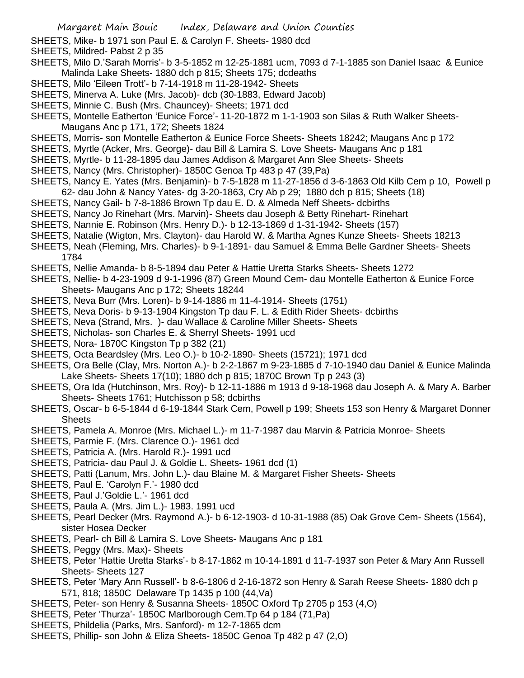- SHEETS, Mike- b 1971 son Paul E. & Carolyn F. Sheets- 1980 dcd
- SHEETS, Mildred- Pabst 2 p 35
- SHEETS, Milo D.'Sarah Morris'- b 3-5-1852 m 12-25-1881 ucm, 7093 d 7-1-1885 son Daniel Isaac & Eunice Malinda Lake Sheets- 1880 dch p 815; Sheets 175; dcdeaths
- SHEETS, Milo 'Eileen Trott'- b 7-14-1918 m 11-28-1942- Sheets
- SHEETS, Minerva A. Luke (Mrs. Jacob)- dcb (30-1883, Edward Jacob)
- SHEETS, Minnie C. Bush (Mrs. Chauncey)- Sheets; 1971 dcd
- SHEETS, Montelle Eatherton 'Eunice Force'- 11-20-1872 m 1-1-1903 son Silas & Ruth Walker Sheets-Maugans Anc p 171, 172; Sheets 1824
- SHEETS, Morris- son Montelle Eatherton & Eunice Force Sheets- Sheets 18242; Maugans Anc p 172
- SHEETS, Myrtle (Acker, Mrs. George)- dau Bill & Lamira S. Love Sheets- Maugans Anc p 181
- SHEETS, Myrtle- b 11-28-1895 dau James Addison & Margaret Ann Slee Sheets- Sheets
- SHEETS, Nancy (Mrs. Christopher)- 1850C Genoa Tp 483 p 47 (39,Pa)
- SHEETS, Nancy E. Yates (Mrs. Benjamin)- b 7-5-1828 m 11-27-1856 d 3-6-1863 Old Kilb Cem p 10, Powell p 62- dau John & Nancy Yates- dg 3-20-1863, Cry Ab p 29; 1880 dch p 815; Sheets (18)
- SHEETS, Nancy Gail- b 7-8-1886 Brown Tp dau E. D. & Almeda Neff Sheets- dcbirths
- SHEETS, Nancy Jo Rinehart (Mrs. Marvin)- Sheets dau Joseph & Betty Rinehart- Rinehart
- SHEETS, Nannie E. Robinson (Mrs. Henry D.)- b 12-13-1869 d 1-31-1942- Sheets (157)
- SHEETS, Natalie (Wigton, Mrs. Clayton)- dau Harold W. & Martha Agnes Kunze Sheets- Sheets 18213
- SHEETS, Neah (Fleming, Mrs. Charles)- b 9-1-1891- dau Samuel & Emma Belle Gardner Sheets- Sheets 1784
- SHEETS, Nellie Amanda- b 8-5-1894 dau Peter & Hattie Uretta Starks Sheets- Sheets 1272
- SHEETS, Nellie- b 4-23-1909 d 9-1-1996 (87) Green Mound Cem- dau Montelle Eatherton & Eunice Force Sheets- Maugans Anc p 172; Sheets 18244
- SHEETS, Neva Burr (Mrs. Loren)- b 9-14-1886 m 11-4-1914- Sheets (1751)
- SHEETS, Neva Doris- b 9-13-1904 Kingston Tp dau F. L. & Edith Rider Sheets- dcbirths
- SHEETS, Neva (Strand, Mrs. )- dau Wallace & Caroline Miller Sheets- Sheets
- SHEETS, Nicholas- son Charles E. & Sherryl Sheets- 1991 ucd
- SHEETS, Nora-1870C Kingston Tp p 382 (21)
- SHEETS, Octa Beardsley (Mrs. Leo O.)- b 10-2-1890- Sheets (15721); 1971 dcd
- SHEETS, Ora Belle (Clay, Mrs. Norton A.)- b 2-2-1867 m 9-23-1885 d 7-10-1940 dau Daniel & Eunice Malinda Lake Sheets- Sheets 17(10); 1880 dch p 815; 1870C Brown Tp p 243 (3)
- SHEETS, Ora Ida (Hutchinson, Mrs. Roy)- b 12-11-1886 m 1913 d 9-18-1968 dau Joseph A. & Mary A. Barber Sheets- Sheets 1761; Hutchisson p 58; dcbirths
- SHEETS, Oscar- b 6-5-1844 d 6-19-1844 Stark Cem, Powell p 199; Sheets 153 son Henry & Margaret Donner **Sheets**
- SHEETS, Pamela A. Monroe (Mrs. Michael L.)- m 11-7-1987 dau Marvin & Patricia Monroe- Sheets
- SHEETS, Parmie F. (Mrs. Clarence O.)- 1961 dcd
- SHEETS, Patricia A. (Mrs. Harold R.)- 1991 ucd
- SHEETS, Patricia- dau Paul J. & Goldie L. Sheets- 1961 dcd (1)
- SHEETS, Patti (Lanum, Mrs. John L.)- dau Blaine M. & Margaret Fisher Sheets- Sheets
- SHEETS, Paul E. 'Carolyn F.'- 1980 dcd
- SHEETS, Paul J.'Goldie L.'- 1961 dcd
- SHEETS, Paula A. (Mrs. Jim L.)- 1983. 1991 ucd
- SHEETS, Pearl Decker (Mrs. Raymond A.)- b 6-12-1903- d 10-31-1988 (85) Oak Grove Cem- Sheets (1564), sister Hosea Decker
- SHEETS, Pearl- ch Bill & Lamira S. Love Sheets- Maugans Anc p 181
- SHEETS, Peggy (Mrs. Max)- Sheets
- SHEETS, Peter 'Hattie Uretta Starks'- b 8-17-1862 m 10-14-1891 d 11-7-1937 son Peter & Mary Ann Russell Sheets- Sheets 127
- SHEETS, Peter 'Mary Ann Russell'- b 8-6-1806 d 2-16-1872 son Henry & Sarah Reese Sheets- 1880 dch p 571, 818; 1850C Delaware Tp 1435 p 100 (44,Va)
- SHEETS, Peter- son Henry & Susanna Sheets- 1850C Oxford Tp 2705 p 153 (4,O)
- SHEETS, Peter 'Thurza'- 1850C Marlborough Cem.Tp 64 p 184 (71,Pa)
- SHEETS, Phildelia (Parks, Mrs. Sanford)- m 12-7-1865 dcm
- SHEETS, Phillip- son John & Eliza Sheets- 1850C Genoa Tp 482 p 47 (2,O)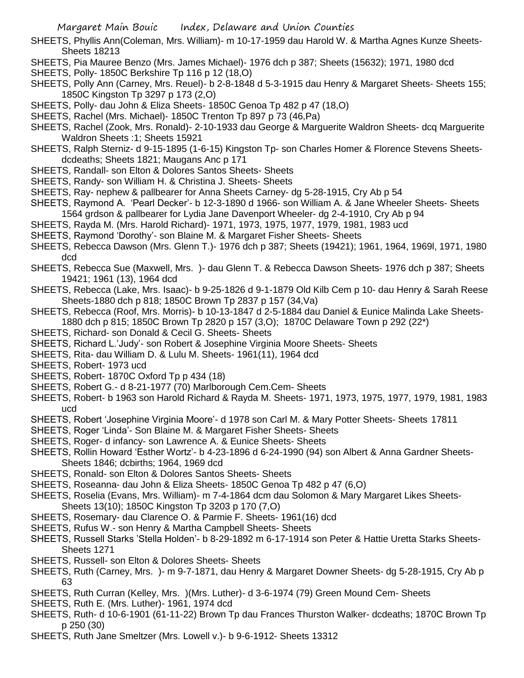- SHEETS, Phyllis Ann(Coleman, Mrs. William)- m 10-17-1959 dau Harold W. & Martha Agnes Kunze Sheets-Sheets 18213
- SHEETS, Pia Mauree Benzo (Mrs. James Michael)- 1976 dch p 387; Sheets (15632); 1971, 1980 dcd
- SHEETS, Polly- 1850C Berkshire Tp 116 p 12 (18,O)
- SHEETS, Polly Ann (Carney, Mrs. Reuel)- b 2-8-1848 d 5-3-1915 dau Henry & Margaret Sheets- Sheets 155; 1850C Kingston Tp 3297 p 173 (2,O)
- SHEETS, Polly- dau John & Eliza Sheets- 1850C Genoa Tp 482 p 47 (18,O)
- SHEETS, Rachel (Mrs. Michael)- 1850C Trenton Tp 897 p 73 (46,Pa)
- SHEETS, Rachel (Zook, Mrs. Ronald)- 2-10-1933 dau George & Marguerite Waldron Sheets- dcq Marguerite Waldron Sheets :1; Sheets 15921
- SHEETS, Ralph Sterniz- d 9-15-1895 (1-6-15) Kingston Tp- son Charles Homer & Florence Stevens Sheetsdcdeaths; Sheets 1821; Maugans Anc p 171
- SHEETS, Randall- son Elton & Dolores Santos Sheets- Sheets
- SHEETS, Randy- son William H. & Christina J. Sheets- Sheets
- SHEETS, Ray- nephew & pallbearer for Anna Sheets Carney- dg 5-28-1915, Cry Ab p 54
- SHEETS, Raymond A. 'Pearl Decker'- b 12-3-1890 d 1966- son William A. & Jane Wheeler Sheets- Sheets 1564 grdson & pallbearer for Lydia Jane Davenport Wheeler- dg 2-4-1910, Cry Ab p 94
- SHEETS, Rayda M. (Mrs. Harold Richard)- 1971, 1973, 1975, 1977, 1979, 1981, 1983 ucd
- SHEETS, Raymond 'Dorothy'- son Blaine M. & Margaret Fisher Sheets- Sheets
- SHEETS, Rebecca Dawson (Mrs. Glenn T.)- 1976 dch p 387; Sheets (19421); 1961, 1964, 1969l, 1971, 1980 dcd
- SHEETS, Rebecca Sue (Maxwell, Mrs. )- dau Glenn T. & Rebecca Dawson Sheets- 1976 dch p 387; Sheets 19421; 1961 (13), 1964 dcd
- SHEETS, Rebecca (Lake, Mrs. Isaac)- b 9-25-1826 d 9-1-1879 Old Kilb Cem p 10- dau Henry & Sarah Reese Sheets-1880 dch p 818; 1850C Brown Tp 2837 p 157 (34,Va)
- SHEETS, Rebecca (Roof, Mrs. Morris)- b 10-13-1847 d 2-5-1884 dau Daniel & Eunice Malinda Lake Sheets-1880 dch p 815; 1850C Brown Tp 2820 p 157 (3,O); 1870C Delaware Town p 292 (22\*)
- SHEETS, Richard- son Donald & Cecil G. Sheets- Sheets
- SHEETS, Richard L.'Judy'- son Robert & Josephine Virginia Moore Sheets- Sheets
- SHEETS, Rita- dau William D. & Lulu M. Sheets- 1961(11), 1964 dcd
- SHEETS, Robert- 1973 ucd
- SHEETS, Robert- 1870C Oxford Tp p 434 (18)
- SHEETS, Robert G.- d 8-21-1977 (70) Marlborough Cem.Cem- Sheets
- SHEETS, Robert- b 1963 son Harold Richard & Rayda M. Sheets- 1971, 1973, 1975, 1977, 1979, 1981, 1983 ucd
- SHEETS, Robert 'Josephine Virginia Moore'- d 1978 son Carl M. & Mary Potter Sheets- Sheets 17811
- SHEETS, Roger 'Linda'- Son Blaine M. & Margaret Fisher Sheets- Sheets
- SHEETS, Roger- d infancy- son Lawrence A. & Eunice Sheets- Sheets
- SHEETS, Rollin Howard 'Esther Wortz'- b 4-23-1896 d 6-24-1990 (94) son Albert & Anna Gardner Sheets-Sheets 1846; dcbirths; 1964, 1969 dcd
- SHEETS, Ronald- son Elton & Dolores Santos Sheets- Sheets
- SHEETS, Roseanna- dau John & Eliza Sheets- 1850C Genoa Tp 482 p 47 (6,O)
- SHEETS, Roselia (Evans, Mrs. William)- m 7-4-1864 dcm dau Solomon & Mary Margaret Likes Sheets-Sheets 13(10); 1850C Kingston Tp 3203 p 170 (7,O)
- SHEETS, Rosemary- dau Clarence O. & Parmie F. Sheets- 1961(16) dcd
- SHEETS, Rufus W.- son Henry & Martha Campbell Sheets- Sheets
- SHEETS, Russell Starks 'Stella Holden'- b 8-29-1892 m 6-17-1914 son Peter & Hattie Uretta Starks Sheets-Sheets 1271
- SHEETS, Russell- son Elton & Dolores Sheets- Sheets
- SHEETS, Ruth (Carney, Mrs. )- m 9-7-1871, dau Henry & Margaret Downer Sheets- dg 5-28-1915, Cry Ab p 63
- SHEETS, Ruth Curran (Kelley, Mrs. )(Mrs. Luther)- d 3-6-1974 (79) Green Mound Cem- Sheets
- SHEETS, Ruth E. (Mrs. Luther)- 1961, 1974 dcd
- SHEETS, Ruth- d 10-6-1901 (61-11-22) Brown Tp dau Frances Thurston Walker- dcdeaths; 1870C Brown Tp p 250 (30)
- SHEETS, Ruth Jane Smeltzer (Mrs. Lowell v.)- b 9-6-1912- Sheets 13312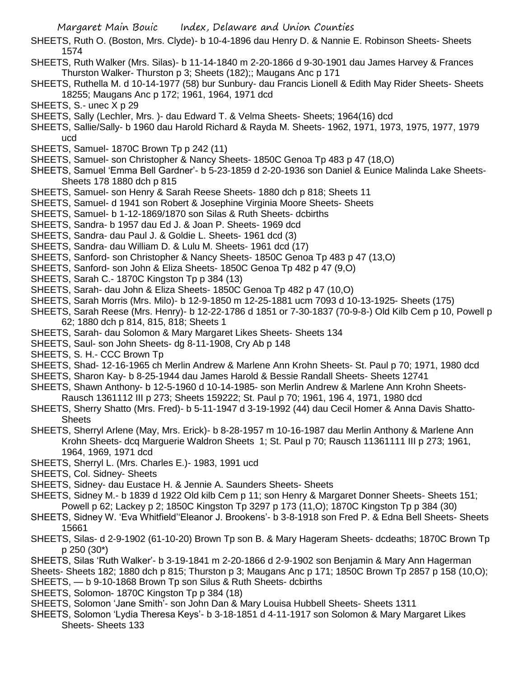- SHEETS, Ruth O. (Boston, Mrs. Clyde)- b 10-4-1896 dau Henry D. & Nannie E. Robinson Sheets- Sheets 1574
- SHEETS, Ruth Walker (Mrs. Silas)- b 11-14-1840 m 2-20-1866 d 9-30-1901 dau James Harvey & Frances Thurston Walker- Thurston p 3; Sheets (182);; Maugans Anc p 171
- SHEETS, Ruthella M. d 10-14-1977 (58) bur Sunbury- dau Francis Lionell & Edith May Rider Sheets- Sheets 18255; Maugans Anc p 172; 1961, 1964, 1971 dcd
- SHEETS, S.- unec X p 29
- SHEETS, Sally (Lechler, Mrs. )- dau Edward T. & Velma Sheets- Sheets; 1964(16) dcd
- SHEETS, Sallie/Sally- b 1960 dau Harold Richard & Rayda M. Sheets- 1962, 1971, 1973, 1975, 1977, 1979 ucd
- SHEETS, Samuel- 1870C Brown Tp p 242 (11)
- SHEETS, Samuel- son Christopher & Nancy Sheets- 1850C Genoa Tp 483 p 47 (18,O)
- SHEETS, Samuel 'Emma Bell Gardner'- b 5-23-1859 d 2-20-1936 son Daniel & Eunice Malinda Lake Sheets-Sheets 178 1880 dch p 815
- SHEETS, Samuel- son Henry & Sarah Reese Sheets- 1880 dch p 818; Sheets 11
- SHEETS, Samuel- d 1941 son Robert & Josephine Virginia Moore Sheets- Sheets
- SHEETS, Samuel- b 1-12-1869/1870 son Silas & Ruth Sheets- dcbirths
- SHEETS, Sandra- b 1957 dau Ed J. & Joan P. Sheets- 1969 dcd
- SHEETS, Sandra- dau Paul J. & Goldie L. Sheets- 1961 dcd (3)
- SHEETS, Sandra- dau William D. & Lulu M. Sheets- 1961 dcd (17)
- SHEETS, Sanford- son Christopher & Nancy Sheets- 1850C Genoa Tp 483 p 47 (13,O)
- SHEETS, Sanford- son John & Eliza Sheets- 1850C Genoa Tp 482 p 47 (9,O)
- SHEETS, Sarah C.- 1870C Kingston Tp p 384 (13)
- SHEETS, Sarah- dau John & Eliza Sheets- 1850C Genoa Tp 482 p 47 (10,O)
- SHEETS, Sarah Morris (Mrs. Milo)- b 12-9-1850 m 12-25-1881 ucm 7093 d 10-13-1925- Sheets (175)
- SHEETS, Sarah Reese (Mrs. Henry)- b 12-22-1786 d 1851 or 7-30-1837 (70-9-8-) Old Kilb Cem p 10, Powell p 62; 1880 dch p 814, 815, 818; Sheets 1
- SHEETS, Sarah- dau Solomon & Mary Margaret Likes Sheets- Sheets 134
- SHEETS, Saul- son John Sheets- dg 8-11-1908, Cry Ab p 148
- SHEETS, S. H.- CCC Brown Tp
- SHEETS, Shad- 12-16-1965 ch Merlin Andrew & Marlene Ann Krohn Sheets- St. Paul p 70; 1971, 1980 dcd
- SHEETS, Sharon Kay- b 8-25-1944 dau James Harold & Bessie Randall Sheets- Sheets 12741
- SHEETS, Shawn Anthony- b 12-5-1960 d 10-14-1985- son Merlin Andrew & Marlene Ann Krohn Sheets-Rausch 1361112 III p 273; Sheets 159222; St. Paul p 70; 1961, 196 4, 1971, 1980 dcd
- SHEETS, Sherry Shatto (Mrs. Fred)- b 5-11-1947 d 3-19-1992 (44) dau Cecil Homer & Anna Davis Shatto-**Sheets**
- SHEETS, Sherryl Arlene (May, Mrs. Erick)- b 8-28-1957 m 10-16-1987 dau Merlin Anthony & Marlene Ann Krohn Sheets- dcq Marguerie Waldron Sheets 1; St. Paul p 70; Rausch 11361111 III p 273; 1961, 1964, 1969, 1971 dcd
- SHEETS, Sherryl L. (Mrs. Charles E.)- 1983, 1991 ucd
- SHEETS, Col. Sidney- Sheets
- SHEETS, Sidney- dau Eustace H. & Jennie A. Saunders Sheets- Sheets
- SHEETS, Sidney M.- b 1839 d 1922 Old kilb Cem p 11; son Henry & Margaret Donner Sheets- Sheets 151; Powell p 62; Lackey p 2; 1850C Kingston Tp 3297 p 173 (11,O); 1870C Kingston Tp p 384 (30)
- SHEETS, Sidney W. 'Eva Whitfield''Eleanor J. Brookens'- b 3-8-1918 son Fred P. & Edna Bell Sheets- Sheets 15661
- SHEETS, Silas- d 2-9-1902 (61-10-20) Brown Tp son B. & Mary Hageram Sheets- dcdeaths; 1870C Brown Tp p 250 (30\*)
- SHEETS, Silas 'Ruth Walker'- b 3-19-1841 m 2-20-1866 d 2-9-1902 son Benjamin & Mary Ann Hagerman
- Sheets- Sheets 182; 1880 dch p 815; Thurston p 3; Maugans Anc p 171; 1850C Brown Tp 2857 p 158 (10,O); SHEETS, — b 9-10-1868 Brown Tp son Silus & Ruth Sheets- dcbirths
- SHEETS, Solomon- 1870C Kingston Tp p 384 (18)
- SHEETS, Solomon 'Jane Smith'- son John Dan & Mary Louisa Hubbell Sheets- Sheets 1311
- SHEETS, Solomon 'Lydia Theresa Keys'- b 3-18-1851 d 4-11-1917 son Solomon & Mary Margaret Likes Sheets- Sheets 133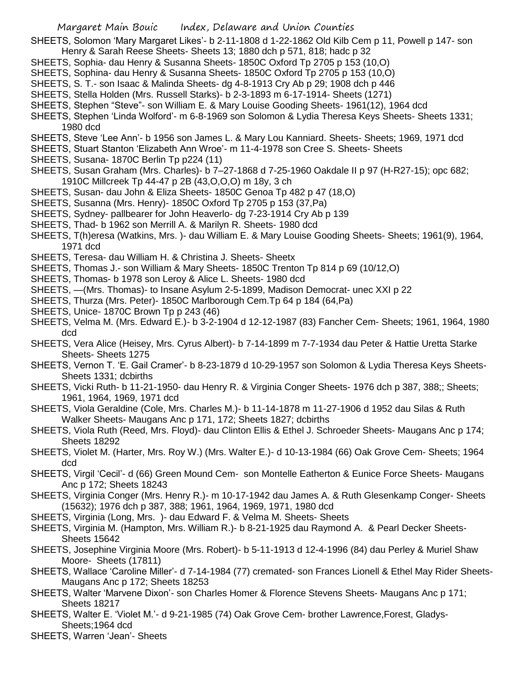SHEETS, Solomon 'Mary Margaret Likes'- b 2-11-1808 d 1-22-1862 Old Kilb Cem p 11, Powell p 147- son Henry & Sarah Reese Sheets- Sheets 13; 1880 dch p 571, 818; hadc p 32

- SHEETS, Sophia- dau Henry & Susanna Sheets- 1850C Oxford Tp 2705 p 153 (10,O)
- SHEETS, Sophina- dau Henry & Susanna Sheets- 1850C Oxford Tp 2705 p 153 (10,O)
- SHEETS, S. T.- son Isaac & Malinda Sheets- dg 4-8-1913 Cry Ab p 29; 1908 dch p 446
- SHEETS, Stella Holden (Mrs. Russell Starks)- b 2-3-1893 m 6-17-1914- Sheets (1271)
- SHEETS, Stephen "Steve"- son William E. & Mary Louise Gooding Sheets- 1961(12), 1964 dcd
- SHEETS, Stephen 'Linda Wolford'- m 6-8-1969 son Solomon & Lydia Theresa Keys Sheets- Sheets 1331; 1980 dcd
- SHEETS, Steve 'Lee Ann'- b 1956 son James L. & Mary Lou Kanniard. Sheets- Sheets; 1969, 1971 dcd
- SHEETS, Stuart Stanton 'Elizabeth Ann Wroe'- m 11-4-1978 son Cree S. Sheets- Sheets
- SHEETS, Susana-1870C Berlin Tp p224 (11)
- SHEETS, Susan Graham (Mrs. Charles)- b 7–27-1868 d 7-25-1960 Oakdale II p 97 (H-R27-15); opc 682; 1910C Millcreek Tp 44-47 p 2B (43,O,O,O) m 18y, 3 ch
- SHEETS, Susan- dau John & Eliza Sheets- 1850C Genoa Tp 482 p 47 (18,O)
- SHEETS, Susanna (Mrs. Henry)- 1850C Oxford Tp 2705 p 153 (37,Pa)
- SHEETS, Sydney- pallbearer for John Heaverlo- dg 7-23-1914 Cry Ab p 139
- SHEETS, Thad- b 1962 son Merrill A. & Marilyn R. Sheets- 1980 dcd
- SHEETS, T(h)eresa (Watkins, Mrs. )- dau William E. & Mary Louise Gooding Sheets- Sheets; 1961(9), 1964, 1971 dcd
- SHEETS, Teresa- dau William H. & Christina J. Sheets- Sheetx
- SHEETS, Thomas J.- son William & Mary Sheets- 1850C Trenton Tp 814 p 69 (10/12,O)
- SHEETS, Thomas- b 1978 son Leroy & Alice L. Sheets- 1980 dcd
- SHEETS, —(Mrs. Thomas)- to Insane Asylum 2-5-1899, Madison Democrat- unec XXI p 22
- SHEETS, Thurza (Mrs. Peter)- 1850C Marlborough Cem.Tp 64 p 184 (64,Pa)
- SHEETS, Unice- 1870C Brown Tp p 243 (46)
- SHEETS, Velma M. (Mrs. Edward E.)- b 3-2-1904 d 12-12-1987 (83) Fancher Cem- Sheets; 1961, 1964, 1980 dcd
- SHEETS, Vera Alice (Heisey, Mrs. Cyrus Albert)- b 7-14-1899 m 7-7-1934 dau Peter & Hattie Uretta Starke Sheets- Sheets 1275
- SHEETS, Vernon T. 'E. Gail Cramer'- b 8-23-1879 d 10-29-1957 son Solomon & Lydia Theresa Keys Sheets-Sheets 1331; dcbirths
- SHEETS, Vicki Ruth- b 11-21-1950- dau Henry R. & Virginia Conger Sheets- 1976 dch p 387, 388;; Sheets; 1961, 1964, 1969, 1971 dcd
- SHEETS, Viola Geraldine (Cole, Mrs. Charles M.)- b 11-14-1878 m 11-27-1906 d 1952 dau Silas & Ruth Walker Sheets- Maugans Anc p 171, 172; Sheets 1827; dcbirths
- SHEETS, Viola Ruth (Reed, Mrs. Floyd)- dau Clinton Ellis & Ethel J. Schroeder Sheets- Maugans Anc p 174; Sheets 18292
- SHEETS, Violet M. (Harter, Mrs. Roy W.) (Mrs. Walter E.)- d 10-13-1984 (66) Oak Grove Cem- Sheets; 1964 dcd
- SHEETS, Virgil 'Cecil'- d (66) Green Mound Cem- son Montelle Eatherton & Eunice Force Sheets- Maugans Anc p 172; Sheets 18243
- SHEETS, Virginia Conger (Mrs. Henry R.)- m 10-17-1942 dau James A. & Ruth Glesenkamp Conger- Sheets (15632); 1976 dch p 387, 388; 1961, 1964, 1969, 1971, 1980 dcd
- SHEETS, Virginia (Long, Mrs. )- dau Edward F. & Velma M. Sheets- Sheets
- SHEETS, Virginia M. (Hampton, Mrs. William R.)- b 8-21-1925 dau Raymond A. & Pearl Decker Sheets-Sheets 15642
- SHEETS, Josephine Virginia Moore (Mrs. Robert)- b 5-11-1913 d 12-4-1996 (84) dau Perley & Muriel Shaw Moore- Sheets (17811)
- SHEETS, Wallace 'Caroline Miller'- d 7-14-1984 (77) cremated- son Frances Lionell & Ethel May Rider Sheets-Maugans Anc p 172; Sheets 18253
- SHEETS, Walter 'Marvene Dixon'- son Charles Homer & Florence Stevens Sheets- Maugans Anc p 171; Sheets 18217
- SHEETS, Walter E. 'Violet M.'- d 9-21-1985 (74) Oak Grove Cem- brother Lawrence,Forest, Gladys-Sheets;1964 dcd
- SHEETS, Warren 'Jean'- Sheets